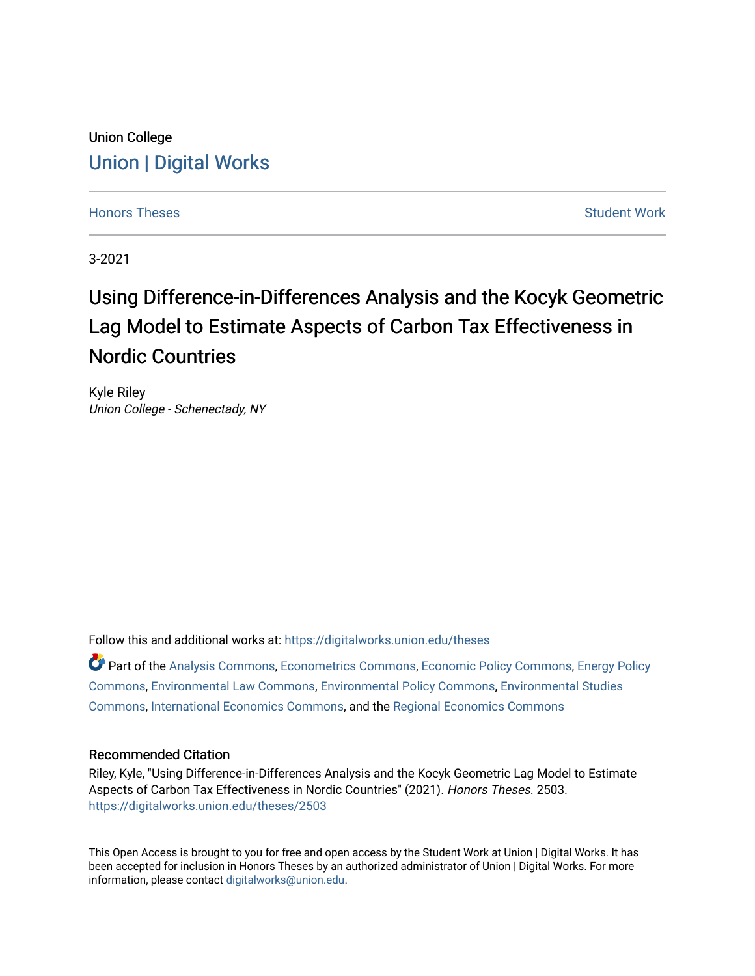# Union College [Union | Digital Works](https://digitalworks.union.edu/)

[Honors Theses](https://digitalworks.union.edu/theses) [Student Work](https://digitalworks.union.edu/studentwork) and Student Work and Student Work Student Work

3-2021

# Using Difference-in-Differences Analysis and the Kocyk Geometric Lag Model to Estimate Aspects of Carbon Tax Effectiveness in Nordic Countries

Kyle Riley Union College - Schenectady, NY

Follow this and additional works at: [https://digitalworks.union.edu/theses](https://digitalworks.union.edu/theses?utm_source=digitalworks.union.edu%2Ftheses%2F2503&utm_medium=PDF&utm_campaign=PDFCoverPages) 

Part of the [Analysis Commons](http://network.bepress.com/hgg/discipline/177?utm_source=digitalworks.union.edu%2Ftheses%2F2503&utm_medium=PDF&utm_campaign=PDFCoverPages), [Econometrics Commons,](http://network.bepress.com/hgg/discipline/342?utm_source=digitalworks.union.edu%2Ftheses%2F2503&utm_medium=PDF&utm_campaign=PDFCoverPages) [Economic Policy Commons,](http://network.bepress.com/hgg/discipline/1025?utm_source=digitalworks.union.edu%2Ftheses%2F2503&utm_medium=PDF&utm_campaign=PDFCoverPages) [Energy Policy](http://network.bepress.com/hgg/discipline/1065?utm_source=digitalworks.union.edu%2Ftheses%2F2503&utm_medium=PDF&utm_campaign=PDFCoverPages)  [Commons](http://network.bepress.com/hgg/discipline/1065?utm_source=digitalworks.union.edu%2Ftheses%2F2503&utm_medium=PDF&utm_campaign=PDFCoverPages), [Environmental Law Commons,](http://network.bepress.com/hgg/discipline/599?utm_source=digitalworks.union.edu%2Ftheses%2F2503&utm_medium=PDF&utm_campaign=PDFCoverPages) [Environmental Policy Commons,](http://network.bepress.com/hgg/discipline/1027?utm_source=digitalworks.union.edu%2Ftheses%2F2503&utm_medium=PDF&utm_campaign=PDFCoverPages) [Environmental Studies](http://network.bepress.com/hgg/discipline/1333?utm_source=digitalworks.union.edu%2Ftheses%2F2503&utm_medium=PDF&utm_campaign=PDFCoverPages) [Commons](http://network.bepress.com/hgg/discipline/1333?utm_source=digitalworks.union.edu%2Ftheses%2F2503&utm_medium=PDF&utm_campaign=PDFCoverPages), [International Economics Commons,](http://network.bepress.com/hgg/discipline/348?utm_source=digitalworks.union.edu%2Ftheses%2F2503&utm_medium=PDF&utm_campaign=PDFCoverPages) and the [Regional Economics Commons](http://network.bepress.com/hgg/discipline/1307?utm_source=digitalworks.union.edu%2Ftheses%2F2503&utm_medium=PDF&utm_campaign=PDFCoverPages) 

## Recommended Citation

Riley, Kyle, "Using Difference-in-Differences Analysis and the Kocyk Geometric Lag Model to Estimate Aspects of Carbon Tax Effectiveness in Nordic Countries" (2021). Honors Theses. 2503. [https://digitalworks.union.edu/theses/2503](https://digitalworks.union.edu/theses/2503?utm_source=digitalworks.union.edu%2Ftheses%2F2503&utm_medium=PDF&utm_campaign=PDFCoverPages)

This Open Access is brought to you for free and open access by the Student Work at Union | Digital Works. It has been accepted for inclusion in Honors Theses by an authorized administrator of Union | Digital Works. For more information, please contact [digitalworks@union.edu.](mailto:digitalworks@union.edu)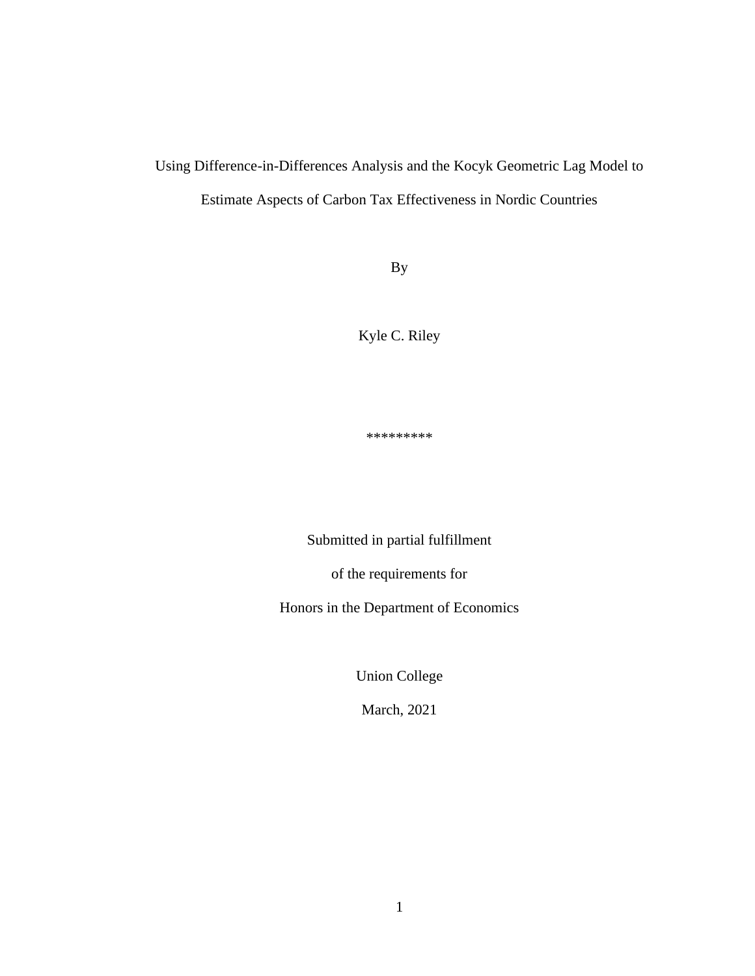# Using Difference-in-Differences Analysis and the Kocyk Geometric Lag Model to Estimate Aspects of Carbon Tax Effectiveness in Nordic Countries

By

Kyle C. Riley

\*\*\*\*\*\*\*\*\*

Submitted in partial fulfillment

of the requirements for

Honors in the Department of Economics

Union College

March, 2021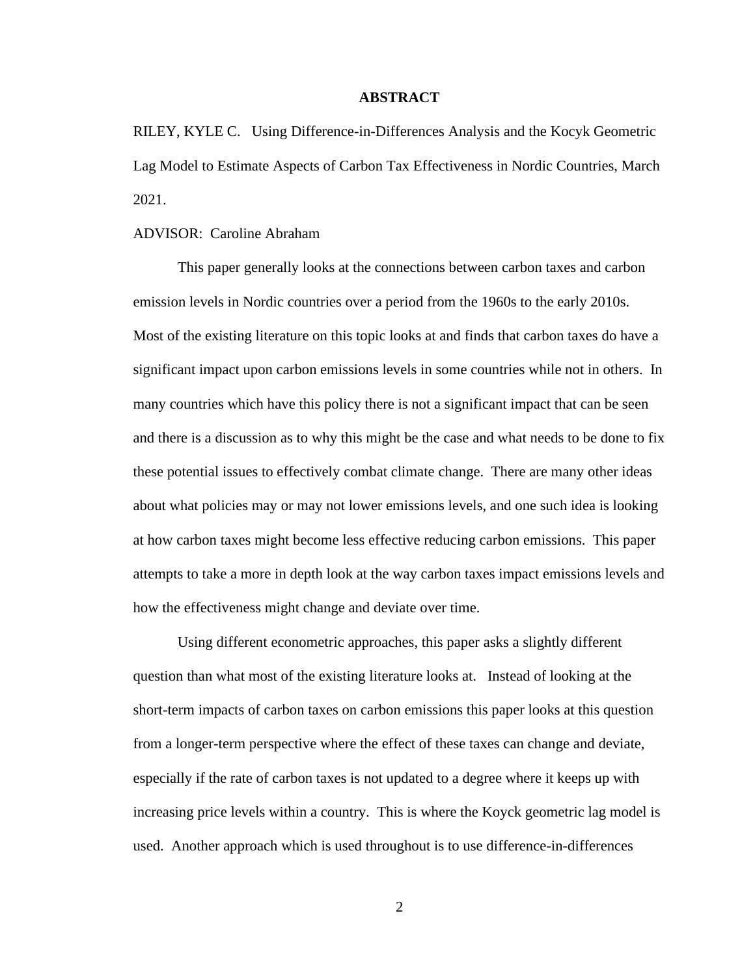### **ABSTRACT**

RILEY, KYLE C. Using Difference-in-Differences Analysis and the Kocyk Geometric Lag Model to Estimate Aspects of Carbon Tax Effectiveness in Nordic Countries, March 2021.

### ADVISOR: Caroline Abraham

This paper generally looks at the connections between carbon taxes and carbon emission levels in Nordic countries over a period from the 1960s to the early 2010s. Most of the existing literature on this topic looks at and finds that carbon taxes do have a significant impact upon carbon emissions levels in some countries while not in others. In many countries which have this policy there is not a significant impact that can be seen and there is a discussion as to why this might be the case and what needs to be done to fix these potential issues to effectively combat climate change. There are many other ideas about what policies may or may not lower emissions levels, and one such idea is looking at how carbon taxes might become less effective reducing carbon emissions. This paper attempts to take a more in depth look at the way carbon taxes impact emissions levels and how the effectiveness might change and deviate over time.

Using different econometric approaches, this paper asks a slightly different question than what most of the existing literature looks at. Instead of looking at the short-term impacts of carbon taxes on carbon emissions this paper looks at this question from a longer-term perspective where the effect of these taxes can change and deviate, especially if the rate of carbon taxes is not updated to a degree where it keeps up with increasing price levels within a country. This is where the Koyck geometric lag model is used. Another approach which is used throughout is to use difference-in-differences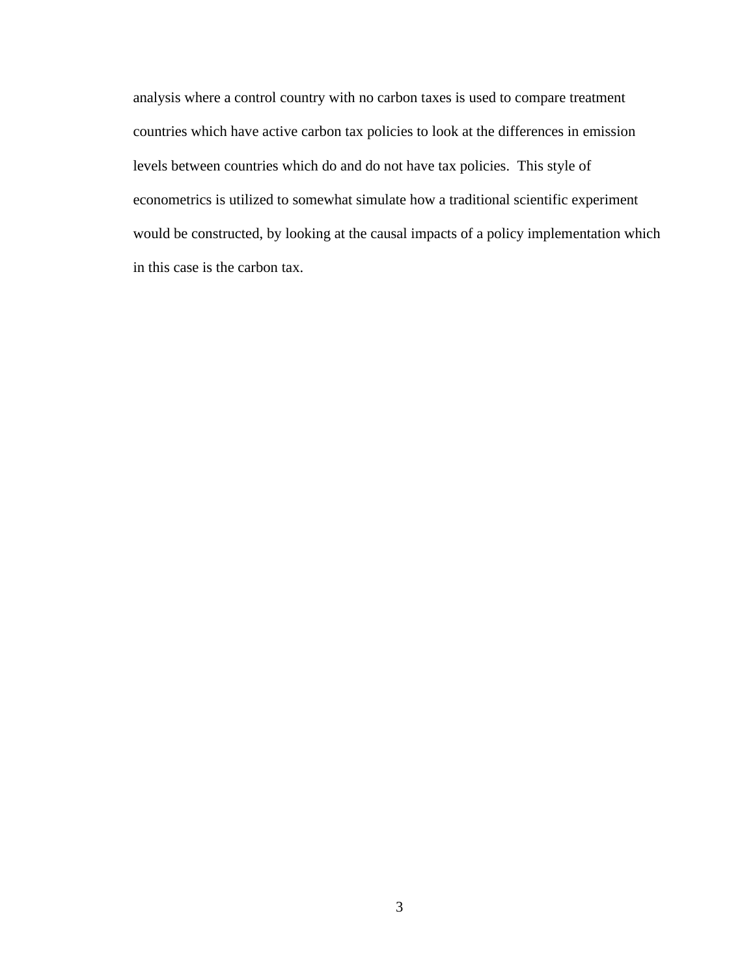analysis where a control country with no carbon taxes is used to compare treatment countries which have active carbon tax policies to look at the differences in emission levels between countries which do and do not have tax policies. This style of econometrics is utilized to somewhat simulate how a traditional scientific experiment would be constructed, by looking at the causal impacts of a policy implementation which in this case is the carbon tax.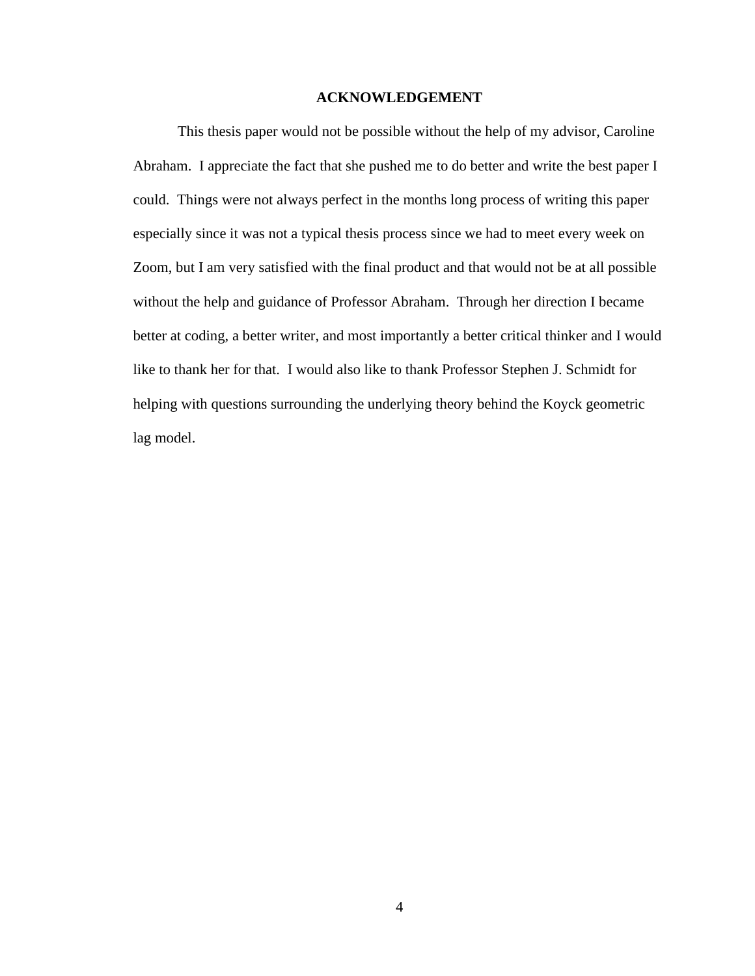### **ACKNOWLEDGEMENT**

This thesis paper would not be possible without the help of my advisor, Caroline Abraham. I appreciate the fact that she pushed me to do better and write the best paper I could. Things were not always perfect in the months long process of writing this paper especially since it was not a typical thesis process since we had to meet every week on Zoom, but I am very satisfied with the final product and that would not be at all possible without the help and guidance of Professor Abraham. Through her direction I became better at coding, a better writer, and most importantly a better critical thinker and I would like to thank her for that. I would also like to thank Professor Stephen J. Schmidt for helping with questions surrounding the underlying theory behind the Koyck geometric lag model.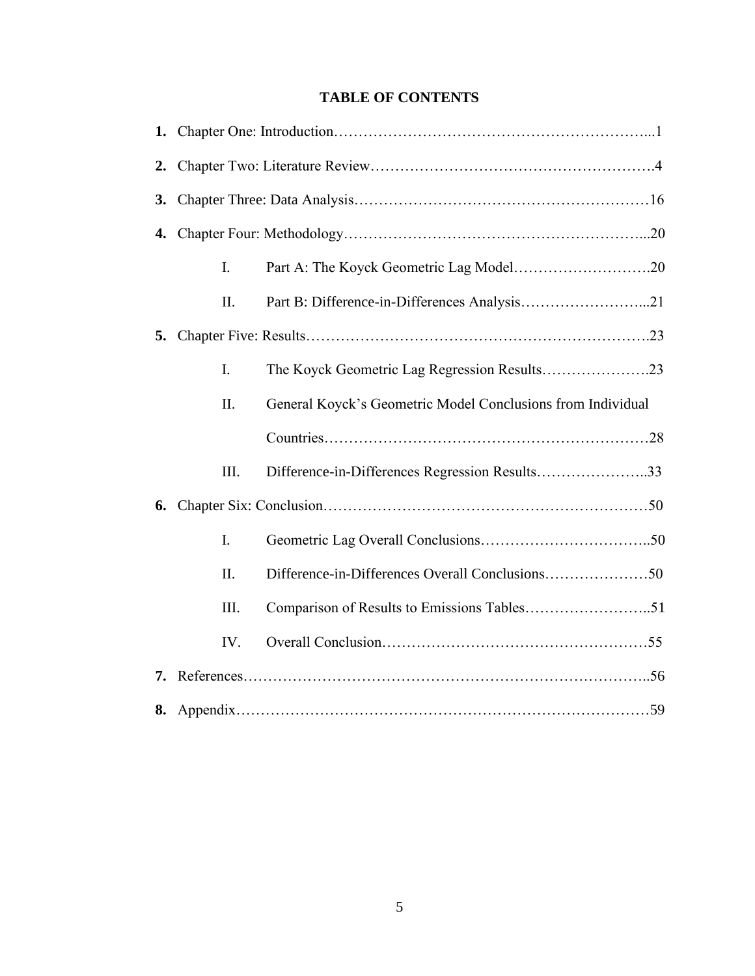# **TABLE OF CONTENTS**

| 2. |                |                                                             |  |  |  |  |  |  |
|----|----------------|-------------------------------------------------------------|--|--|--|--|--|--|
| 3. |                |                                                             |  |  |  |  |  |  |
|    |                |                                                             |  |  |  |  |  |  |
|    | I.             |                                                             |  |  |  |  |  |  |
|    | Π.             |                                                             |  |  |  |  |  |  |
| 5. |                |                                                             |  |  |  |  |  |  |
|    | $\mathbf{I}$ . |                                                             |  |  |  |  |  |  |
|    | II.            | General Koyck's Geometric Model Conclusions from Individual |  |  |  |  |  |  |
|    |                |                                                             |  |  |  |  |  |  |
|    | Ш.             | Difference-in-Differences Regression Results33              |  |  |  |  |  |  |
| 6. |                |                                                             |  |  |  |  |  |  |
|    | I.             |                                                             |  |  |  |  |  |  |
|    | II.            |                                                             |  |  |  |  |  |  |
|    | III.           |                                                             |  |  |  |  |  |  |
|    | IV.            |                                                             |  |  |  |  |  |  |
|    |                |                                                             |  |  |  |  |  |  |
|    |                |                                                             |  |  |  |  |  |  |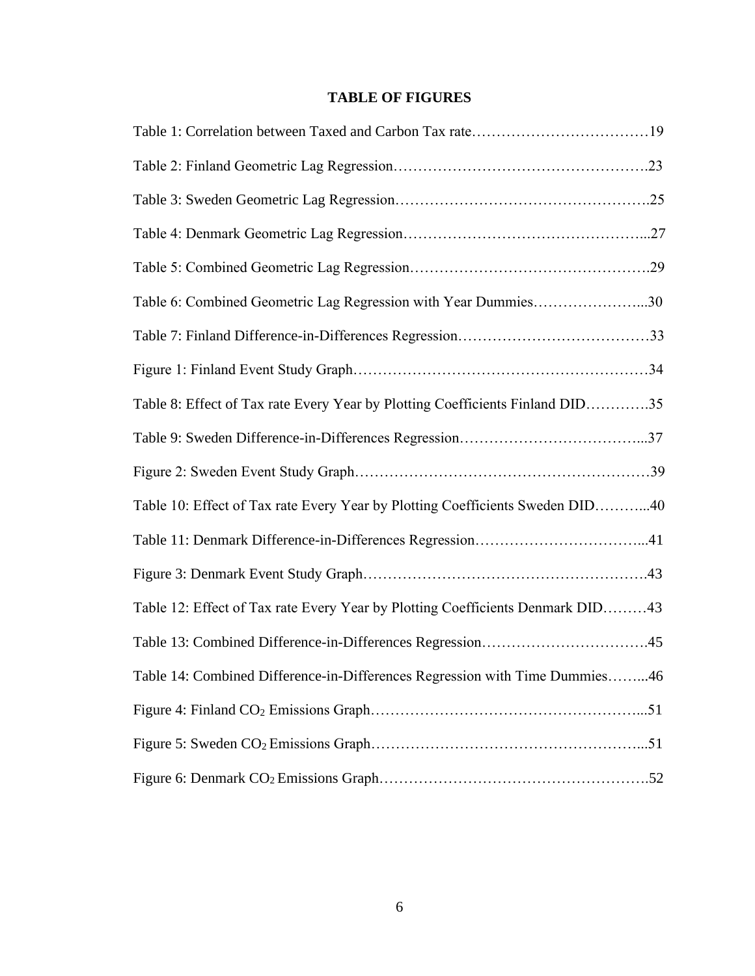# **TABLE OF FIGURES**

| Table 6: Combined Geometric Lag Regression with Year Dummies30                 |
|--------------------------------------------------------------------------------|
|                                                                                |
|                                                                                |
| Table 8: Effect of Tax rate Every Year by Plotting Coefficients Finland DID35  |
|                                                                                |
|                                                                                |
| Table 10: Effect of Tax rate Every Year by Plotting Coefficients Sweden DID40  |
|                                                                                |
|                                                                                |
| Table 12: Effect of Tax rate Every Year by Plotting Coefficients Denmark DID43 |
|                                                                                |
| Table 14: Combined Difference-in-Differences Regression with Time Dummies46    |
|                                                                                |
|                                                                                |
|                                                                                |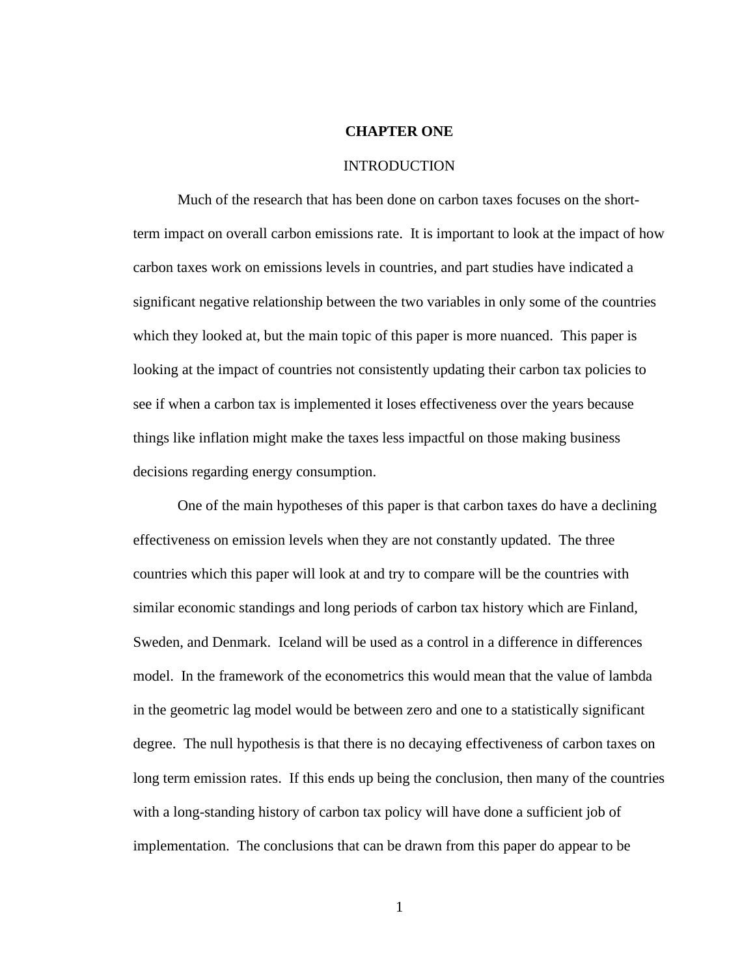### **CHAPTER ONE**

### INTRODUCTION

Much of the research that has been done on carbon taxes focuses on the shortterm impact on overall carbon emissions rate. It is important to look at the impact of how carbon taxes work on emissions levels in countries, and part studies have indicated a significant negative relationship between the two variables in only some of the countries which they looked at, but the main topic of this paper is more nuanced. This paper is looking at the impact of countries not consistently updating their carbon tax policies to see if when a carbon tax is implemented it loses effectiveness over the years because things like inflation might make the taxes less impactful on those making business decisions regarding energy consumption.

One of the main hypotheses of this paper is that carbon taxes do have a declining effectiveness on emission levels when they are not constantly updated. The three countries which this paper will look at and try to compare will be the countries with similar economic standings and long periods of carbon tax history which are Finland, Sweden, and Denmark. Iceland will be used as a control in a difference in differences model. In the framework of the econometrics this would mean that the value of lambda in the geometric lag model would be between zero and one to a statistically significant degree. The null hypothesis is that there is no decaying effectiveness of carbon taxes on long term emission rates. If this ends up being the conclusion, then many of the countries with a long-standing history of carbon tax policy will have done a sufficient job of implementation. The conclusions that can be drawn from this paper do appear to be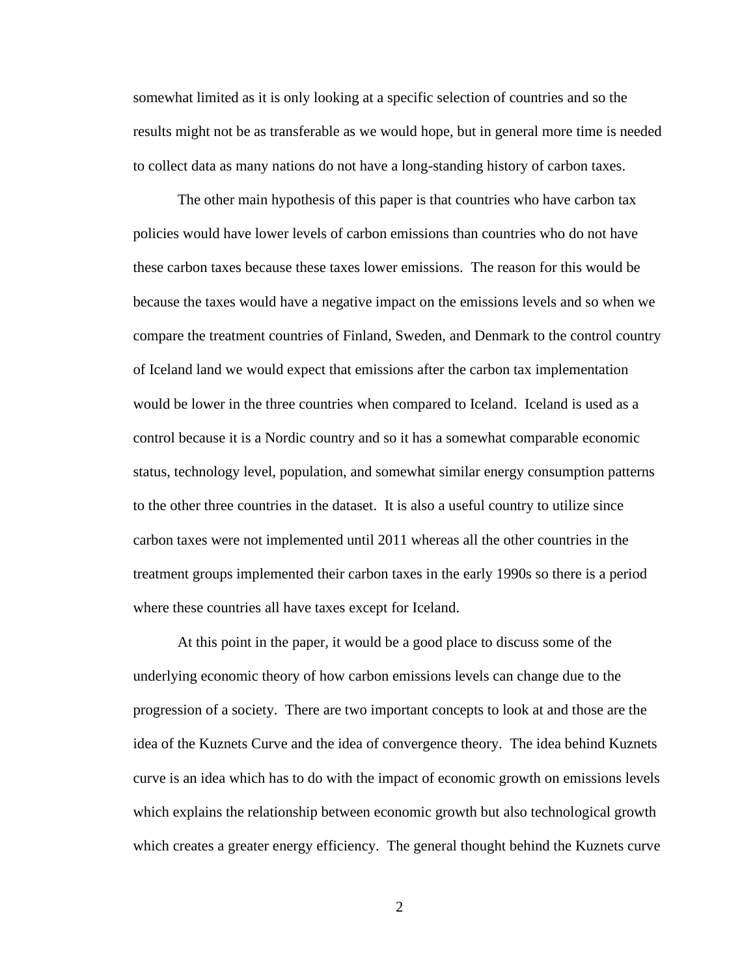somewhat limited as it is only looking at a specific selection of countries and so the results might not be as transferable as we would hope, but in general more time is needed to collect data as many nations do not have a long-standing history of carbon taxes.

The other main hypothesis of this paper is that countries who have carbon tax policies would have lower levels of carbon emissions than countries who do not have these carbon taxes because these taxes lower emissions. The reason for this would be because the taxes would have a negative impact on the emissions levels and so when we compare the treatment countries of Finland, Sweden, and Denmark to the control country of Iceland land we would expect that emissions after the carbon tax implementation would be lower in the three countries when compared to Iceland. Iceland is used as a control because it is a Nordic country and so it has a somewhat comparable economic status, technology level, population, and somewhat similar energy consumption patterns to the other three countries in the dataset. It is also a useful country to utilize since carbon taxes were not implemented until 2011 whereas all the other countries in the treatment groups implemented their carbon taxes in the early 1990s so there is a period where these countries all have taxes except for Iceland.

At this point in the paper, it would be a good place to discuss some of the underlying economic theory of how carbon emissions levels can change due to the progression of a society. There are two important concepts to look at and those are the idea of the Kuznets Curve and the idea of convergence theory. The idea behind Kuznets curve is an idea which has to do with the impact of economic growth on emissions levels which explains the relationship between economic growth but also technological growth which creates a greater energy efficiency. The general thought behind the Kuznets curve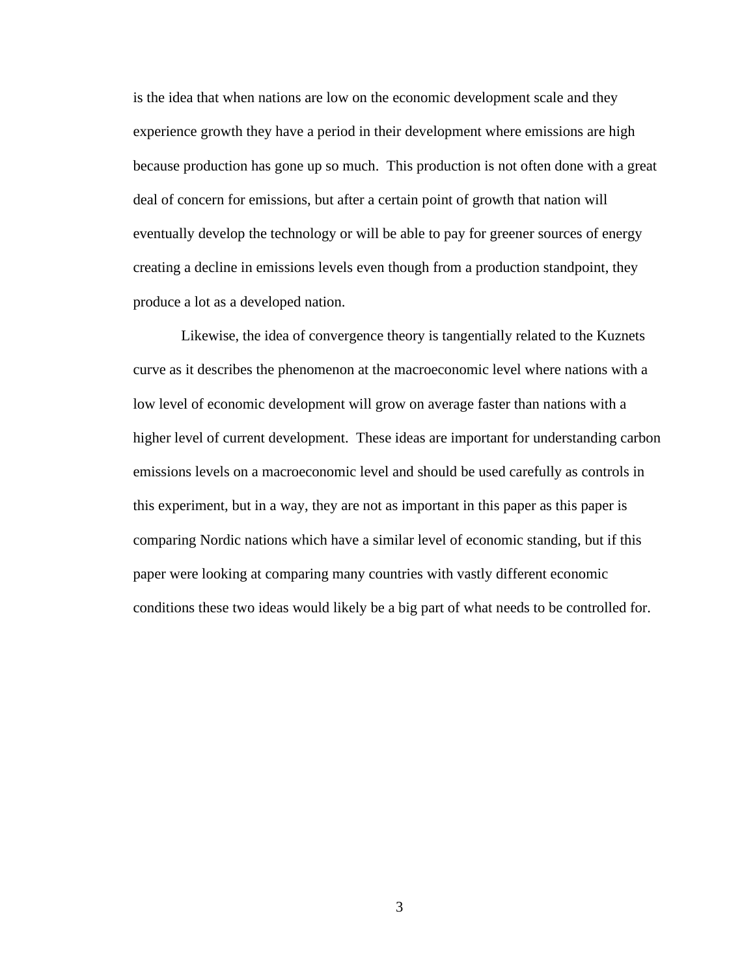is the idea that when nations are low on the economic development scale and they experience growth they have a period in their development where emissions are high because production has gone up so much. This production is not often done with a great deal of concern for emissions, but after a certain point of growth that nation will eventually develop the technology or will be able to pay for greener sources of energy creating a decline in emissions levels even though from a production standpoint, they produce a lot as a developed nation.

Likewise, the idea of convergence theory is tangentially related to the Kuznets curve as it describes the phenomenon at the macroeconomic level where nations with a low level of economic development will grow on average faster than nations with a higher level of current development. These ideas are important for understanding carbon emissions levels on a macroeconomic level and should be used carefully as controls in this experiment, but in a way, they are not as important in this paper as this paper is comparing Nordic nations which have a similar level of economic standing, but if this paper were looking at comparing many countries with vastly different economic conditions these two ideas would likely be a big part of what needs to be controlled for.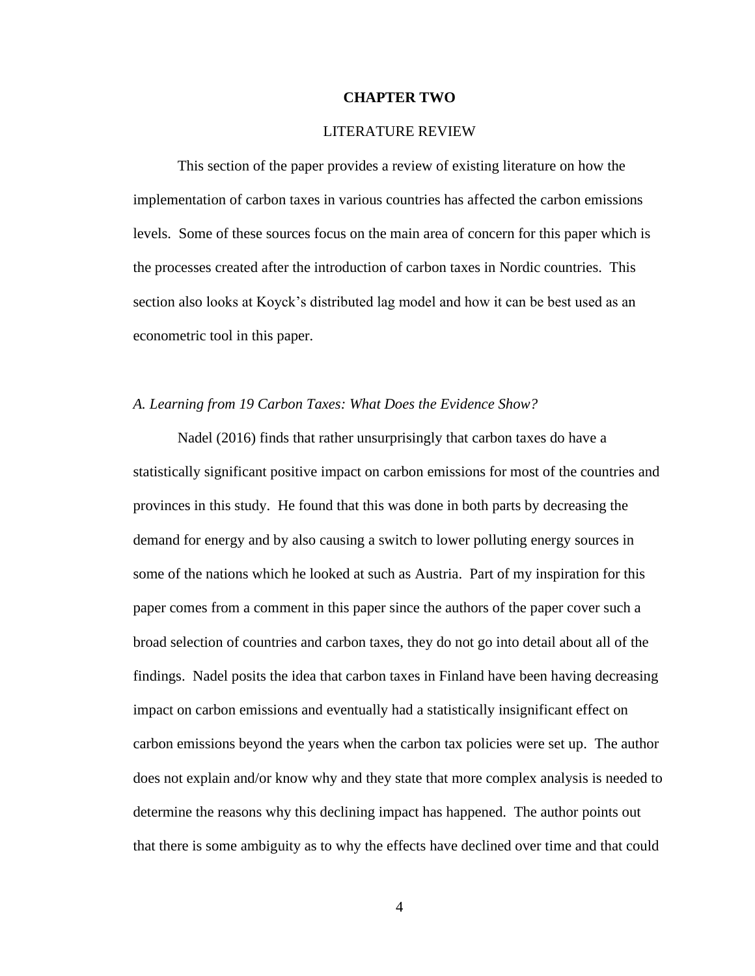### **CHAPTER TWO**

### LITERATURE REVIEW

This section of the paper provides a review of existing literature on how the implementation of carbon taxes in various countries has affected the carbon emissions levels. Some of these sources focus on the main area of concern for this paper which is the processes created after the introduction of carbon taxes in Nordic countries. This section also looks at Koyck's distributed lag model and how it can be best used as an econometric tool in this paper.

### *A. Learning from 19 Carbon Taxes: What Does the Evidence Show?*

Nadel (2016) finds that rather unsurprisingly that carbon taxes do have a statistically significant positive impact on carbon emissions for most of the countries and provinces in this study. He found that this was done in both parts by decreasing the demand for energy and by also causing a switch to lower polluting energy sources in some of the nations which he looked at such as Austria. Part of my inspiration for this paper comes from a comment in this paper since the authors of the paper cover such a broad selection of countries and carbon taxes, they do not go into detail about all of the findings. Nadel posits the idea that carbon taxes in Finland have been having decreasing impact on carbon emissions and eventually had a statistically insignificant effect on carbon emissions beyond the years when the carbon tax policies were set up. The author does not explain and/or know why and they state that more complex analysis is needed to determine the reasons why this declining impact has happened. The author points out that there is some ambiguity as to why the effects have declined over time and that could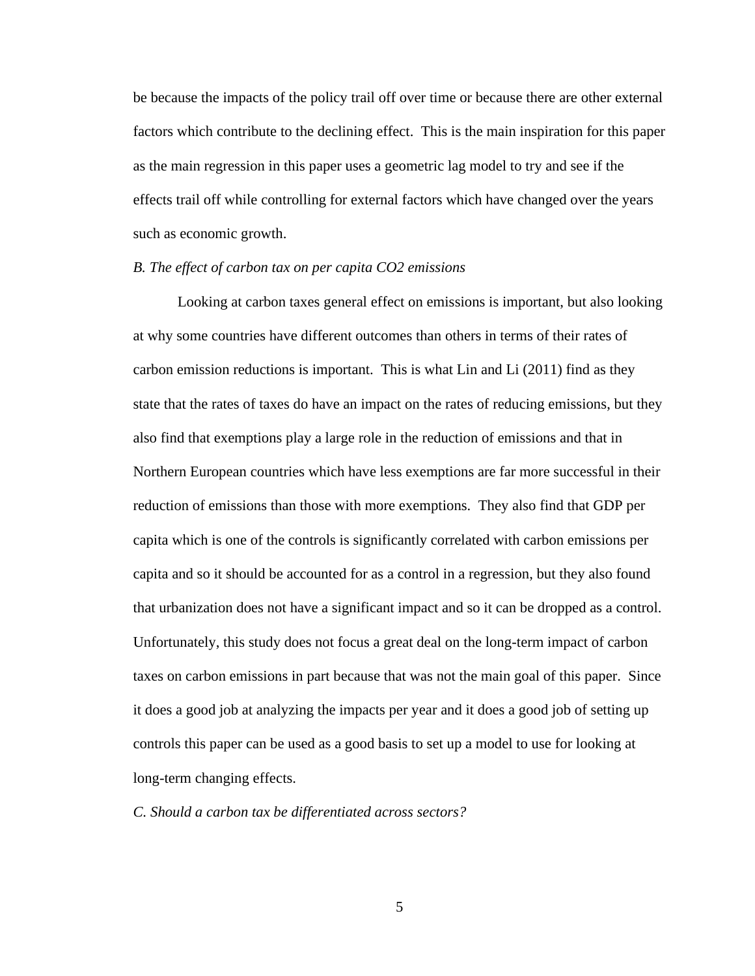be because the impacts of the policy trail off over time or because there are other external factors which contribute to the declining effect. This is the main inspiration for this paper as the main regression in this paper uses a geometric lag model to try and see if the effects trail off while controlling for external factors which have changed over the years such as economic growth.

## *B. The effect of carbon tax on per capita CO2 emissions*

Looking at carbon taxes general effect on emissions is important, but also looking at why some countries have different outcomes than others in terms of their rates of carbon emission reductions is important. This is what Lin and Li (2011) find as they state that the rates of taxes do have an impact on the rates of reducing emissions, but they also find that exemptions play a large role in the reduction of emissions and that in Northern European countries which have less exemptions are far more successful in their reduction of emissions than those with more exemptions. They also find that GDP per capita which is one of the controls is significantly correlated with carbon emissions per capita and so it should be accounted for as a control in a regression, but they also found that urbanization does not have a significant impact and so it can be dropped as a control. Unfortunately, this study does not focus a great deal on the long-term impact of carbon taxes on carbon emissions in part because that was not the main goal of this paper. Since it does a good job at analyzing the impacts per year and it does a good job of setting up controls this paper can be used as a good basis to set up a model to use for looking at long-term changing effects.

*C. Should a carbon tax be differentiated across sectors?*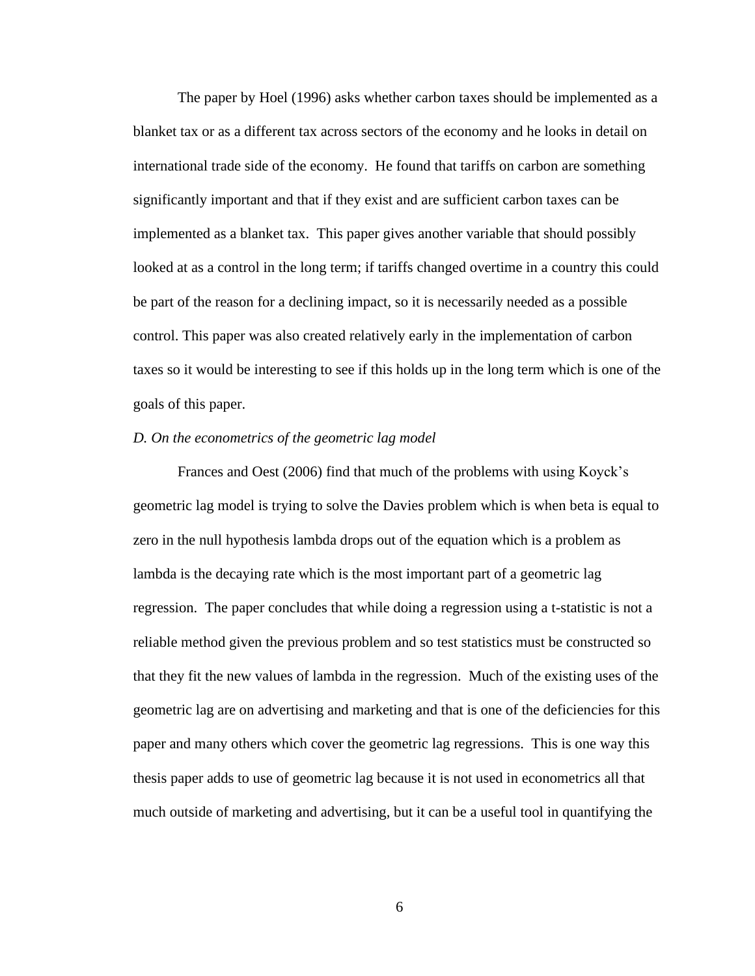The paper by Hoel (1996) asks whether carbon taxes should be implemented as a blanket tax or as a different tax across sectors of the economy and he looks in detail on international trade side of the economy. He found that tariffs on carbon are something significantly important and that if they exist and are sufficient carbon taxes can be implemented as a blanket tax. This paper gives another variable that should possibly looked at as a control in the long term; if tariffs changed overtime in a country this could be part of the reason for a declining impact, so it is necessarily needed as a possible control. This paper was also created relatively early in the implementation of carbon taxes so it would be interesting to see if this holds up in the long term which is one of the goals of this paper.

#### *D. On the econometrics of the geometric lag model*

Frances and Oest (2006) find that much of the problems with using Koyck's geometric lag model is trying to solve the Davies problem which is when beta is equal to zero in the null hypothesis lambda drops out of the equation which is a problem as lambda is the decaying rate which is the most important part of a geometric lag regression. The paper concludes that while doing a regression using a t-statistic is not a reliable method given the previous problem and so test statistics must be constructed so that they fit the new values of lambda in the regression. Much of the existing uses of the geometric lag are on advertising and marketing and that is one of the deficiencies for this paper and many others which cover the geometric lag regressions. This is one way this thesis paper adds to use of geometric lag because it is not used in econometrics all that much outside of marketing and advertising, but it can be a useful tool in quantifying the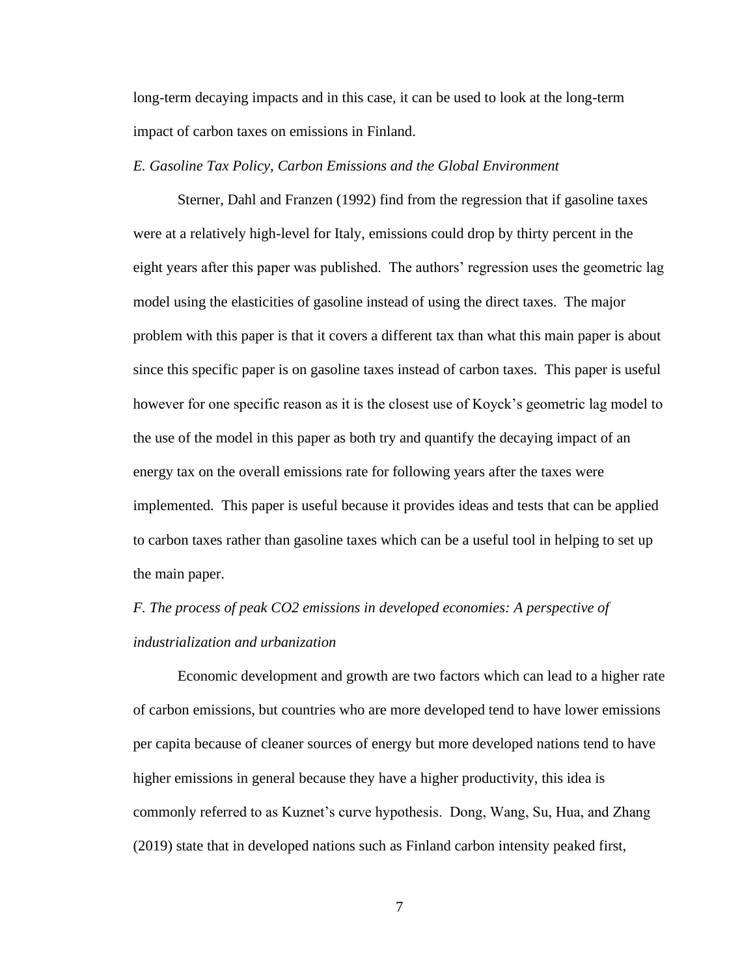long-term decaying impacts and in this case, it can be used to look at the long-term impact of carbon taxes on emissions in Finland.

## *E. Gasoline Tax Policy, Carbon Emissions and the Global Environment*

Sterner, Dahl and Franzen (1992) find from the regression that if gasoline taxes were at a relatively high-level for Italy, emissions could drop by thirty percent in the eight years after this paper was published. The authors' regression uses the geometric lag model using the elasticities of gasoline instead of using the direct taxes. The major problem with this paper is that it covers a different tax than what this main paper is about since this specific paper is on gasoline taxes instead of carbon taxes. This paper is useful however for one specific reason as it is the closest use of Koyck's geometric lag model to the use of the model in this paper as both try and quantify the decaying impact of an energy tax on the overall emissions rate for following years after the taxes were implemented. This paper is useful because it provides ideas and tests that can be applied to carbon taxes rather than gasoline taxes which can be a useful tool in helping to set up the main paper.

# *F. The process of peak CO2 emissions in developed economies: A perspective of industrialization and urbanization*

Economic development and growth are two factors which can lead to a higher rate of carbon emissions, but countries who are more developed tend to have lower emissions per capita because of cleaner sources of energy but more developed nations tend to have higher emissions in general because they have a higher productivity, this idea is commonly referred to as Kuznet's curve hypothesis. Dong, Wang, Su, Hua, and Zhang (2019) state that in developed nations such as Finland carbon intensity peaked first,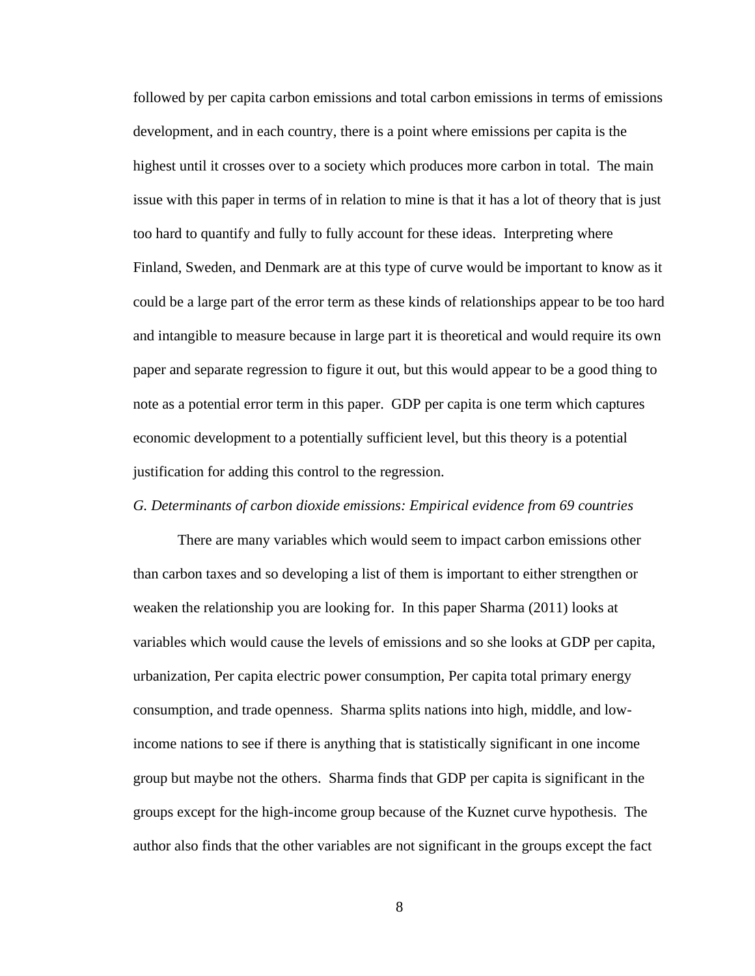followed by per capita carbon emissions and total carbon emissions in terms of emissions development, and in each country, there is a point where emissions per capita is the highest until it crosses over to a society which produces more carbon in total. The main issue with this paper in terms of in relation to mine is that it has a lot of theory that is just too hard to quantify and fully to fully account for these ideas. Interpreting where Finland, Sweden, and Denmark are at this type of curve would be important to know as it could be a large part of the error term as these kinds of relationships appear to be too hard and intangible to measure because in large part it is theoretical and would require its own paper and separate regression to figure it out, but this would appear to be a good thing to note as a potential error term in this paper. GDP per capita is one term which captures economic development to a potentially sufficient level, but this theory is a potential justification for adding this control to the regression.

### *G. Determinants of carbon dioxide emissions: Empirical evidence from 69 countries*

There are many variables which would seem to impact carbon emissions other than carbon taxes and so developing a list of them is important to either strengthen or weaken the relationship you are looking for. In this paper Sharma (2011) looks at variables which would cause the levels of emissions and so she looks at GDP per capita, urbanization, Per capita electric power consumption, Per capita total primary energy consumption, and trade openness. Sharma splits nations into high, middle, and lowincome nations to see if there is anything that is statistically significant in one income group but maybe not the others. Sharma finds that GDP per capita is significant in the groups except for the high-income group because of the Kuznet curve hypothesis. The author also finds that the other variables are not significant in the groups except the fact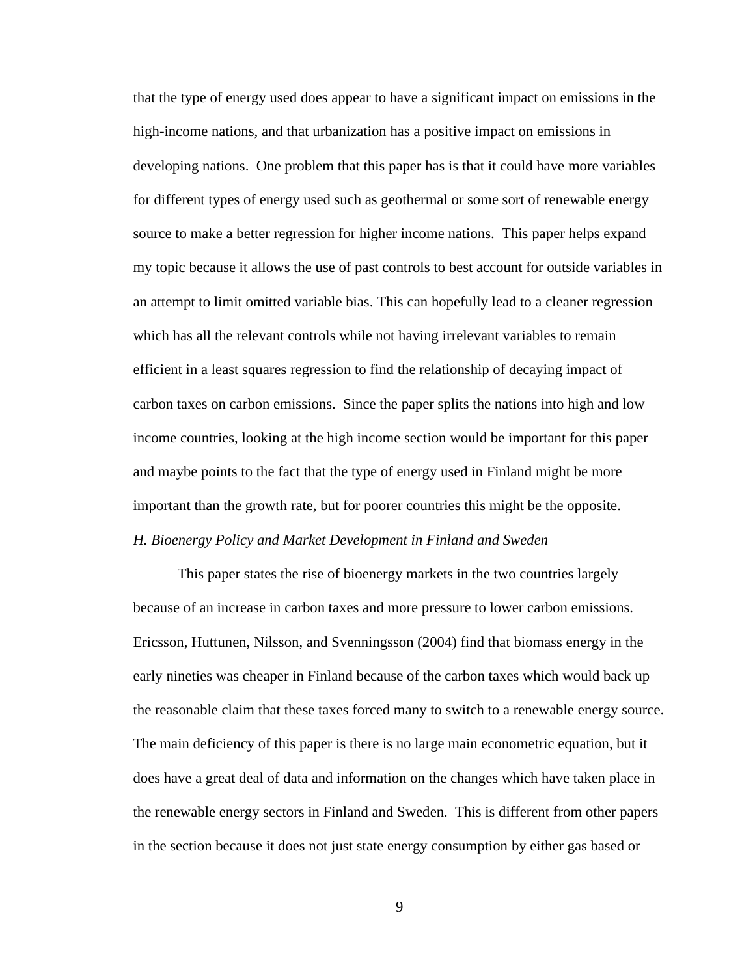that the type of energy used does appear to have a significant impact on emissions in the high-income nations, and that urbanization has a positive impact on emissions in developing nations. One problem that this paper has is that it could have more variables for different types of energy used such as geothermal or some sort of renewable energy source to make a better regression for higher income nations. This paper helps expand my topic because it allows the use of past controls to best account for outside variables in an attempt to limit omitted variable bias. This can hopefully lead to a cleaner regression which has all the relevant controls while not having irrelevant variables to remain efficient in a least squares regression to find the relationship of decaying impact of carbon taxes on carbon emissions. Since the paper splits the nations into high and low income countries, looking at the high income section would be important for this paper and maybe points to the fact that the type of energy used in Finland might be more important than the growth rate, but for poorer countries this might be the opposite. *H. Bioenergy Policy and Market Development in Finland and Sweden*

This paper states the rise of bioenergy markets in the two countries largely because of an increase in carbon taxes and more pressure to lower carbon emissions. Ericsson, Huttunen, Nilsson, and Svenningsson (2004) find that biomass energy in the early nineties was cheaper in Finland because of the carbon taxes which would back up the reasonable claim that these taxes forced many to switch to a renewable energy source. The main deficiency of this paper is there is no large main econometric equation, but it does have a great deal of data and information on the changes which have taken place in the renewable energy sectors in Finland and Sweden. This is different from other papers in the section because it does not just state energy consumption by either gas based or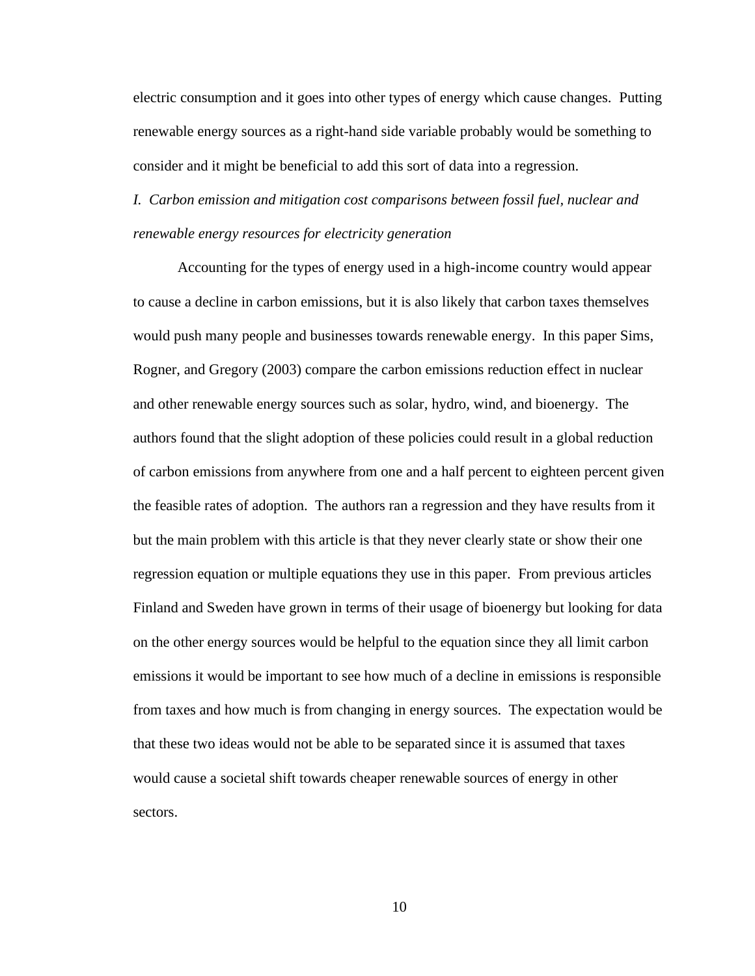electric consumption and it goes into other types of energy which cause changes. Putting renewable energy sources as a right-hand side variable probably would be something to consider and it might be beneficial to add this sort of data into a regression.

*I. Carbon emission and mitigation cost comparisons between fossil fuel, nuclear and renewable energy resources for electricity generation*

Accounting for the types of energy used in a high-income country would appear to cause a decline in carbon emissions, but it is also likely that carbon taxes themselves would push many people and businesses towards renewable energy. In this paper Sims, Rogner, and Gregory (2003) compare the carbon emissions reduction effect in nuclear and other renewable energy sources such as solar, hydro, wind, and bioenergy. The authors found that the slight adoption of these policies could result in a global reduction of carbon emissions from anywhere from one and a half percent to eighteen percent given the feasible rates of adoption. The authors ran a regression and they have results from it but the main problem with this article is that they never clearly state or show their one regression equation or multiple equations they use in this paper. From previous articles Finland and Sweden have grown in terms of their usage of bioenergy but looking for data on the other energy sources would be helpful to the equation since they all limit carbon emissions it would be important to see how much of a decline in emissions is responsible from taxes and how much is from changing in energy sources. The expectation would be that these two ideas would not be able to be separated since it is assumed that taxes would cause a societal shift towards cheaper renewable sources of energy in other sectors.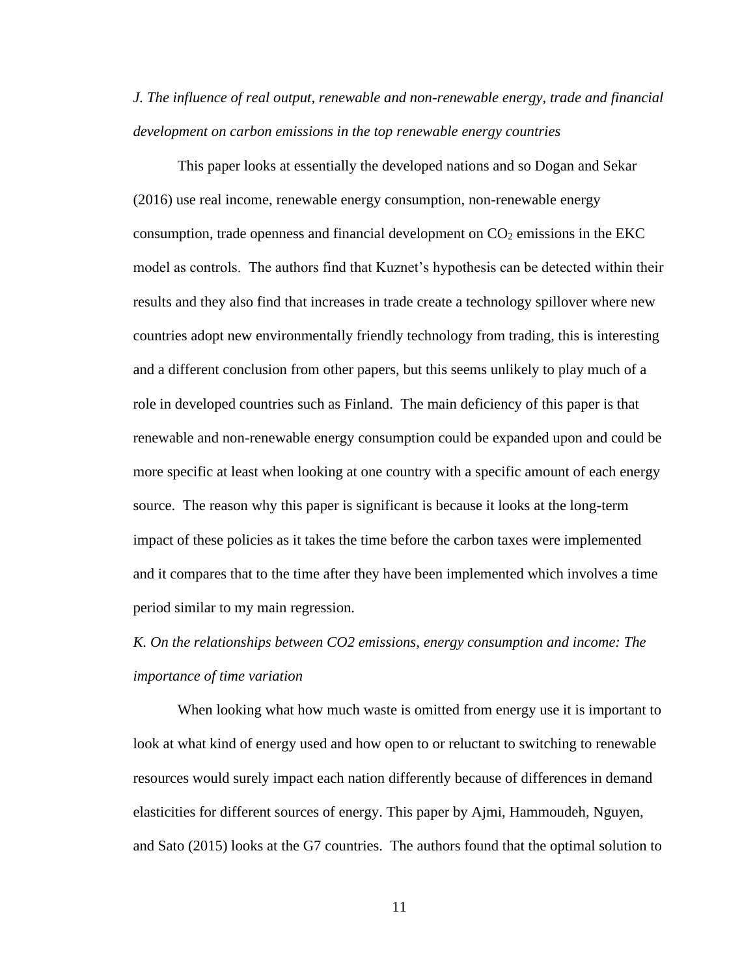*J. The influence of real output, renewable and non-renewable energy, trade and financial development on carbon emissions in the top renewable energy countries*

This paper looks at essentially the developed nations and so Dogan and Sekar (2016) use real income, renewable energy consumption, non-renewable energy consumption, trade openness and financial development on  $CO<sub>2</sub>$  emissions in the EKC model as controls. The authors find that Kuznet's hypothesis can be detected within their results and they also find that increases in trade create a technology spillover where new countries adopt new environmentally friendly technology from trading, this is interesting and a different conclusion from other papers, but this seems unlikely to play much of a role in developed countries such as Finland. The main deficiency of this paper is that renewable and non-renewable energy consumption could be expanded upon and could be more specific at least when looking at one country with a specific amount of each energy source. The reason why this paper is significant is because it looks at the long-term impact of these policies as it takes the time before the carbon taxes were implemented and it compares that to the time after they have been implemented which involves a time period similar to my main regression.

# *K. On the relationships between CO2 emissions, energy consumption and income: The importance of time variation*

When looking what how much waste is omitted from energy use it is important to look at what kind of energy used and how open to or reluctant to switching to renewable resources would surely impact each nation differently because of differences in demand elasticities for different sources of energy. This paper by Ajmi, Hammoudeh, Nguyen, and Sato (2015) looks at the G7 countries. The authors found that the optimal solution to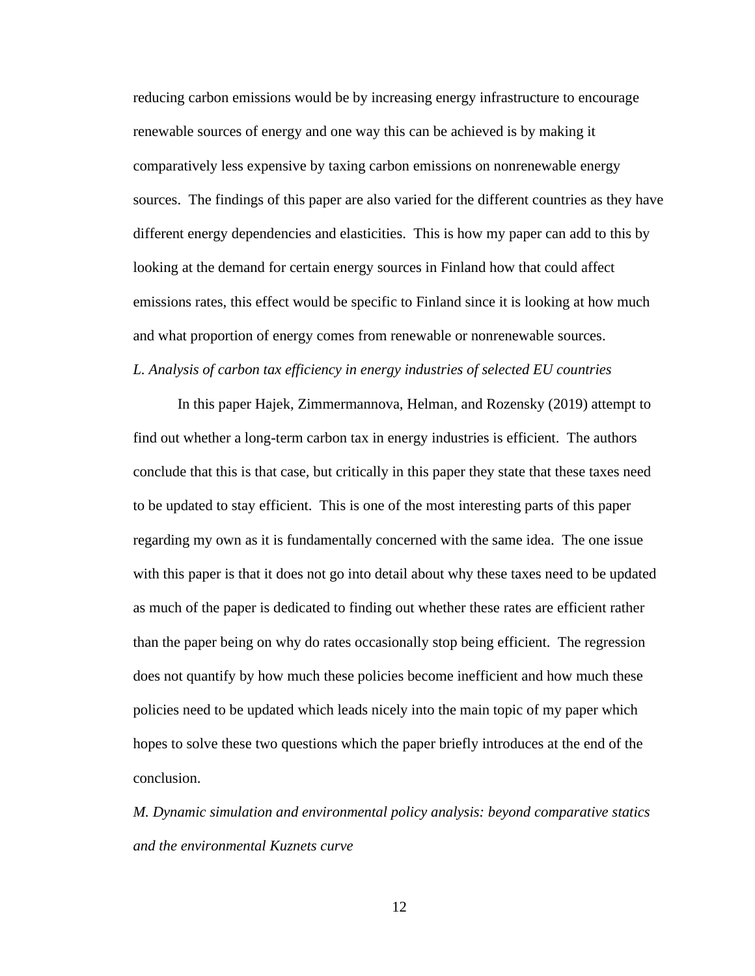reducing carbon emissions would be by increasing energy infrastructure to encourage renewable sources of energy and one way this can be achieved is by making it comparatively less expensive by taxing carbon emissions on nonrenewable energy sources. The findings of this paper are also varied for the different countries as they have different energy dependencies and elasticities. This is how my paper can add to this by looking at the demand for certain energy sources in Finland how that could affect emissions rates, this effect would be specific to Finland since it is looking at how much and what proportion of energy comes from renewable or nonrenewable sources. *L. Analysis of carbon tax efficiency in energy industries of selected EU countries*

In this paper Hajek, Zimmermannova, Helman, and Rozensky (2019) attempt to find out whether a long-term carbon tax in energy industries is efficient. The authors conclude that this is that case, but critically in this paper they state that these taxes need to be updated to stay efficient. This is one of the most interesting parts of this paper regarding my own as it is fundamentally concerned with the same idea. The one issue with this paper is that it does not go into detail about why these taxes need to be updated as much of the paper is dedicated to finding out whether these rates are efficient rather than the paper being on why do rates occasionally stop being efficient. The regression does not quantify by how much these policies become inefficient and how much these policies need to be updated which leads nicely into the main topic of my paper which hopes to solve these two questions which the paper briefly introduces at the end of the conclusion.

*M. Dynamic simulation and environmental policy analysis: beyond comparative statics and the environmental Kuznets curve*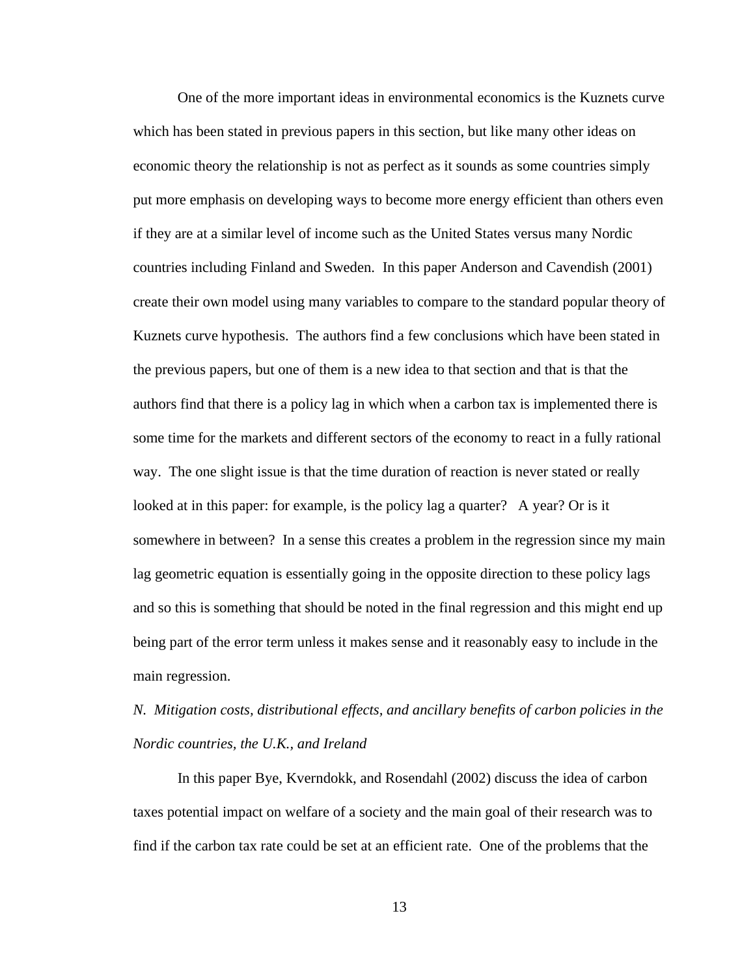One of the more important ideas in environmental economics is the Kuznets curve which has been stated in previous papers in this section, but like many other ideas on economic theory the relationship is not as perfect as it sounds as some countries simply put more emphasis on developing ways to become more energy efficient than others even if they are at a similar level of income such as the United States versus many Nordic countries including Finland and Sweden. In this paper Anderson and Cavendish (2001) create their own model using many variables to compare to the standard popular theory of Kuznets curve hypothesis. The authors find a few conclusions which have been stated in the previous papers, but one of them is a new idea to that section and that is that the authors find that there is a policy lag in which when a carbon tax is implemented there is some time for the markets and different sectors of the economy to react in a fully rational way. The one slight issue is that the time duration of reaction is never stated or really looked at in this paper: for example, is the policy lag a quarter? A year? Or is it somewhere in between? In a sense this creates a problem in the regression since my main lag geometric equation is essentially going in the opposite direction to these policy lags and so this is something that should be noted in the final regression and this might end up being part of the error term unless it makes sense and it reasonably easy to include in the main regression.

# *N. Mitigation costs, distributional effects, and ancillary benefits of carbon policies in the Nordic countries, the U.K., and Ireland*

In this paper Bye, Kverndokk, and Rosendahl (2002) discuss the idea of carbon taxes potential impact on welfare of a society and the main goal of their research was to find if the carbon tax rate could be set at an efficient rate. One of the problems that the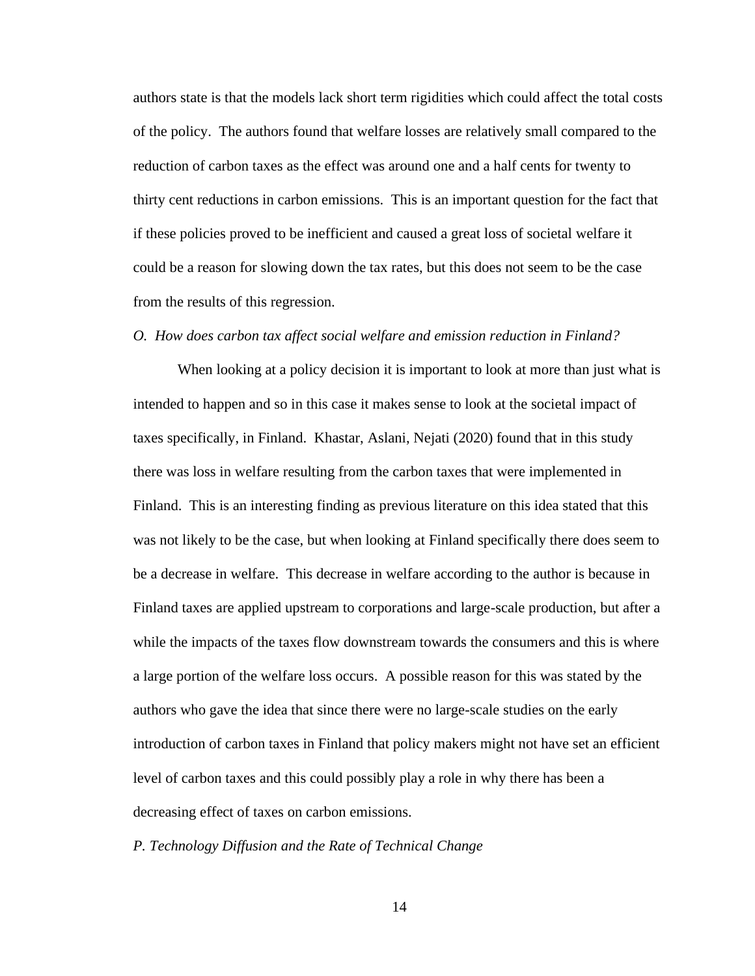authors state is that the models lack short term rigidities which could affect the total costs of the policy. The authors found that welfare losses are relatively small compared to the reduction of carbon taxes as the effect was around one and a half cents for twenty to thirty cent reductions in carbon emissions. This is an important question for the fact that if these policies proved to be inefficient and caused a great loss of societal welfare it could be a reason for slowing down the tax rates, but this does not seem to be the case from the results of this regression.

### *O. How does carbon tax affect social welfare and emission reduction in Finland?*

When looking at a policy decision it is important to look at more than just what is intended to happen and so in this case it makes sense to look at the societal impact of taxes specifically, in Finland. Khastar, Aslani, Nejati (2020) found that in this study there was loss in welfare resulting from the carbon taxes that were implemented in Finland. This is an interesting finding as previous literature on this idea stated that this was not likely to be the case, but when looking at Finland specifically there does seem to be a decrease in welfare. This decrease in welfare according to the author is because in Finland taxes are applied upstream to corporations and large-scale production, but after a while the impacts of the taxes flow downstream towards the consumers and this is where a large portion of the welfare loss occurs. A possible reason for this was stated by the authors who gave the idea that since there were no large-scale studies on the early introduction of carbon taxes in Finland that policy makers might not have set an efficient level of carbon taxes and this could possibly play a role in why there has been a decreasing effect of taxes on carbon emissions.

## *P. Technology Diffusion and the Rate of Technical Change*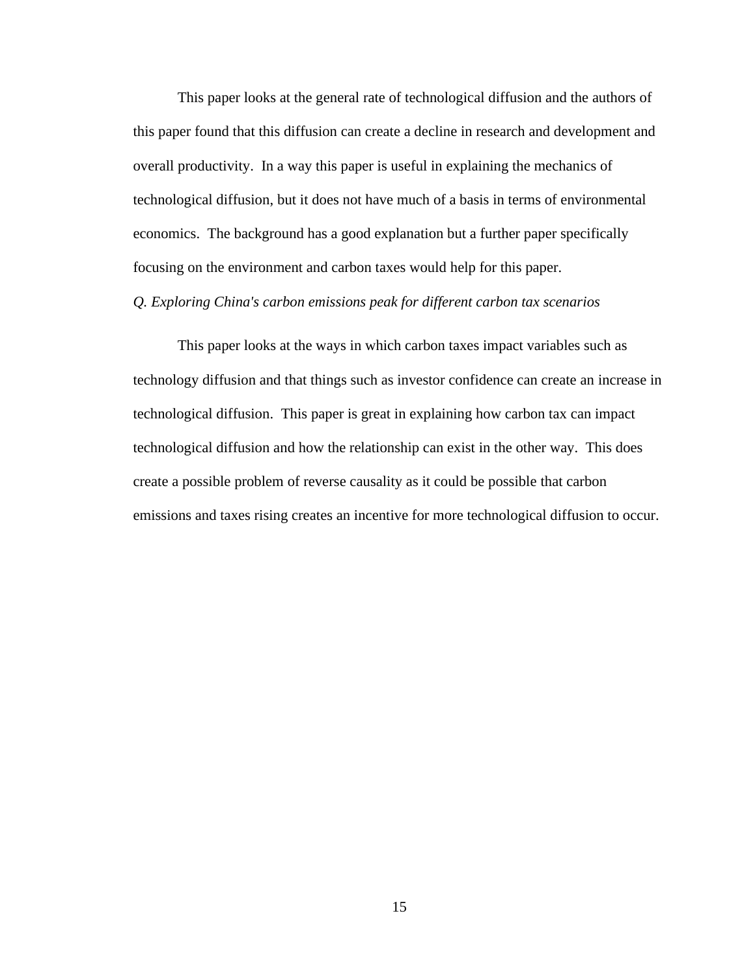This paper looks at the general rate of technological diffusion and the authors of this paper found that this diffusion can create a decline in research and development and overall productivity. In a way this paper is useful in explaining the mechanics of technological diffusion, but it does not have much of a basis in terms of environmental economics. The background has a good explanation but a further paper specifically focusing on the environment and carbon taxes would help for this paper.

## *Q. Exploring China's carbon emissions peak for different carbon tax scenarios*

This paper looks at the ways in which carbon taxes impact variables such as technology diffusion and that things such as investor confidence can create an increase in technological diffusion. This paper is great in explaining how carbon tax can impact technological diffusion and how the relationship can exist in the other way. This does create a possible problem of reverse causality as it could be possible that carbon emissions and taxes rising creates an incentive for more technological diffusion to occur.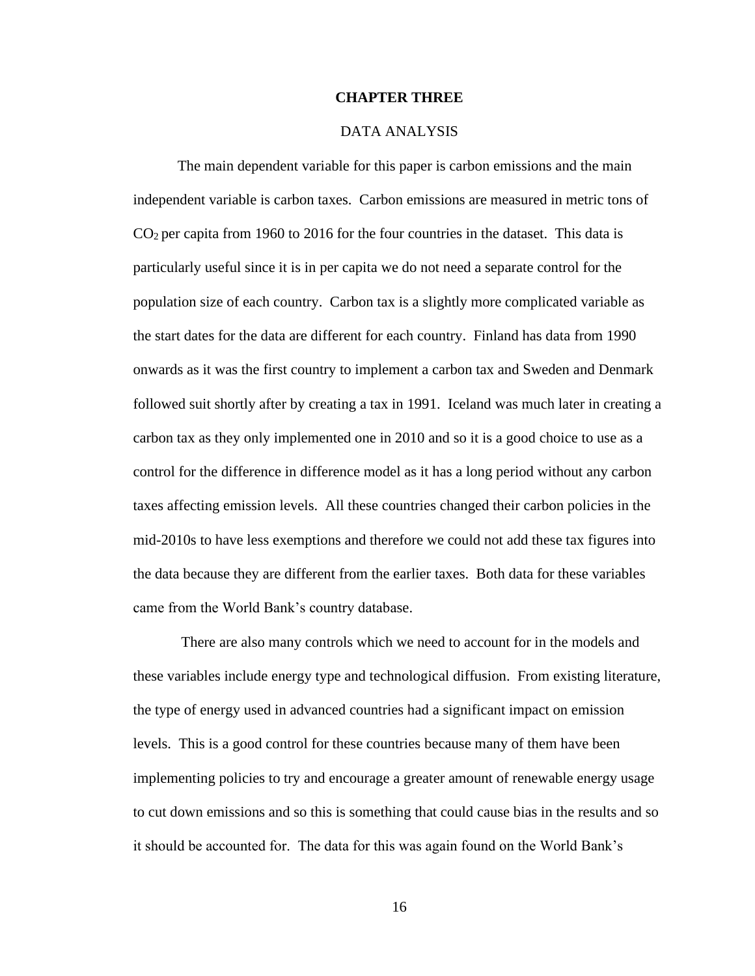### **CHAPTER THREE**

## DATA ANALYSIS

The main dependent variable for this paper is carbon emissions and the main independent variable is carbon taxes. Carbon emissions are measured in metric tons of  $CO<sub>2</sub>$  per capita from 1960 to 2016 for the four countries in the dataset. This data is particularly useful since it is in per capita we do not need a separate control for the population size of each country. Carbon tax is a slightly more complicated variable as the start dates for the data are different for each country. Finland has data from 1990 onwards as it was the first country to implement a carbon tax and Sweden and Denmark followed suit shortly after by creating a tax in 1991. Iceland was much later in creating a carbon tax as they only implemented one in 2010 and so it is a good choice to use as a control for the difference in difference model as it has a long period without any carbon taxes affecting emission levels. All these countries changed their carbon policies in the mid-2010s to have less exemptions and therefore we could not add these tax figures into the data because they are different from the earlier taxes. Both data for these variables came from the World Bank's country database.

There are also many controls which we need to account for in the models and these variables include energy type and technological diffusion. From existing literature, the type of energy used in advanced countries had a significant impact on emission levels. This is a good control for these countries because many of them have been implementing policies to try and encourage a greater amount of renewable energy usage to cut down emissions and so this is something that could cause bias in the results and so it should be accounted for. The data for this was again found on the World Bank's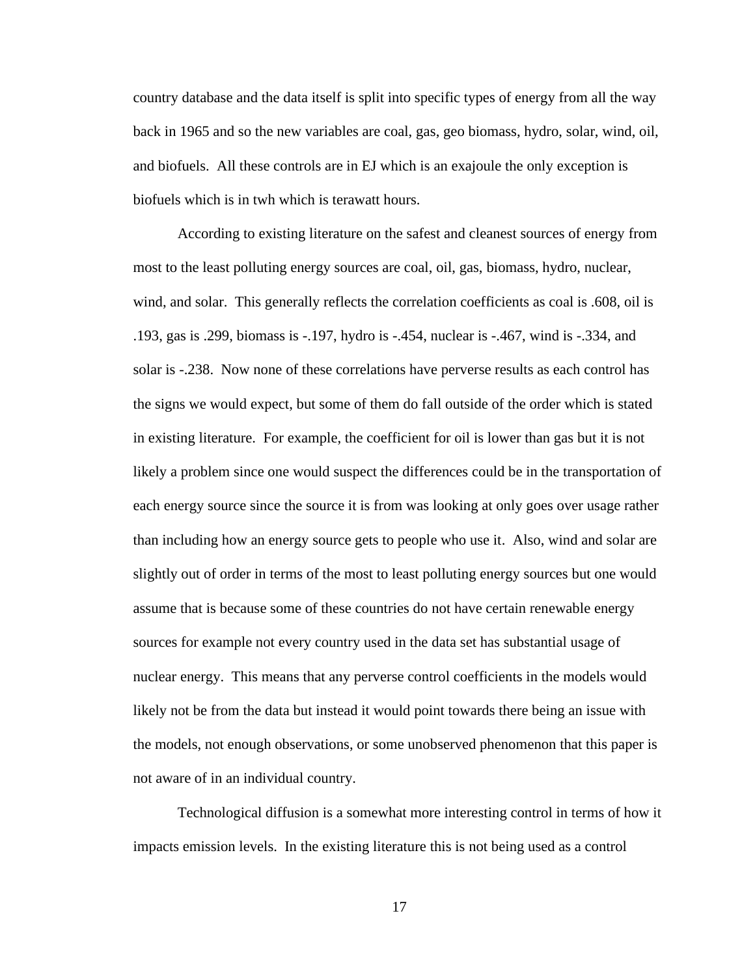country database and the data itself is split into specific types of energy from all the way back in 1965 and so the new variables are coal, gas, geo biomass, hydro, solar, wind, oil, and biofuels. All these controls are in EJ which is an exajoule the only exception is biofuels which is in twh which is terawatt hours.

According to existing literature on the safest and cleanest sources of energy from most to the least polluting energy sources are coal, oil, gas, biomass, hydro, nuclear, wind, and solar. This generally reflects the correlation coefficients as coal is .608, oil is .193, gas is .299, biomass is -.197, hydro is -.454, nuclear is -.467, wind is -.334, and solar is  $-.238$ . Now none of these correlations have perverse results as each control has the signs we would expect, but some of them do fall outside of the order which is stated in existing literature. For example, the coefficient for oil is lower than gas but it is not likely a problem since one would suspect the differences could be in the transportation of each energy source since the source it is from was looking at only goes over usage rather than including how an energy source gets to people who use it. Also, wind and solar are slightly out of order in terms of the most to least polluting energy sources but one would assume that is because some of these countries do not have certain renewable energy sources for example not every country used in the data set has substantial usage of nuclear energy. This means that any perverse control coefficients in the models would likely not be from the data but instead it would point towards there being an issue with the models, not enough observations, or some unobserved phenomenon that this paper is not aware of in an individual country.

Technological diffusion is a somewhat more interesting control in terms of how it impacts emission levels. In the existing literature this is not being used as a control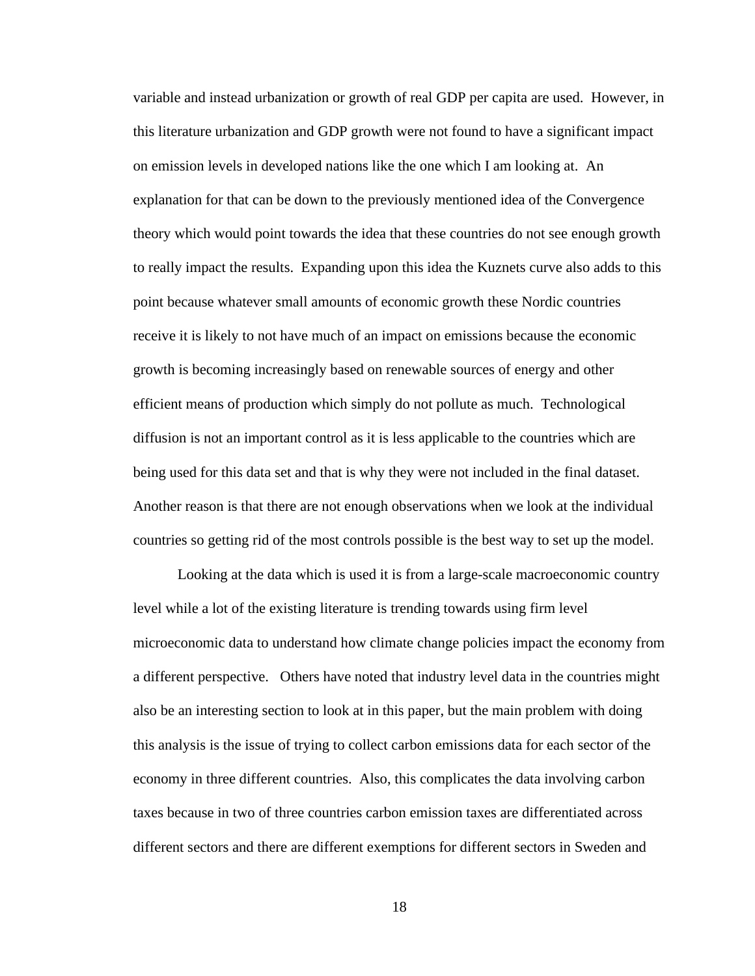variable and instead urbanization or growth of real GDP per capita are used. However, in this literature urbanization and GDP growth were not found to have a significant impact on emission levels in developed nations like the one which I am looking at. An explanation for that can be down to the previously mentioned idea of the Convergence theory which would point towards the idea that these countries do not see enough growth to really impact the results. Expanding upon this idea the Kuznets curve also adds to this point because whatever small amounts of economic growth these Nordic countries receive it is likely to not have much of an impact on emissions because the economic growth is becoming increasingly based on renewable sources of energy and other efficient means of production which simply do not pollute as much. Technological diffusion is not an important control as it is less applicable to the countries which are being used for this data set and that is why they were not included in the final dataset. Another reason is that there are not enough observations when we look at the individual countries so getting rid of the most controls possible is the best way to set up the model.

Looking at the data which is used it is from a large-scale macroeconomic country level while a lot of the existing literature is trending towards using firm level microeconomic data to understand how climate change policies impact the economy from a different perspective. Others have noted that industry level data in the countries might also be an interesting section to look at in this paper, but the main problem with doing this analysis is the issue of trying to collect carbon emissions data for each sector of the economy in three different countries. Also, this complicates the data involving carbon taxes because in two of three countries carbon emission taxes are differentiated across different sectors and there are different exemptions for different sectors in Sweden and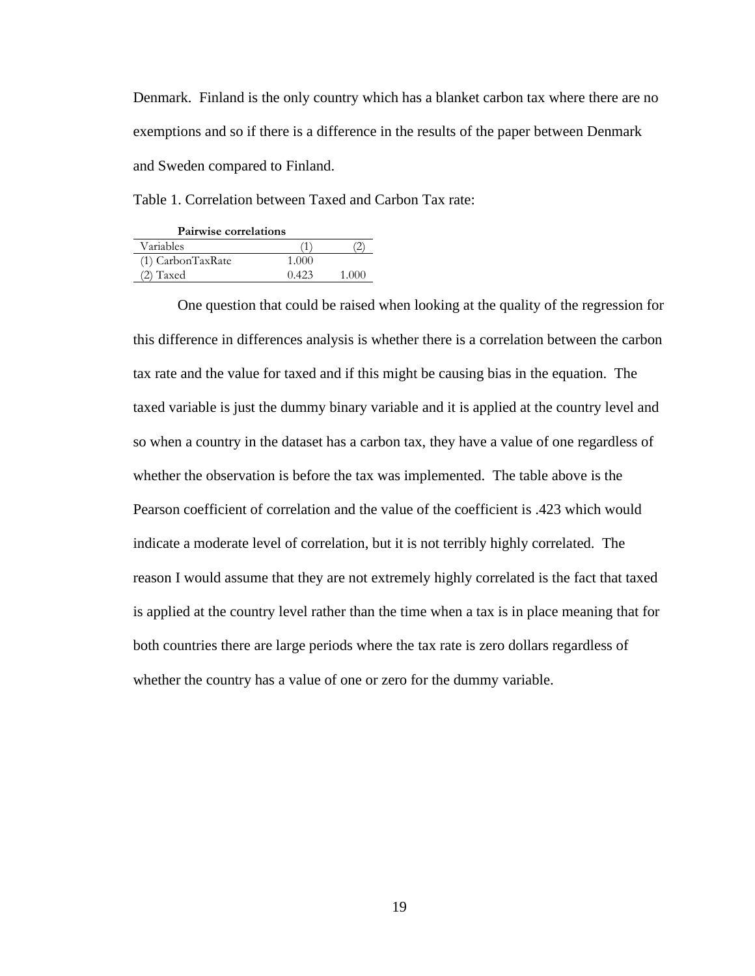Denmark. Finland is the only country which has a blanket carbon tax where there are no exemptions and so if there is a difference in the results of the paper between Denmark and Sweden compared to Finland.

Table 1. Correlation between Taxed and Carbon Tax rate:

| <b>Pairwise correlations</b> |       |       |  |  |  |
|------------------------------|-------|-------|--|--|--|
| Variables                    |       |       |  |  |  |
| (1) CarbonTaxRate            | 1.000 |       |  |  |  |
| $(2)$ Taxed                  | 0.423 | 1.000 |  |  |  |

One question that could be raised when looking at the quality of the regression for this difference in differences analysis is whether there is a correlation between the carbon tax rate and the value for taxed and if this might be causing bias in the equation. The taxed variable is just the dummy binary variable and it is applied at the country level and so when a country in the dataset has a carbon tax, they have a value of one regardless of whether the observation is before the tax was implemented. The table above is the Pearson coefficient of correlation and the value of the coefficient is .423 which would indicate a moderate level of correlation, but it is not terribly highly correlated. The reason I would assume that they are not extremely highly correlated is the fact that taxed is applied at the country level rather than the time when a tax is in place meaning that for both countries there are large periods where the tax rate is zero dollars regardless of whether the country has a value of one or zero for the dummy variable.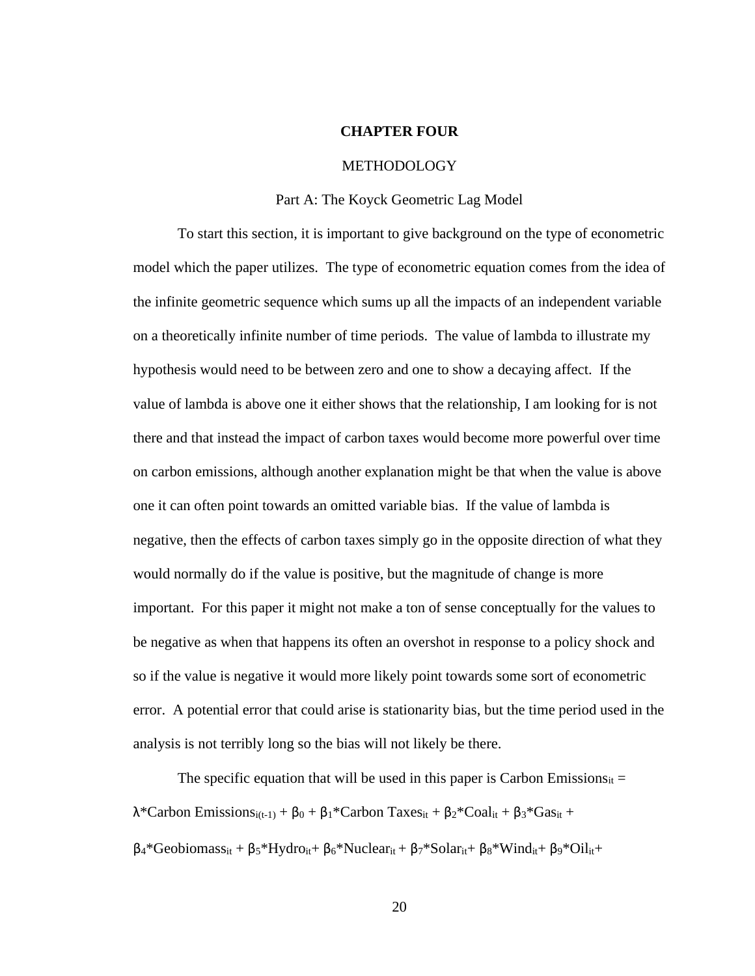### **CHAPTER FOUR**

#### METHODOLOGY

### Part A: The Koyck Geometric Lag Model

To start this section, it is important to give background on the type of econometric model which the paper utilizes. The type of econometric equation comes from the idea of the infinite geometric sequence which sums up all the impacts of an independent variable on a theoretically infinite number of time periods. The value of lambda to illustrate my hypothesis would need to be between zero and one to show a decaying affect. If the value of lambda is above one it either shows that the relationship, I am looking for is not there and that instead the impact of carbon taxes would become more powerful over time on carbon emissions, although another explanation might be that when the value is above one it can often point towards an omitted variable bias. If the value of lambda is negative, then the effects of carbon taxes simply go in the opposite direction of what they would normally do if the value is positive, but the magnitude of change is more important. For this paper it might not make a ton of sense conceptually for the values to be negative as when that happens its often an overshot in response to a policy shock and so if the value is negative it would more likely point towards some sort of econometric error. A potential error that could arise is stationarity bias, but the time period used in the analysis is not terribly long so the bias will not likely be there.

The specific equation that will be used in this paper is Carbon Emissions<sub>it</sub> =  $\lambda$ \*Carbon Emissions<sub>i(t-1)</sub> + β<sub>0</sub> + β<sub>1</sub>\*Carbon Taxes<sub>it</sub> + β<sub>2</sub>\*Coal<sub>it</sub> + β<sub>3</sub>\*Gas<sub>it</sub> +  $\beta_4$ \*Geobiomass<sub>it</sub> + β<sub>5</sub>\*Hydro<sub>it</sub>+ β<sub>6</sub>\*Nuclear<sub>it</sub> + β<sub>7</sub>\*Solar<sub>it</sub>+ β<sub>8</sub>\*Wind<sub>it</sub>+ β<sub>9</sub>\*Oil<sub>it</sub>+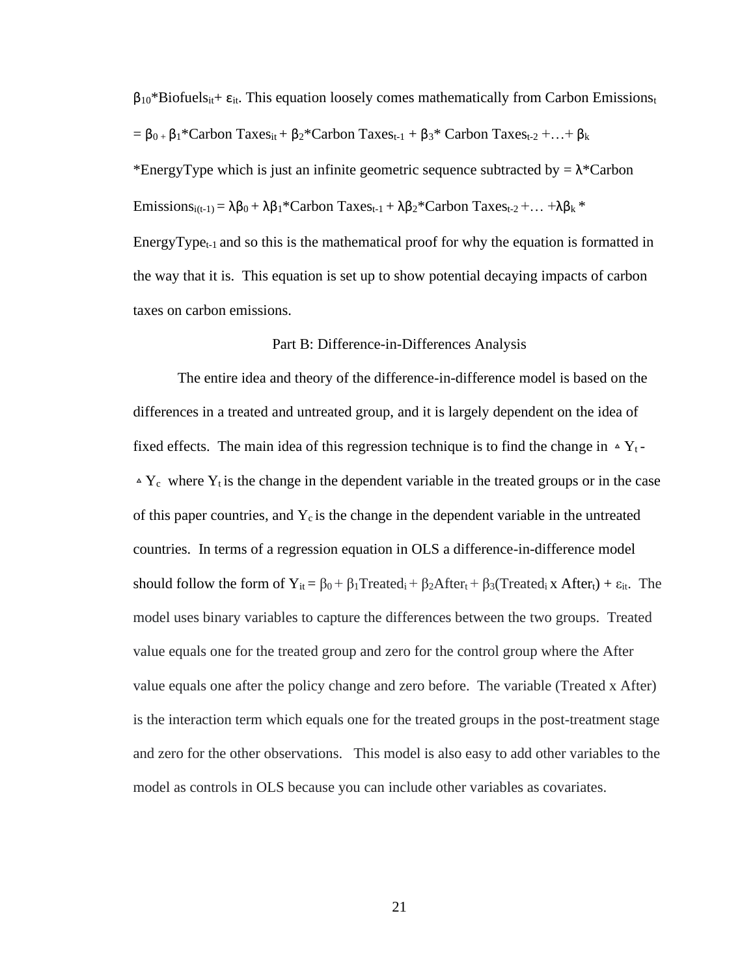$\beta_{10}$ \*Biofuels<sub>it</sub>+  $\varepsilon_{it}$ . This equation loosely comes mathematically from Carbon Emissions<sub>t</sub> =  $\beta_0$  +  $\beta_1$ <sup>\*</sup>Carbon Taxes<sub>it</sub> +  $\beta_2$ <sup>\*</sup>Carbon Taxes<sub>t-1</sub> +  $\beta_3$ <sup>\*</sup> Carbon Taxes<sub>t-2</sub> +... +  $\beta_k$ \*EnergyType which is just an infinite geometric sequence subtracted by  $= \lambda^*$ Carbon

Emissions<sub>i(t-1)</sub> =  $\lambda \beta_0 + \lambda \beta_1$ \*Carbon Taxes<sub>t-1</sub> +  $\lambda \beta_2$ \*Carbon Taxes<sub>t-2</sub> + ... + $\lambda \beta_k$ \*

EnergyType<sub>t-1</sub> and so this is the mathematical proof for why the equation is formatted in the way that it is. This equation is set up to show potential decaying impacts of carbon taxes on carbon emissions.

### Part B: Difference-in-Differences Analysis

The entire idea and theory of the difference-in-difference model is based on the differences in a treated and untreated group, and it is largely dependent on the idea of fixed effects. The main idea of this regression technique is to find the change in  $\Delta Y_t$ - $\Delta Y_c$  where  $Y_t$  is the change in the dependent variable in the treated groups or in the case of this paper countries, and  $Y_c$  is the change in the dependent variable in the untreated countries. In terms of a regression equation in OLS a difference-in-difference model should follow the form of  $Y_{it} = \beta_0 + \beta_1$ Treated<sub>i</sub> +  $\beta_2$ After<sub>t</sub> +  $\beta_3$ (Treated<sub>i</sub> x After<sub>t</sub>) +  $\varepsilon_{it}$ . The model uses binary variables to capture the differences between the two groups. Treated value equals one for the treated group and zero for the control group where the After value equals one after the policy change and zero before. The variable (Treated x After) is the interaction term which equals one for the treated groups in the post-treatment stage and zero for the other observations. This model is also easy to add other variables to the model as controls in OLS because you can include other variables as covariates.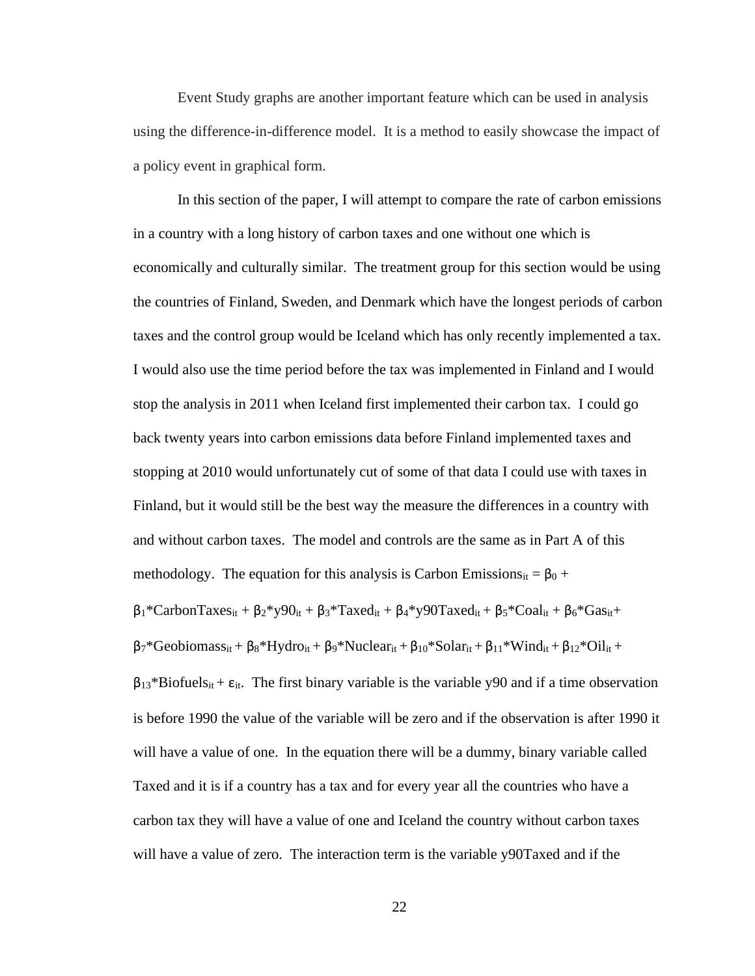Event Study graphs are another important feature which can be used in analysis using the difference-in-difference model. It is a method to easily showcase the impact of a policy event in graphical form.

In this section of the paper, I will attempt to compare the rate of carbon emissions in a country with a long history of carbon taxes and one without one which is economically and culturally similar. The treatment group for this section would be using the countries of Finland, Sweden, and Denmark which have the longest periods of carbon taxes and the control group would be Iceland which has only recently implemented a tax. I would also use the time period before the tax was implemented in Finland and I would stop the analysis in 2011 when Iceland first implemented their carbon tax. I could go back twenty years into carbon emissions data before Finland implemented taxes and stopping at 2010 would unfortunately cut of some of that data I could use with taxes in Finland, but it would still be the best way the measure the differences in a country with and without carbon taxes. The model and controls are the same as in Part A of this methodology. The equation for this analysis is Carbon Emissions<sub>it</sub> =  $\beta_0$  +  $β_1*CarbonTaxes_{it} + β_2*yg0_{it} + β_3*Taxed_{it} + β_4*yg0Taxed_{it} + β_5*Coal_{it} + β_6*Gas_{it} +$  $\beta_7$ \*Geobiomass<sub>it</sub> +  $\beta_8$ \*Hydro<sub>it</sub> +  $\beta_9$ \*Nuclear<sub>it</sub> +  $\beta_{10}$ \*Solar<sub>it</sub> +  $\beta_{11}$ \*Wind<sub>it</sub> +  $\beta_{12}$ \*Oil<sub>it</sub> +  $\beta_{13}$ \*Biofuels<sub>it</sub> +  $\varepsilon_{it}$ . The first binary variable is the variable y90 and if a time observation is before 1990 the value of the variable will be zero and if the observation is after 1990 it will have a value of one. In the equation there will be a dummy, binary variable called Taxed and it is if a country has a tax and for every year all the countries who have a carbon tax they will have a value of one and Iceland the country without carbon taxes will have a value of zero. The interaction term is the variable y90Taxed and if the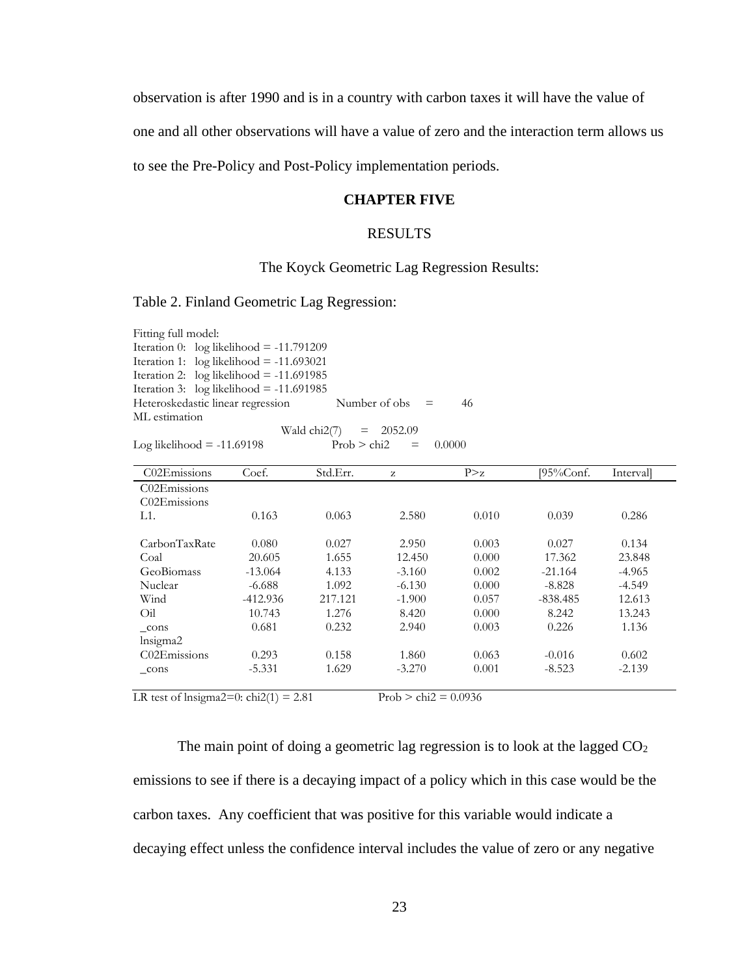observation is after 1990 and is in a country with carbon taxes it will have the value of

one and all other observations will have a value of zero and the interaction term allows us

to see the Pre-Policy and Post-Policy implementation periods.

### **CHAPTER FIVE**

## RESULTS

### The Koyck Geometric Lag Regression Results:

Table 2. Finland Geometric Lag Regression:

Fitting full model: Iteration 0:  $log$  likelihood = -11.791209 Iteration 1:  $log$  likelihood = -11.693021 Iteration 2:  $log$  likelihood = -11.691985 Iteration 3:  $log$  likelihood = -11.691985 Heteroskedastic linear regression Number of obs  $=$  46 ML estimation Wald chi $2(7) = 2052.09$ Log likelihood =  $-11.69198$  Prob > chi2 =  $0.0000$ 

| C02Emissions                          | Coef.      | Std.Err. | z        | P > z | [95%Conf.  | <i>Intervall</i> |
|---------------------------------------|------------|----------|----------|-------|------------|------------------|
| C02Emissions                          |            |          |          |       |            |                  |
| C <sub>02</sub> E <sub>missions</sub> |            |          |          |       |            |                  |
| L1.                                   | 0.163      | 0.063    | 2.580    | 0.010 | 0.039      | 0.286            |
|                                       |            |          |          |       |            |                  |
| CarbonTaxRate                         | 0.080      | 0.027    | 2.950    | 0.003 | 0.027      | 0.134            |
| Coal                                  | 20.605     | 1.655    | 12.450   | 0.000 | 17.362     | 23.848           |
| GeoBiomass                            | $-13.064$  | 4.133    | $-3.160$ | 0.002 | $-21.164$  | $-4.965$         |
| Nuclear                               | $-6.688$   | 1.092    | $-6.130$ | 0.000 | $-8.828$   | $-4.549$         |
| Wind                                  | $-412.936$ | 217.121  | $-1.900$ | 0.057 | $-838.485$ | 12.613           |
| Oil                                   | 10.743     | 1.276    | 8.420    | 0.000 | 8.242      | 13.243           |
| cons                                  | 0.681      | 0.232    | 2.940    | 0.003 | 0.226      | 1.136            |
| lnsigma2                              |            |          |          |       |            |                  |
| C02Emissions                          | 0.293      | 0.158    | 1.860    | 0.063 | $-0.016$   | 0.602            |
| cons                                  | $-5.331$   | 1.629    | $-3.270$ | 0.001 | $-8.523$   | $-2.139$         |
|                                       |            |          |          |       |            |                  |

LR test of lnsigma2=0:  $\text{chi2}(1) = 2.81$  Prob >  $\text{chi2} = 0.0936$ 

The main point of doing a geometric lag regression is to look at the lagged  $CO<sub>2</sub>$ emissions to see if there is a decaying impact of a policy which in this case would be the carbon taxes. Any coefficient that was positive for this variable would indicate a decaying effect unless the confidence interval includes the value of zero or any negative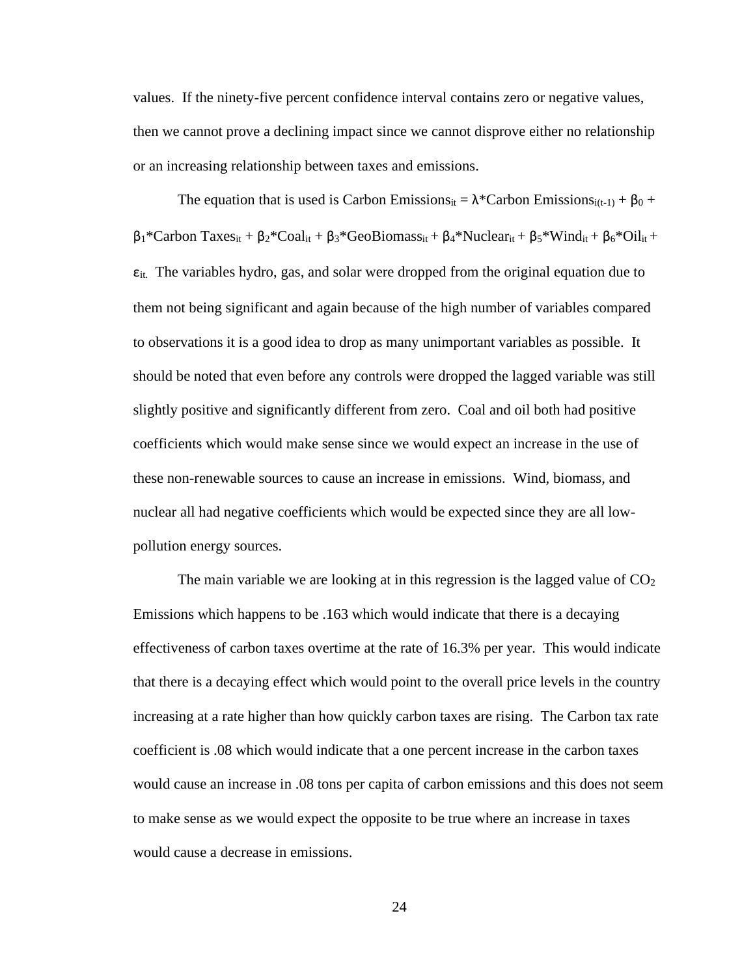values. If the ninety-five percent confidence interval contains zero or negative values, then we cannot prove a declining impact since we cannot disprove either no relationship or an increasing relationship between taxes and emissions.

The equation that is used is Carbon Emissions<sub>it</sub> =  $\lambda^*$ Carbon Emissions<sub>i(t-1)</sub> +  $\beta_0$  +  $β_1*Carbon Taxes_{it} + β_2*Coal_{it} + β_3*Geobionass_{it} + β_4*Nuclear_{it} + β_5*Wind_{it} + β_6*Oil_{it} +$  $\varepsilon$ <sub>it.</sub> The variables hydro, gas, and solar were dropped from the original equation due to them not being significant and again because of the high number of variables compared to observations it is a good idea to drop as many unimportant variables as possible. It should be noted that even before any controls were dropped the lagged variable was still slightly positive and significantly different from zero. Coal and oil both had positive coefficients which would make sense since we would expect an increase in the use of these non-renewable sources to cause an increase in emissions. Wind, biomass, and nuclear all had negative coefficients which would be expected since they are all lowpollution energy sources.

The main variable we are looking at in this regression is the lagged value of  $CO<sub>2</sub>$ Emissions which happens to be .163 which would indicate that there is a decaying effectiveness of carbon taxes overtime at the rate of 16.3% per year. This would indicate that there is a decaying effect which would point to the overall price levels in the country increasing at a rate higher than how quickly carbon taxes are rising. The Carbon tax rate coefficient is .08 which would indicate that a one percent increase in the carbon taxes would cause an increase in .08 tons per capita of carbon emissions and this does not seem to make sense as we would expect the opposite to be true where an increase in taxes would cause a decrease in emissions.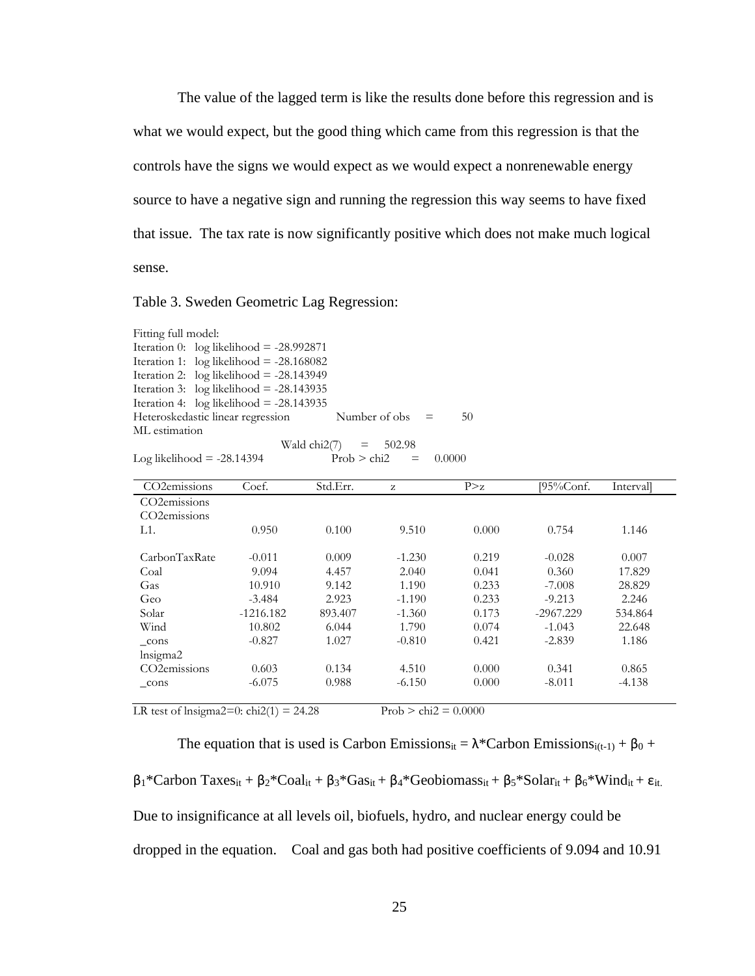The value of the lagged term is like the results done before this regression and is what we would expect, but the good thing which came from this regression is that the controls have the signs we would expect as we would expect a nonrenewable energy source to have a negative sign and running the regression this way seems to have fixed that issue. The tax rate is now significantly positive which does not make much logical sense.

### Table 3. Sweden Geometric Lag Regression:

| Fitting full model:                        |  |                         |                   |
|--------------------------------------------|--|-------------------------|-------------------|
| Iteration 0: $log$ likelihood = -28.992871 |  |                         |                   |
| Iteration 1: $log likelihood = -28.168082$ |  |                         |                   |
| Iteration 2: $log$ likelihood = -28.143949 |  |                         |                   |
| Iteration 3: $log$ likelihood = -28.143935 |  |                         |                   |
| Iteration 4: $log likelihood = -28.143935$ |  |                         |                   |
| Heteroskedastic linear regression          |  |                         | 50.               |
| ML estimation                              |  |                         |                   |
|                                            |  |                         |                   |
|                                            |  | Wald chi2(7) = $502.98$ | Number of obs $=$ |

$$
Log likelihood = -28.14394
$$
  
Prob > chi2 = 0.0000

| CO <sub>2</sub> emissions | Coef.       | Std.Err. | z        | P > z | $195\%$ Conf. | Intervall |
|---------------------------|-------------|----------|----------|-------|---------------|-----------|
| CO <sub>2</sub> emissions |             |          |          |       |               |           |
| CO <sub>2</sub> emissions |             |          |          |       |               |           |
| L1.                       | 0.950       | 0.100    | 9.510    | 0.000 | 0.754         | 1.146     |
|                           |             |          |          |       |               |           |
| CarbonTaxRate             | $-0.011$    | 0.009    | $-1.230$ | 0.219 | $-0.028$      | 0.007     |
| Coal                      | 9.094       | 4.457    | 2.040    | 0.041 | 0.360         | 17.829    |
| Gas                       | 10.910      | 9.142    | 1.190    | 0.233 | $-7.008$      | 28.829    |
| Geo                       | $-3.484$    | 2.923    | $-1.190$ | 0.233 | $-9.213$      | 2.246     |
| Solar                     | $-1216.182$ | 893.407  | $-1.360$ | 0.173 | $-2967.229$   | 534.864   |
| Wind                      | 10.802      | 6.044    | 1.790    | 0.074 | $-1.043$      | 22.648    |
| cons                      | $-0.827$    | 1.027    | $-0.810$ | 0.421 | $-2.839$      | 1.186     |
| lnsigma2                  |             |          |          |       |               |           |
| CO <sub>2</sub> emissions | 0.603       | 0.134    | 4.510    | 0.000 | 0.341         | 0.865     |
| cons                      | $-6.075$    | 0.988    | $-6.150$ | 0.000 | $-8.011$      | $-4.138$  |
|                           |             |          |          |       |               |           |

LR test of lnsigma2=0:  $\text{chi2}(1) = 24.28$  Prob >  $\text{chi2} = 0.0000$ 

The equation that is used is Carbon Emissions<sub>it</sub> =  $\lambda$ \*Carbon Emissions<sub>i(t-1)</sub> +  $\beta_0$  + β1\*Carbon Taxesit + β2\*Coalit + β3\*Gasit + β4\*Geobiomassit + β5\*Solarit + β6\*Windit + εit. Due to insignificance at all levels oil, biofuels, hydro, and nuclear energy could be

dropped in the equation. Coal and gas both had positive coefficients of 9.094 and 10.91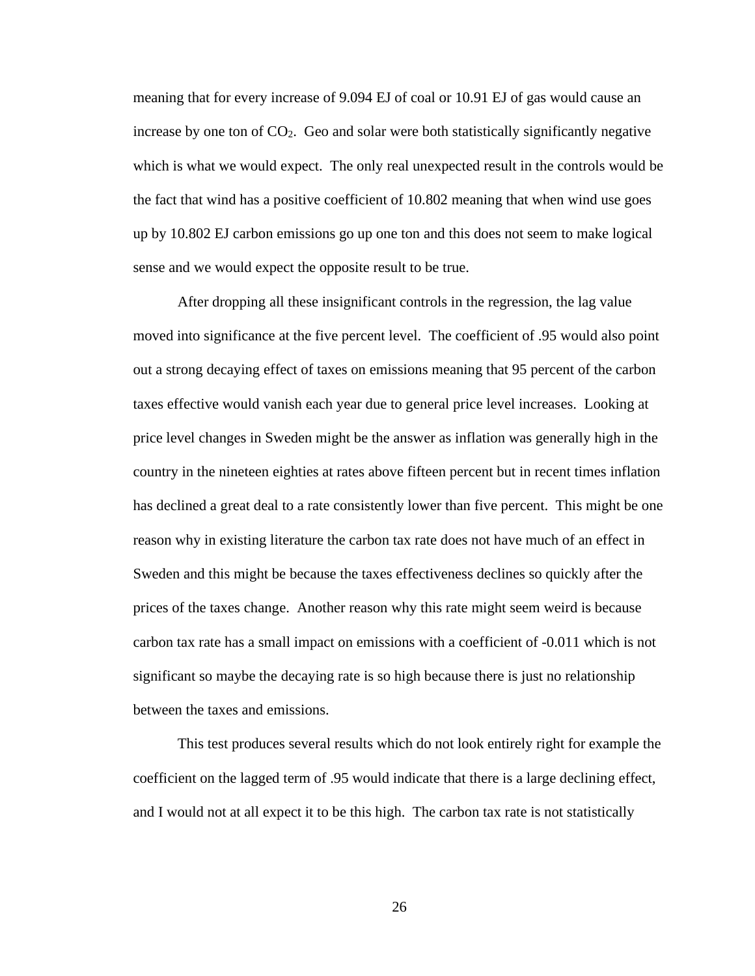meaning that for every increase of 9.094 EJ of coal or 10.91 EJ of gas would cause an increase by one ton of  $CO<sub>2</sub>$ . Geo and solar were both statistically significantly negative which is what we would expect. The only real unexpected result in the controls would be the fact that wind has a positive coefficient of 10.802 meaning that when wind use goes up by 10.802 EJ carbon emissions go up one ton and this does not seem to make logical sense and we would expect the opposite result to be true.

After dropping all these insignificant controls in the regression, the lag value moved into significance at the five percent level. The coefficient of .95 would also point out a strong decaying effect of taxes on emissions meaning that 95 percent of the carbon taxes effective would vanish each year due to general price level increases. Looking at price level changes in Sweden might be the answer as inflation was generally high in the country in the nineteen eighties at rates above fifteen percent but in recent times inflation has declined a great deal to a rate consistently lower than five percent. This might be one reason why in existing literature the carbon tax rate does not have much of an effect in Sweden and this might be because the taxes effectiveness declines so quickly after the prices of the taxes change. Another reason why this rate might seem weird is because carbon tax rate has a small impact on emissions with a coefficient of -0.011 which is not significant so maybe the decaying rate is so high because there is just no relationship between the taxes and emissions.

This test produces several results which do not look entirely right for example the coefficient on the lagged term of .95 would indicate that there is a large declining effect, and I would not at all expect it to be this high. The carbon tax rate is not statistically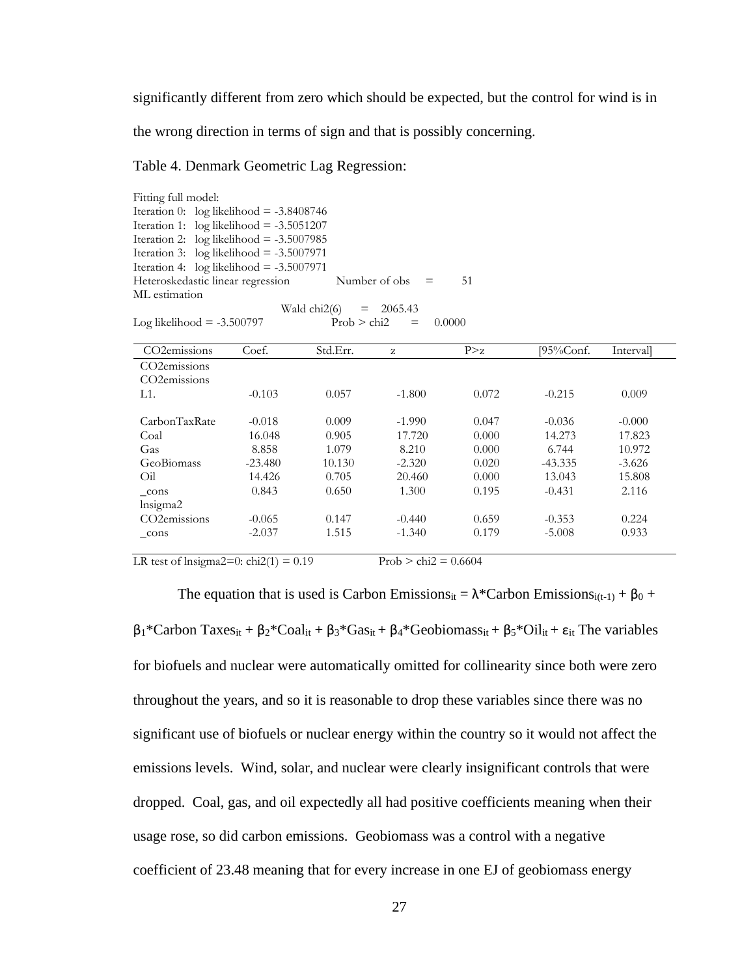significantly different from zero which should be expected, but the control for wind is in

the wrong direction in terms of sign and that is possibly concerning.

#### Table 4. Denmark Geometric Lag Regression:

Fitting full model: Iteration 0:  $log$  likelihood =  $-3.8408746$ Iteration 1:  $log$  likelihood = -3.5051207 Iteration 2:  $log$  likelihood = -3.5007985 Iteration 3:  $log likelihood = -3.5007971$ Iteration 4:  $log likelihood = -3.5007971$ Heteroskedastic linear regression Number of obs  $=$  51 ML estimation Wald chi $2(6) = 2065.43$ Log likelihood = -3.500797  $Prob > chi2 = 0.0000$ 

| CO <sub>2</sub> emissions | Coef.     | Std.Err. | z        | P > z | $195\%$ Conf. | Interval |
|---------------------------|-----------|----------|----------|-------|---------------|----------|
| CO <sub>2</sub> emissions |           |          |          |       |               |          |
| CO <sub>2</sub> emissions |           |          |          |       |               |          |
| L1.                       | $-0.103$  | 0.057    | $-1.800$ | 0.072 | $-0.215$      | 0.009    |
|                           |           |          |          |       |               |          |
| CarbonTaxRate             | $-0.018$  | 0.009    | $-1.990$ | 0.047 | $-0.036$      | $-0.000$ |
| Coal                      | 16.048    | 0.905    | 17.720   | 0.000 | 14.273        | 17.823   |
| Gas                       | 8.858     | 1.079    | 8.210    | 0.000 | 6.744         | 10.972   |
| GeoBiomass                | $-23.480$ | 10.130   | $-2.320$ | 0.020 | $-43.335$     | $-3.626$ |
| Oil                       | 14.426    | 0.705    | 20.460   | 0.000 | 13.043        | 15.808   |
| cons                      | 0.843     | 0.650    | 1.300    | 0.195 | $-0.431$      | 2.116    |
| lnsigma2                  |           |          |          |       |               |          |
| CO <sub>2</sub> emissions | $-0.065$  | 0.147    | $-0.440$ | 0.659 | $-0.353$      | 0.224    |
| cons                      | $-2.037$  | 1.515    | $-1.340$ | 0.179 | $-5.008$      | 0.933    |
|                           |           |          |          |       |               |          |

LR test of lnsigma2=0: chi2(1) =  $0.19$  Prob > chi2 =  $0.6604$ 

The equation that is used is Carbon Emissions<sub>it</sub> =  $\lambda^*$ Carbon Emissions<sub>i(t-1)</sub> +  $\beta_0$  +  $β₁*Carbon Taxes_{it} + β₂*Coal_{it} + β₃*Gas_{it} + β₄*Geobiomass_{it} + β₅*Oil<sub>it</sub> + ε<sub>it</sub> The variables$ for biofuels and nuclear were automatically omitted for collinearity since both were zero throughout the years, and so it is reasonable to drop these variables since there was no significant use of biofuels or nuclear energy within the country so it would not affect the emissions levels. Wind, solar, and nuclear were clearly insignificant controls that were dropped. Coal, gas, and oil expectedly all had positive coefficients meaning when their usage rose, so did carbon emissions. Geobiomass was a control with a negative coefficient of 23.48 meaning that for every increase in one EJ of geobiomass energy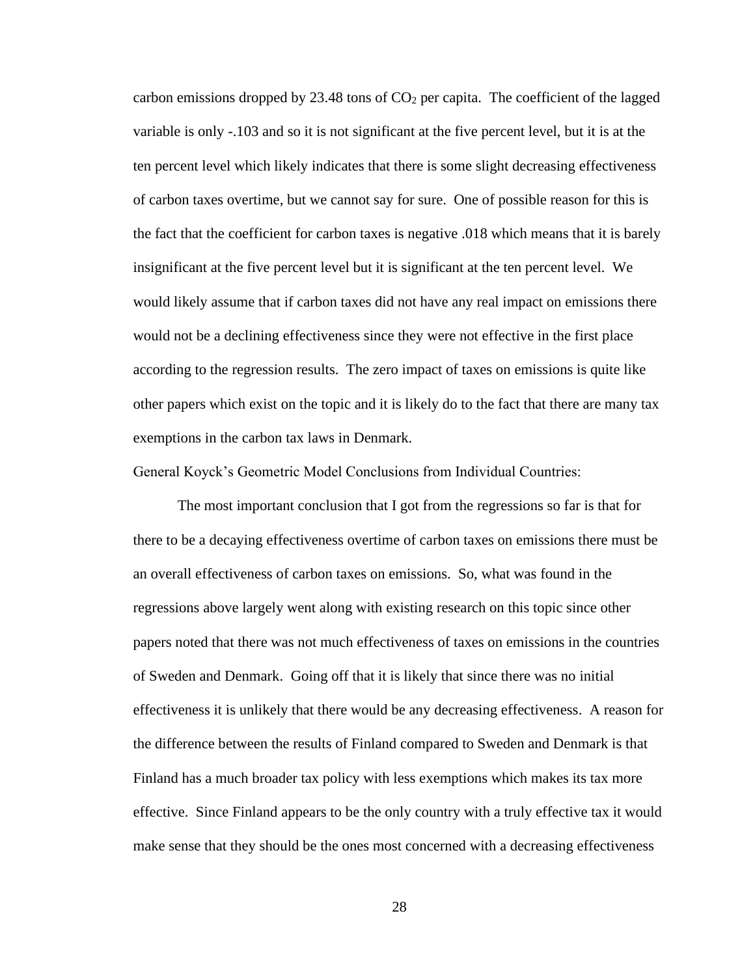carbon emissions dropped by  $23.48$  tons of  $CO<sub>2</sub>$  per capita. The coefficient of the lagged variable is only -.103 and so it is not significant at the five percent level, but it is at the ten percent level which likely indicates that there is some slight decreasing effectiveness of carbon taxes overtime, but we cannot say for sure. One of possible reason for this is the fact that the coefficient for carbon taxes is negative .018 which means that it is barely insignificant at the five percent level but it is significant at the ten percent level. We would likely assume that if carbon taxes did not have any real impact on emissions there would not be a declining effectiveness since they were not effective in the first place according to the regression results. The zero impact of taxes on emissions is quite like other papers which exist on the topic and it is likely do to the fact that there are many tax exemptions in the carbon tax laws in Denmark.

General Koyck's Geometric Model Conclusions from Individual Countries:

The most important conclusion that I got from the regressions so far is that for there to be a decaying effectiveness overtime of carbon taxes on emissions there must be an overall effectiveness of carbon taxes on emissions. So, what was found in the regressions above largely went along with existing research on this topic since other papers noted that there was not much effectiveness of taxes on emissions in the countries of Sweden and Denmark. Going off that it is likely that since there was no initial effectiveness it is unlikely that there would be any decreasing effectiveness. A reason for the difference between the results of Finland compared to Sweden and Denmark is that Finland has a much broader tax policy with less exemptions which makes its tax more effective. Since Finland appears to be the only country with a truly effective tax it would make sense that they should be the ones most concerned with a decreasing effectiveness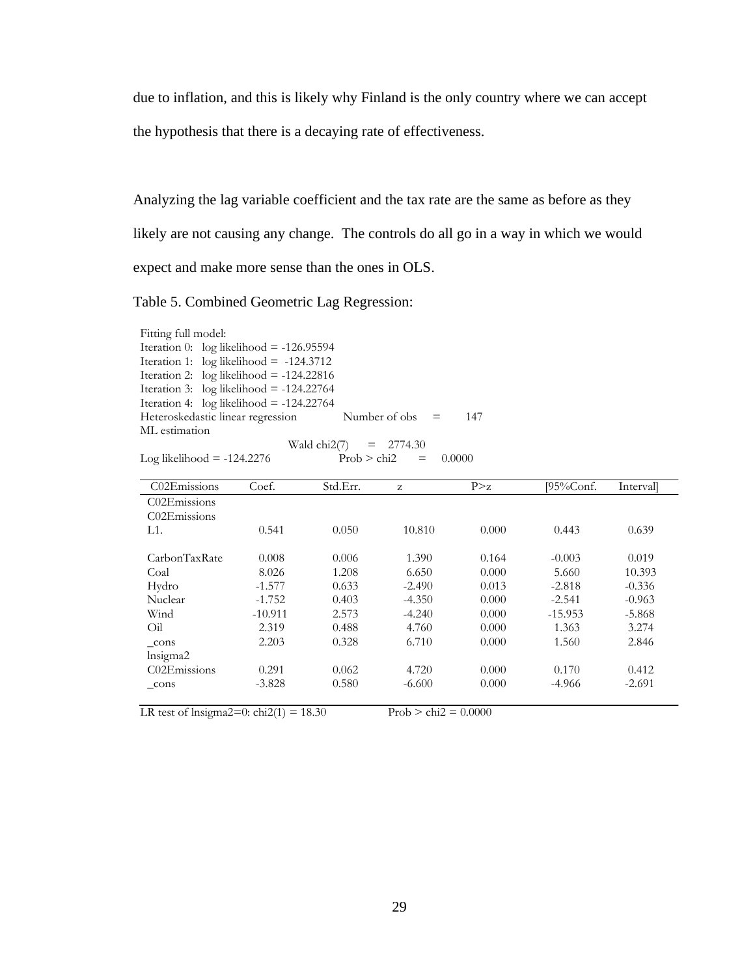due to inflation, and this is likely why Finland is the only country where we can accept the hypothesis that there is a decaying rate of effectiveness.

Analyzing the lag variable coefficient and the tax rate are the same as before as they likely are not causing any change. The controls do all go in a way in which we would expect and make more sense than the ones in OLS.

Table 5. Combined Geometric Lag Regression:

Fitting full model: Iteration 0:  $log$  likelihood = -126.95594 Iteration 1:  $log likelihood = -124.3712$ Iteration 2:  $log likelihood = -124.22816$ Iteration 3:  $log likelihood = -124.22764$ Iteration 4:  $log likelihood = -124.22764$ Heteroskedastic linear regression Number of obs = 147 ML estimation Wald  $\text{chi2}(7) = 2774.30$ 

$$
Log likelihood = -124.2276
$$
 Prob > chi2 = 0.0000

C02Emissions Coef. Std.Err. z P>z [95%Conf. Interval] C02Emissions C02Emissions L1. 0.541 0.050 10.810 0.000 0.443 0.639 CarbonTaxRate 0.008 0.006 1.390 0.164 -0.003 0.019 Coal 8.026 1.208 6.650 0.000 5.660 10.393 Hydro -1.577 0.633 -2.490 0.013 -2.818 -0.336 Nuclear -1.752 0.403 -4.350 0.000 -2.541 -0.963 Wind  $-10.911$  2.573  $-4.240$  0.000  $-15.953$   $-5.868$ Oil 2.319 0.488 4.760 0.000 1.363 3.274 \_cons 2.203 0.328 6.710 0.000 1.560 2.846 lnsigma2 C02Emissions 0.291 0.062 4.720 0.000 0.170 0.412  $\frac{\text{const}}{\text{2.691}}$  -3.828 0.580 -6.600 0.000 -4.966 -2.691

LR test of lnsigma2=0: chi2(1) = 18.30 Prob > chi2 =  $0.0000$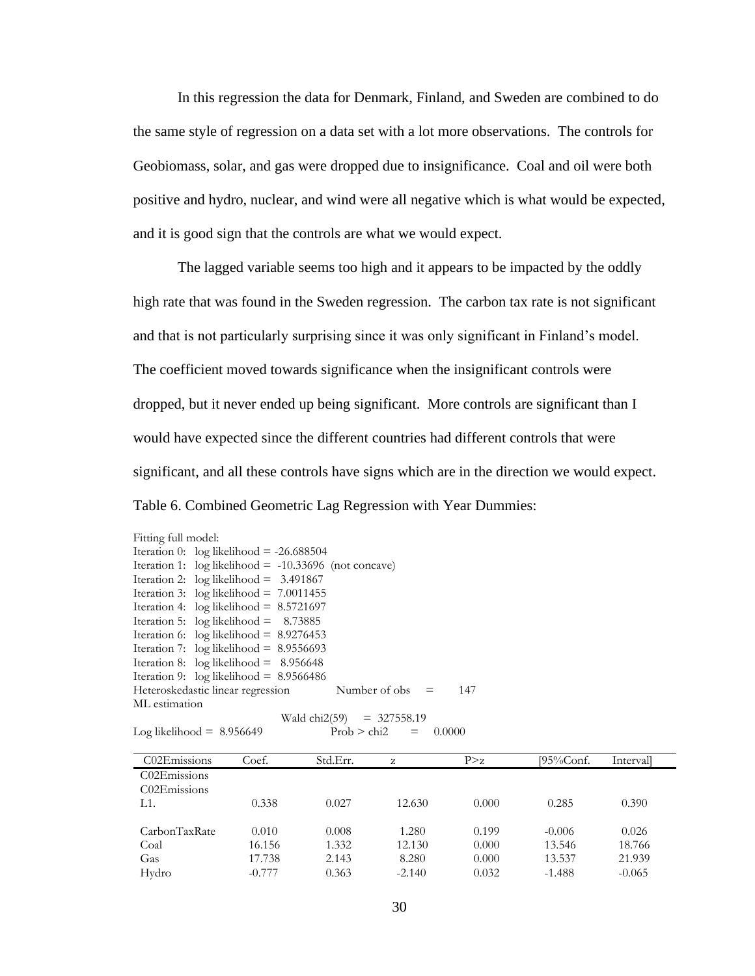In this regression the data for Denmark, Finland, and Sweden are combined to do the same style of regression on a data set with a lot more observations. The controls for Geobiomass, solar, and gas were dropped due to insignificance. Coal and oil were both positive and hydro, nuclear, and wind were all negative which is what would be expected, and it is good sign that the controls are what we would expect.

The lagged variable seems too high and it appears to be impacted by the oddly high rate that was found in the Sweden regression. The carbon tax rate is not significant and that is not particularly surprising since it was only significant in Finland's model. The coefficient moved towards significance when the insignificant controls were dropped, but it never ended up being significant. More controls are significant than I would have expected since the different countries had different controls that were significant, and all these controls have signs which are in the direction we would expect. Table 6. Combined Geometric Lag Regression with Year Dummies:

| Fitting full model: |                                                         |                             |     |
|---------------------|---------------------------------------------------------|-----------------------------|-----|
|                     | Iteration 0: $log$ likelihood = -26.688504              |                             |     |
|                     | Iteration 1: $log likelihood = -10.33696$ (not concave) |                             |     |
|                     | Iteration 2: $log$ likelihood = 3.491867                |                             |     |
|                     | Iteration 3: $log likelihood = 7.0011455$               |                             |     |
|                     | Iteration 4: $log likelihood = 8.5721697$               |                             |     |
|                     | Iteration 5: $log likelihood = 8.73885$                 |                             |     |
|                     | Iteration 6: $log likelihood = 8.9276453$               |                             |     |
|                     | Iteration 7: $log$ likelihood = 8.9556693               |                             |     |
|                     | Iteration 8: $log$ likelihood = 8.956648                |                             |     |
|                     | Iteration 9: $log$ likelihood = 8.9566486               |                             |     |
|                     | Heteroskedastic linear regression                       | Number of obs $=$           | 147 |
| ML estimation       |                                                         |                             |     |
|                     |                                                         | Wald chi2(59) = $327558.19$ |     |
|                     | Log likelihood = $8.956649$                             | $Prob > chi2 = 0.0000$      |     |

| C02Emissions                          | Coef.    | Std.Err. | Z        | P > z | $195\%$ Conf. | Intervall |
|---------------------------------------|----------|----------|----------|-------|---------------|-----------|
| C <sub>02</sub> E <sub>missions</sub> |          |          |          |       |               |           |
| C <sub>02</sub> E <sub>missions</sub> |          |          |          |       |               |           |
| $L1$ .                                | 0.338    | 0.027    | 12.630   | 0.000 | 0.285         | 0.390     |
|                                       |          |          |          |       |               |           |
| CarbonTaxRate                         | 0.010    | 0.008    | 1.280    | 0.199 | $-0.006$      | 0.026     |
| Coal                                  | 16.156   | 1.332    | 12.130   | 0.000 | 13.546        | 18.766    |
| Gas                                   | 17.738   | 2.143    | 8.280    | 0.000 | 13.537        | 21.939    |
| Hydro                                 | $-0.777$ | 0.363    | $-2.140$ | 0.032 | $-1.488$      | $-0.065$  |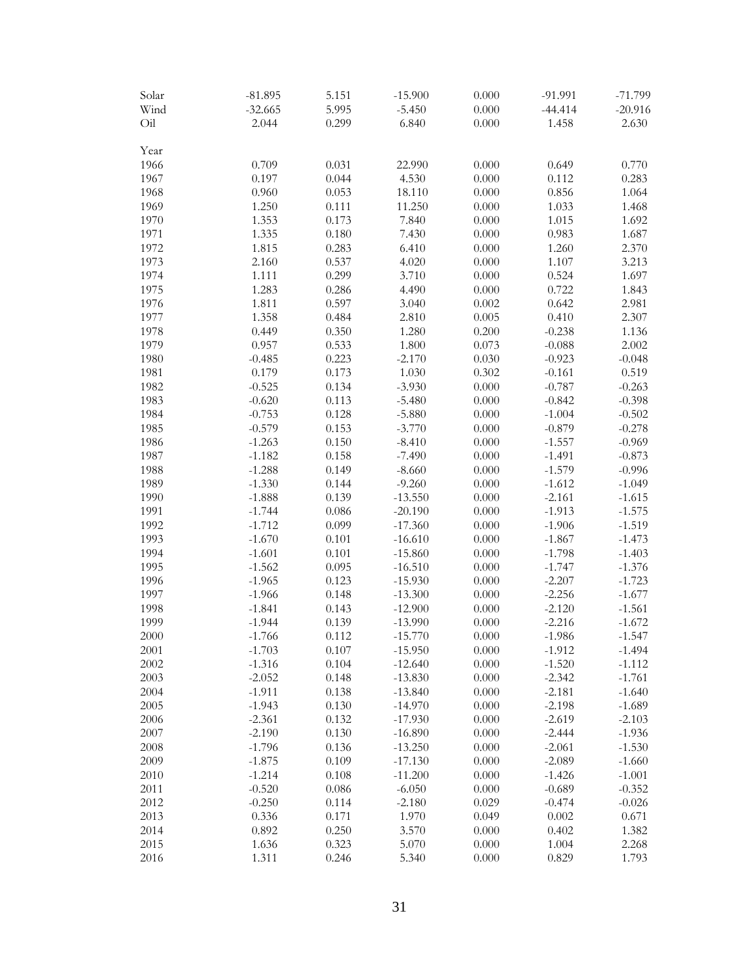| Solar | $-81.895$ | 5.151     | $-15.900$ | 0.000 | $-91.991$ | $-71.799$ |
|-------|-----------|-----------|-----------|-------|-----------|-----------|
| Wind  | $-32.665$ | 5.995     | $-5.450$  | 0.000 | $-44.414$ | $-20.916$ |
| Oil   | 2.044     | 0.299     | 6.840     | 0.000 | 1.458     | 2.630     |
| Year  |           |           |           |       |           |           |
| 1966  | 0.709     | 0.031     | 22.990    | 0.000 | 0.649     | 0.770     |
| 1967  | 0.197     | 0.044     | 4.530     | 0.000 | 0.112     | 0.283     |
| 1968  | 0.960     | 0.053     | 18.110    | 0.000 | 0.856     | 1.064     |
| 1969  | 1.250     | 0.111     | 11.250    | 0.000 | 1.033     | 1.468     |
| 1970  | 1.353     | 0.173     | 7.840     | 0.000 | 1.015     | 1.692     |
| 1971  | 1.335     | $0.180\,$ | 7.430     | 0.000 | 0.983     | 1.687     |
| 1972  | 1.815     | 0.283     | 6.410     | 0.000 | 1.260     | 2.370     |
| 1973  | 2.160     | 0.537     | 4.020     | 0.000 | 1.107     | 3.213     |
| 1974  | 1.111     | 0.299     | 3.710     | 0.000 | 0.524     | 1.697     |
| 1975  | 1.283     | 0.286     | 4.490     | 0.000 | 0.722     | 1.843     |
| 1976  | 1.811     | 0.597     | 3.040     | 0.002 | 0.642     | 2.981     |
| 1977  | 1.358     | 0.484     | 2.810     | 0.005 | 0.410     | 2.307     |
| 1978  | 0.449     | 0.350     | 1.280     | 0.200 | $-0.238$  | 1.136     |
| 1979  | 0.957     | 0.533     | 1.800     | 0.073 | $-0.088$  | 2.002     |
| 1980  | $-0.485$  | 0.223     | $-2.170$  | 0.030 | $-0.923$  | $-0.048$  |
| 1981  | 0.179     | 0.173     | 1.030     | 0.302 | $-0.161$  | 0.519     |
| 1982  | $-0.525$  | 0.134     | $-3.930$  | 0.000 | $-0.787$  | $-0.263$  |
| 1983  | $-0.620$  | 0.113     | $-5.480$  | 0.000 | $-0.842$  | $-0.398$  |
| 1984  | $-0.753$  | 0.128     | $-5.880$  | 0.000 | $-1.004$  | $-0.502$  |
| 1985  | $-0.579$  | 0.153     | $-3.770$  | 0.000 | $-0.879$  | $-0.278$  |
| 1986  | $-1.263$  | 0.150     | $-8.410$  | 0.000 | $-1.557$  | $-0.969$  |
| 1987  | $-1.182$  | 0.158     | $-7.490$  | 0.000 | $-1.491$  | $-0.873$  |
| 1988  | $-1.288$  | 0.149     | $-8.660$  | 0.000 | $-1.579$  | $-0.996$  |
| 1989  | $-1.330$  | 0.144     | $-9.260$  | 0.000 | $-1.612$  | $-1.049$  |
| 1990  | $-1.888$  | 0.139     | $-13.550$ | 0.000 | $-2.161$  | $-1.615$  |
| 1991  | $-1.744$  | 0.086     | $-20.190$ | 0.000 | $-1.913$  | $-1.575$  |
| 1992  | $-1.712$  | 0.099     | $-17.360$ | 0.000 | $-1.906$  | $-1.519$  |
| 1993  | $-1.670$  | 0.101     | $-16.610$ | 0.000 | $-1.867$  | $-1.473$  |
| 1994  | $-1.601$  | 0.101     | $-15.860$ | 0.000 | $-1.798$  | $-1.403$  |
| 1995  | $-1.562$  | 0.095     | $-16.510$ | 0.000 | $-1.747$  | $-1.376$  |
| 1996  | $-1.965$  | 0.123     | $-15.930$ | 0.000 | $-2.207$  | $-1.723$  |
| 1997  | $-1.966$  | 0.148     | $-13.300$ | 0.000 | $-2.256$  | $-1.677$  |
| 1998  | $-1.841$  | 0.143     | $-12.900$ | 0.000 | $-2.120$  | $-1.561$  |
| 1999  | $-1.944$  | 0.139     | $-13.990$ | 0.000 | $-2.216$  | $-1.672$  |
| 2000  | $-1.766$  | 0.112     | $-15.770$ | 0.000 | -1.986    | -1.547    |
| 2001  | $-1.703$  | 0.107     | $-15.950$ | 0.000 | $-1.912$  | $-1.494$  |
| 2002  | $-1.316$  | 0.104     | $-12.640$ | 0.000 | $-1.520$  | $-1.112$  |
| 2003  | $-2.052$  | 0.148     | $-13.830$ | 0.000 | $-2.342$  | $-1.761$  |
| 2004  | $-1.911$  | 0.138     | $-13.840$ | 0.000 | $-2.181$  | $-1.640$  |
| 2005  | $-1.943$  | 0.130     | $-14.970$ | 0.000 | $-2.198$  | $-1.689$  |
| 2006  | $-2.361$  | 0.132     | $-17.930$ | 0.000 | $-2.619$  | $-2.103$  |
| 2007  | $-2.190$  | 0.130     | $-16.890$ | 0.000 | $-2.444$  | $-1.936$  |
| 2008  | $-1.796$  | 0.136     | $-13.250$ | 0.000 | $-2.061$  | $-1.530$  |
| 2009  | $-1.875$  | 0.109     | $-17.130$ | 0.000 | $-2.089$  | $-1.660$  |
| 2010  | $-1.214$  | 0.108     | $-11.200$ | 0.000 | $-1.426$  | $-1.001$  |
| 2011  | $-0.520$  | 0.086     | $-6.050$  | 0.000 | $-0.689$  | $-0.352$  |
| 2012  | $-0.250$  | 0.114     | $-2.180$  | 0.029 | $-0.474$  | $-0.026$  |
| 2013  | 0.336     | 0.171     | 1.970     | 0.049 | 0.002     | 0.671     |
| 2014  | 0.892     | 0.250     | 3.570     | 0.000 | 0.402     | 1.382     |
| 2015  | 1.636     | 0.323     | 5.070     | 0.000 | 1.004     | 2.268     |
| 2016  | 1.311     | 0.246     | 5.340     | 0.000 | 0.829     | 1.793     |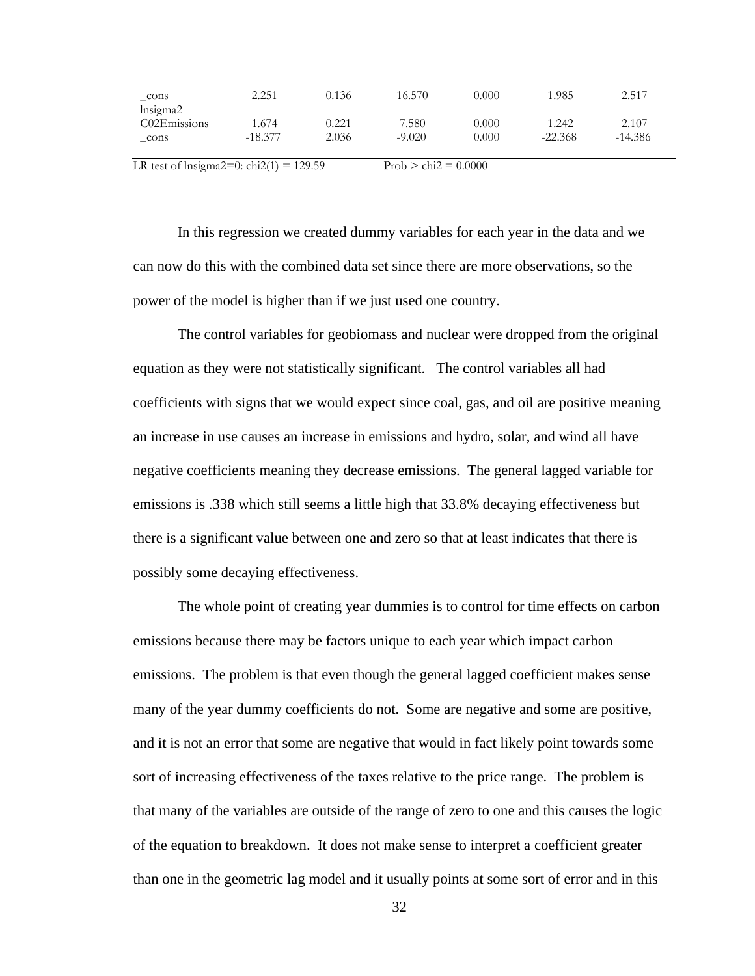| cons         | 2.251     | 0.136 | 16.570   | 0.000 | 1.985     | 2.517     |
|--------------|-----------|-------|----------|-------|-----------|-----------|
| lnsigma2     |           |       |          |       |           |           |
| C02Emissions | 1.674     | 0.221 | 7.580    | 0.000 | 1.242     | 2.107     |
| cons         | $-18.377$ | 2.036 | $-9.020$ | 0.000 | $-22.368$ | $-14.386$ |
|              |           |       |          |       |           |           |

LR test of lnsigma2=0: chi2(1) = 129.59 Prob > chi2 =  $0.0000$ 

In this regression we created dummy variables for each year in the data and we can now do this with the combined data set since there are more observations, so the power of the model is higher than if we just used one country.

The control variables for geobiomass and nuclear were dropped from the original equation as they were not statistically significant. The control variables all had coefficients with signs that we would expect since coal, gas, and oil are positive meaning an increase in use causes an increase in emissions and hydro, solar, and wind all have negative coefficients meaning they decrease emissions. The general lagged variable for emissions is .338 which still seems a little high that 33.8% decaying effectiveness but there is a significant value between one and zero so that at least indicates that there is possibly some decaying effectiveness.

The whole point of creating year dummies is to control for time effects on carbon emissions because there may be factors unique to each year which impact carbon emissions. The problem is that even though the general lagged coefficient makes sense many of the year dummy coefficients do not. Some are negative and some are positive, and it is not an error that some are negative that would in fact likely point towards some sort of increasing effectiveness of the taxes relative to the price range. The problem is that many of the variables are outside of the range of zero to one and this causes the logic of the equation to breakdown. It does not make sense to interpret a coefficient greater than one in the geometric lag model and it usually points at some sort of error and in this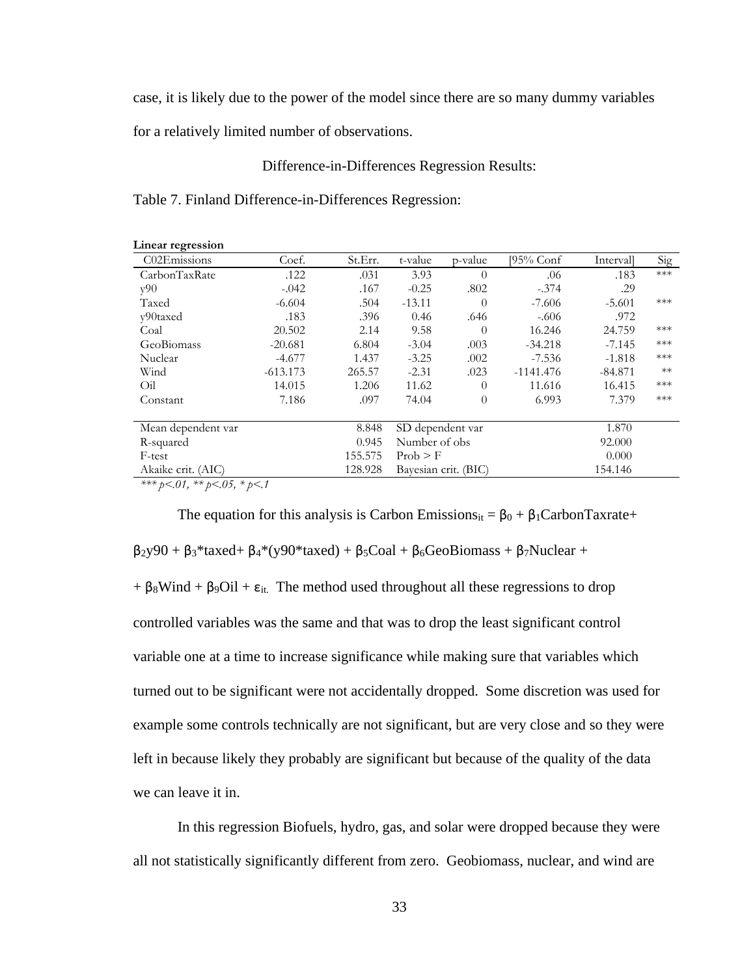case, it is likely due to the power of the model since there are so many dummy variables

for a relatively limited number of observations.

Difference-in-Differences Regression Results:

Table 7. Finland Difference-in-Differences Regression:

| Linear regression                      |            |         |                  |                      |             |           |       |
|----------------------------------------|------------|---------|------------------|----------------------|-------------|-----------|-------|
| C02Emissions                           | Coef.      | St.Err. | t-value          | p-value              | [95% Conf   | Intervall | Sig   |
| CarbonTaxRate                          | .122       | .031    | 3.93             | $\theta$             | .06         | .183      | $***$ |
| v90                                    | $-.042$    | .167    | $-0.25$          | .802                 | $-.374$     | .29       |       |
| Taxed                                  | $-6.604$   | .504    | $-13.11$         | 0                    | $-7.606$    | $-5.601$  | $***$ |
| y90taxed                               | .183       | .396    | 0.46             | .646                 | $-.606$     | .972      |       |
| Coal                                   | 20.502     | 2.14    | 9.58             | $\theta$             | 16.246      | 24.759    | $***$ |
| GeoBiomass                             | $-20.681$  | 6.804   | $-3.04$          | .003                 | $-34.218$   | $-7.145$  | $***$ |
| Nuclear                                | $-4.677$   | 1.437   | $-3.25$          | .002                 | $-7.536$    | $-1.818$  | $***$ |
| Wind                                   | $-613.173$ | 265.57  | $-2.31$          | .023                 | $-1141.476$ | $-84.871$ | $**$  |
| Oil                                    | 14.015     | 1.206   | 11.62            | $\theta$             | 11.616      | 16.415    | $***$ |
| Constant                               | 7.186      | .097    | 74.04            | $\theta$             | 6.993       | 7.379     | $***$ |
|                                        |            |         |                  |                      |             | 1.870     |       |
| Mean dependent var                     |            | 8.848   | SD dependent var |                      |             |           |       |
| R-squared                              |            | 0.945   | Number of obs    |                      |             | 92.000    |       |
| F-test                                 |            | 155.575 | Prob > F         |                      |             | 0.000     |       |
| Akaike crit. (AIC)                     |            | 128.928 |                  | Bayesian crit. (BIC) |             | 154.146   |       |
| *** $b < 01$ , ** $b < 05$ , * $b < 1$ |            |         |                  |                      |             |           |       |

*\*\*\* p<.01, \*\* p<.05, \* p<.1*

**Linear regression** 

The equation for this analysis is Carbon Emissions<sub>it</sub> =  $\beta_0 + \beta_1$ CarbonTaxrate+  $β_2y90 + β_3*taxed+ β_4*(y90*taxed) + β_5Coal+ β_6GeoBiomass+ β_7Nuclear+$ 

+  $\beta_8$ Wind +  $\beta_9$ Oil +  $\varepsilon_{it}$ . The method used throughout all these regressions to drop controlled variables was the same and that was to drop the least significant control variable one at a time to increase significance while making sure that variables which turned out to be significant were not accidentally dropped. Some discretion was used for example some controls technically are not significant, but are very close and so they were left in because likely they probably are significant but because of the quality of the data we can leave it in.

In this regression Biofuels, hydro, gas, and solar were dropped because they were all not statistically significantly different from zero. Geobiomass, nuclear, and wind are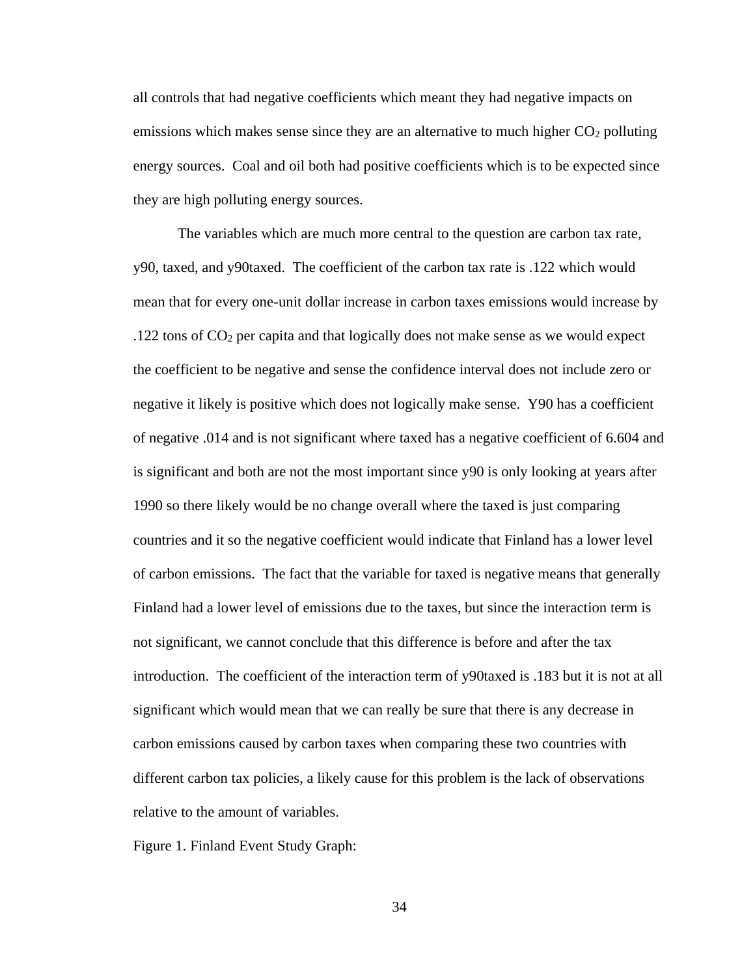all controls that had negative coefficients which meant they had negative impacts on emissions which makes sense since they are an alternative to much higher  $CO<sub>2</sub>$  polluting energy sources. Coal and oil both had positive coefficients which is to be expected since they are high polluting energy sources.

The variables which are much more central to the question are carbon tax rate, y90, taxed, and y90taxed. The coefficient of the carbon tax rate is .122 which would mean that for every one-unit dollar increase in carbon taxes emissions would increase by .122 tons of CO<sup>2</sup> per capita and that logically does not make sense as we would expect the coefficient to be negative and sense the confidence interval does not include zero or negative it likely is positive which does not logically make sense. Y90 has a coefficient of negative .014 and is not significant where taxed has a negative coefficient of 6.604 and is significant and both are not the most important since y90 is only looking at years after 1990 so there likely would be no change overall where the taxed is just comparing countries and it so the negative coefficient would indicate that Finland has a lower level of carbon emissions. The fact that the variable for taxed is negative means that generally Finland had a lower level of emissions due to the taxes, but since the interaction term is not significant, we cannot conclude that this difference is before and after the tax introduction. The coefficient of the interaction term of y90taxed is .183 but it is not at all significant which would mean that we can really be sure that there is any decrease in carbon emissions caused by carbon taxes when comparing these two countries with different carbon tax policies, a likely cause for this problem is the lack of observations relative to the amount of variables.

Figure 1. Finland Event Study Graph:

34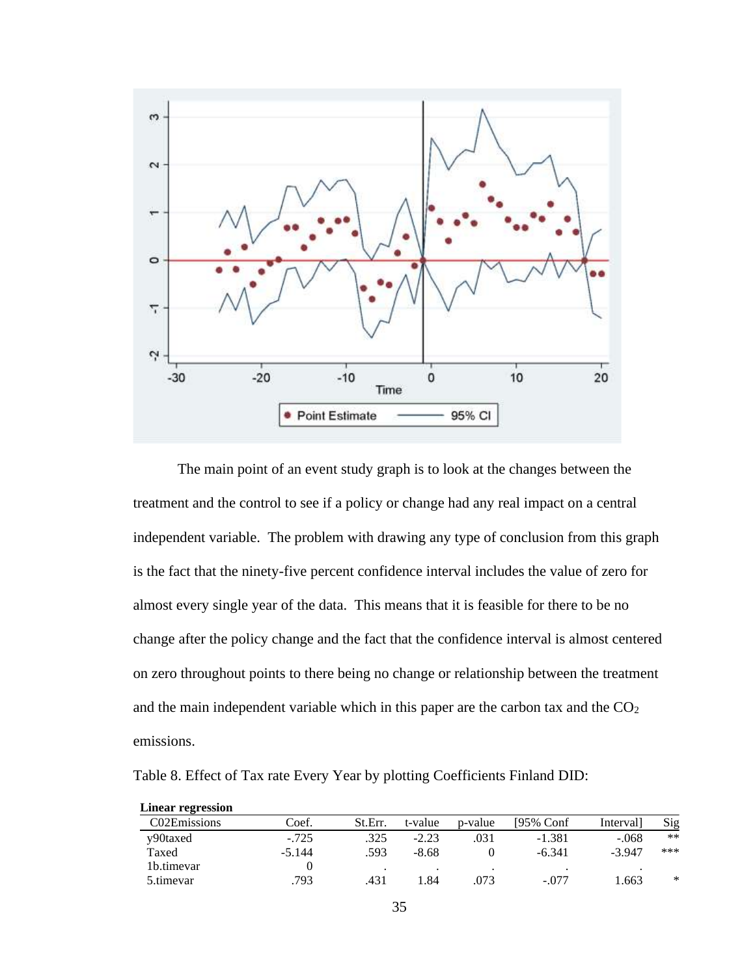

The main point of an event study graph is to look at the changes between the treatment and the control to see if a policy or change had any real impact on a central independent variable. The problem with drawing any type of conclusion from this graph is the fact that the ninety-five percent confidence interval includes the value of zero for almost every single year of the data. This means that it is feasible for there to be no change after the policy change and the fact that the confidence interval is almost centered on zero throughout points to there being no change or relationship between the treatment and the main independent variable which in this paper are the carbon tax and the  $CO<sub>2</sub>$ emissions.

Table 8. Effect of Tax rate Every Year by plotting Coefficients Finland DID:

| <b>Linear regression</b> |          |         |         |         |              |           |        |
|--------------------------|----------|---------|---------|---------|--------------|-----------|--------|
| C02Emissions             | Coef.    | St.Err. | t-value | p-value | $195\%$ Conf | Interval] | Sig    |
| y90taxed                 | $-.725$  | .325    | $-2.23$ | .031    | $-1.381$     | $-.068$   | $***$  |
| Taxed                    | $-5.144$ | .593    | $-8.68$ |         | $-6.341$     | $-3.947$  | ***    |
| 1b.timevar               |          |         |         |         |              |           |        |
| 5.timevar                | .793     | .431    | .84     | .073    | $-.077$      | .663      | $\ast$ |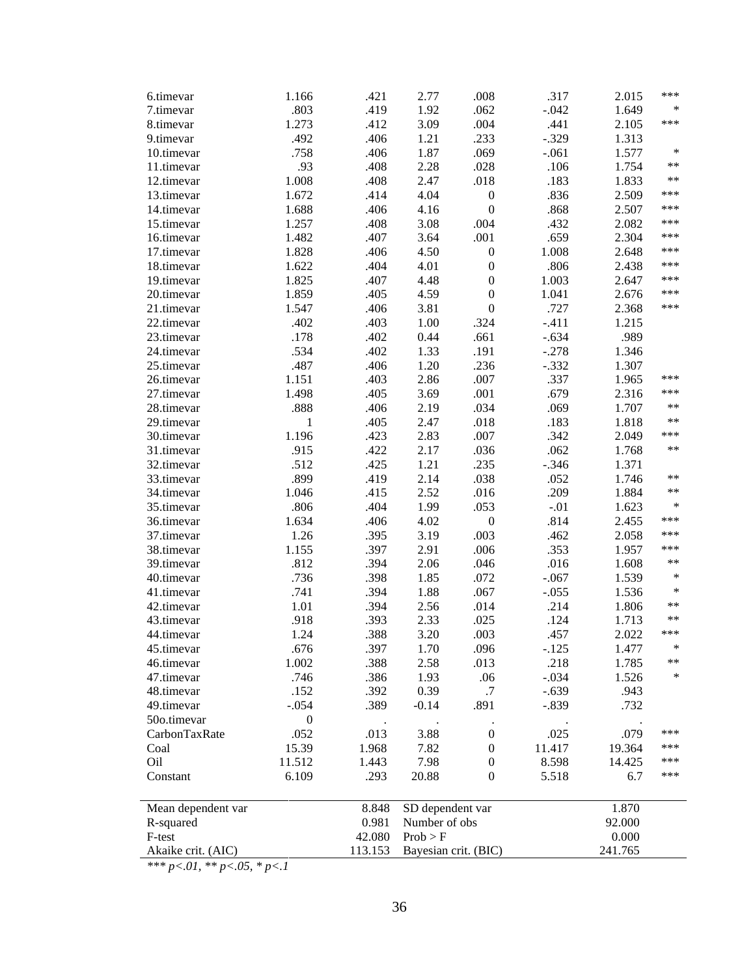| 6.timevar          | 1.166            | .421    | 2.77                 | .008             | .317    | 2.015   | ***    |
|--------------------|------------------|---------|----------------------|------------------|---------|---------|--------|
| 7.timevar          | .803             | .419    | 1.92                 | .062             | $-.042$ | 1.649   | *      |
| 8.timevar          | 1.273            | .412    | 3.09                 | .004             | .441    | 2.105   | ***    |
| 9.timevar          | .492             | .406    | 1.21                 | .233             | $-.329$ | 1.313   |        |
| 10.timevar         | .758             | .406    | 1.87                 | .069             | $-.061$ | 1.577   | $\ast$ |
| 11.timevar         | .93              | .408    | 2.28                 | .028             | .106    | 1.754   | **     |
| 12.timevar         | 1.008            | .408    | 2.47                 | .018             | .183    | 1.833   | **     |
| 13.timevar         | 1.672            | .414    | 4.04                 | $\boldsymbol{0}$ | .836    | 2.509   | ***    |
| 14.timevar         | 1.688            | .406    | 4.16                 | $\boldsymbol{0}$ | .868    | 2.507   | ***    |
| 15.timevar         | 1.257            | .408    | 3.08                 | .004             | .432    | 2.082   | ***    |
| 16.timevar         | 1.482            | .407    | 3.64                 | .001             | .659    | 2.304   | ***    |
| 17.timevar         | 1.828            | .406    | 4.50                 | $\boldsymbol{0}$ | 1.008   | 2.648   | ***    |
| 18.timevar         | 1.622            | .404    | 4.01                 | $\boldsymbol{0}$ | .806    | 2.438   | ***    |
| 19.timevar         | 1.825            | .407    | 4.48                 | $\boldsymbol{0}$ | 1.003   | 2.647   | ***    |
| 20.timevar         | 1.859            | .405    | 4.59                 | $\boldsymbol{0}$ | 1.041   | 2.676   | ***    |
| 21.timevar         | 1.547            | .406    | 3.81                 | $\boldsymbol{0}$ | .727    | 2.368   | ***    |
| 22.timevar         | .402             | .403    | 1.00                 | .324             | $-.411$ | 1.215   |        |
| 23.timevar         | .178             | .402    | 0.44                 | .661             | $-.634$ | .989    |        |
| 24.timevar         | .534             | .402    | 1.33                 | .191             | $-.278$ | 1.346   |        |
| 25.timevar         | .487             | .406    | 1.20                 | .236             | $-.332$ | 1.307   |        |
| 26.timevar         | 1.151            | .403    | 2.86                 | .007             | .337    | 1.965   | ***    |
| 27.timevar         | 1.498            | .405    | 3.69                 | .001             | .679    | 2.316   | ***    |
| 28.timevar         | .888             | .406    | 2.19                 | .034             | .069    | 1.707   | **     |
| 29.timevar         | 1                | .405    | 2.47                 | .018             | .183    | 1.818   | $***$  |
| 30.timevar         | 1.196            | .423    | 2.83                 | $.007$           | .342    | 2.049   | ***    |
| 31.timevar         | .915             | .422    | 2.17                 | .036             | .062    | 1.768   | **     |
| 32.timevar         | .512             | .425    | 1.21                 | .235             | $-.346$ | 1.371   |        |
| 33.timevar         | .899             | .419    | 2.14                 | .038             | .052    | 1.746   | **     |
| 34.timevar         | 1.046            | .415    | 2.52                 | .016             | .209    | 1.884   | **     |
| 35.timevar         | .806             | .404    | 1.99                 | .053             | $-.01$  | 1.623   | *      |
| 36.timevar         | 1.634            | .406    | 4.02                 | $\boldsymbol{0}$ | .814    | 2.455   | ***    |
| 37.timevar         | 1.26             | .395    | 3.19                 | .003             | .462    | 2.058   | ***    |
| 38.timevar         | 1.155            | .397    | 2.91                 | .006             | .353    | 1.957   | ***    |
| 39.timevar         | .812             | .394    | 2.06                 | .046             | .016    | 1.608   | **     |
| 40.timevar         | .736             | .398    | 1.85                 | .072             | $-.067$ | 1.539   | $\ast$ |
| 41.timevar         | .741             | .394    | 1.88                 | .067             | $-.055$ | 1.536   | $\ast$ |
| 42.timevar         | 1.01             | .394    | 2.56                 | .014             | .214    | 1.806   | **     |
| 43.timevar         | .918             | .393    | 2.33                 | .025             | .124    | 1.713   | **     |
| 44.timevar         | 1.24             | .388    | 3.20                 | .003             | .457    | 2.022   | ***    |
| 45.timevar         | .676             | .397    | 1.70                 | .096             | $-.125$ | 1.477   | *      |
| 46.timevar         | 1.002            | .388    | 2.58                 | .013             | .218    | 1.785   | **     |
| 47.timevar         | .746             | .386    | 1.93                 | .06              | $-.034$ | 1.526   | $\ast$ |
| 48.timevar         | .152             | .392    | 0.39                 | .7               | $-.639$ | .943    |        |
| 49.timevar         | $-.054$          | .389    | $-0.14$              | .891             | $-.839$ | .732    |        |
| 50o.timevar        | $\boldsymbol{0}$ |         |                      |                  |         |         |        |
| CarbonTaxRate      | .052             | .013    | 3.88                 | $\boldsymbol{0}$ | .025    | .079    | ***    |
| Coal               | 15.39            | 1.968   | 7.82                 | $\boldsymbol{0}$ | 11.417  | 19.364  | ***    |
| Oil                | 11.512           | 1.443   | 7.98                 | $\boldsymbol{0}$ | 8.598   | 14.425  | ***    |
| Constant           | 6.109            | .293    | 20.88                | $\boldsymbol{0}$ | 5.518   | 6.7     | ***    |
|                    |                  |         |                      |                  |         |         |        |
| Mean dependent var |                  | 8.848   | SD dependent var     |                  |         | 1.870   |        |
| R-squared          |                  | 0.981   | Number of obs        |                  |         | 92.000  |        |
| F-test             |                  | 42.080  | Prob > F             |                  |         | 0.000   |        |
| Akaike crit. (AIC) |                  | 113.153 | Bayesian crit. (BIC) |                  |         | 241.765 |        |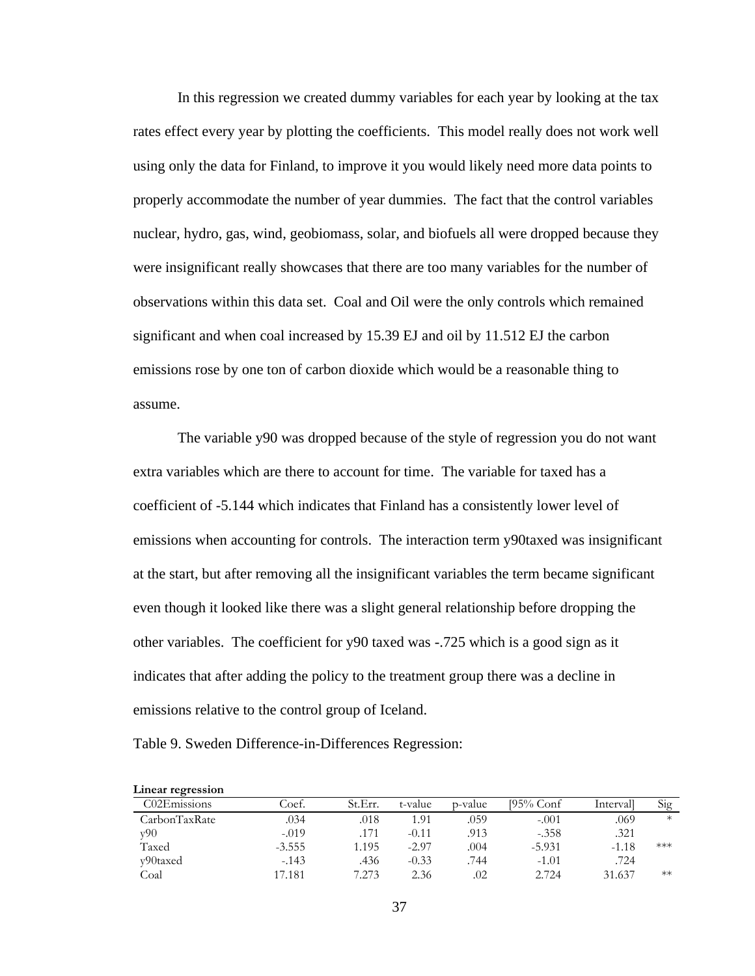In this regression we created dummy variables for each year by looking at the tax rates effect every year by plotting the coefficients. This model really does not work well using only the data for Finland, to improve it you would likely need more data points to properly accommodate the number of year dummies. The fact that the control variables nuclear, hydro, gas, wind, geobiomass, solar, and biofuels all were dropped because they were insignificant really showcases that there are too many variables for the number of observations within this data set. Coal and Oil were the only controls which remained significant and when coal increased by 15.39 EJ and oil by 11.512 EJ the carbon emissions rose by one ton of carbon dioxide which would be a reasonable thing to assume.

The variable y90 was dropped because of the style of regression you do not want extra variables which are there to account for time. The variable for taxed has a coefficient of -5.144 which indicates that Finland has a consistently lower level of emissions when accounting for controls. The interaction term y90taxed was insignificant at the start, but after removing all the insignificant variables the term became significant even though it looked like there was a slight general relationship before dropping the other variables. The coefficient for y90 taxed was -.725 which is a good sign as it indicates that after adding the policy to the treatment group there was a decline in emissions relative to the control group of Iceland.

Table 9. Sweden Difference-in-Differences Regression:

| Linear regression |          |         |         |         |           |           |        |
|-------------------|----------|---------|---------|---------|-----------|-----------|--------|
| C02Emissions      | Coef.    | St.Err. | t-value | p-value | 195% Conf | Intervall | Sig    |
| CarbonTaxRate     | .034     | .018    | .91     | .059    | $-.001$   | .069      | $\ast$ |
| v90               | $-.019$  | .171    | -0.11   | .913    | $-.358$   | .321      |        |
| Taxed             | $-3.555$ | 1.195   | $-2.97$ | .004    | $-5.931$  | $-1.18$   | ***    |
| y90taxed          | $-143$   | .436    | $-0.33$ | .744    | $-1.01$   | .724      |        |
| Coal              | 17.181   | 273     | 2.36    | .02     | 2.724     | 31.637    | $**$   |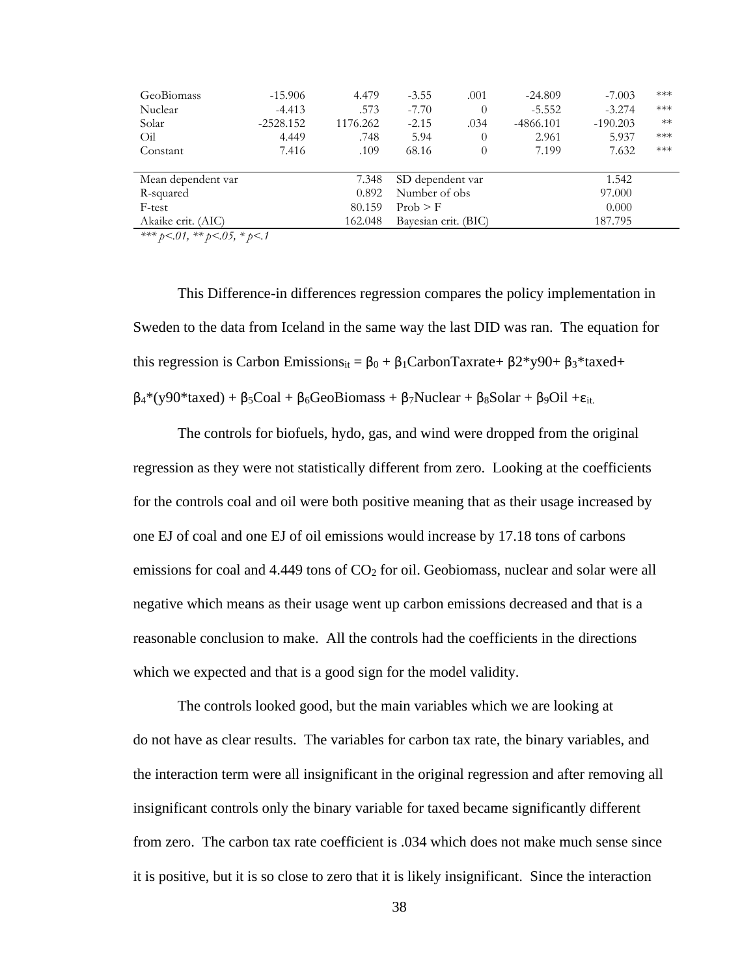|                    |             |          |                      |          |             |            | $***$ |
|--------------------|-------------|----------|----------------------|----------|-------------|------------|-------|
| GeoBiomass         | $-15.906$   | 4.479    | $-3.55$              | .001     | $-24.809$   | $-7.003$   |       |
| Nuclear            | $-4.413$    | .573     | $-7.70$              | 0        | $-5.552$    | $-3.274$   | ***   |
| Solar              | $-2528.152$ | 1176.262 | $-2.15$              | .034     | $-4866.101$ | $-190.203$ | $**$  |
| Oil                | 4.449       | .748     | 5.94                 | $\theta$ | 2.961       | 5.937      | ***   |
| Constant           | 7.416       | .109     | 68.16                | 0        | 7.199       | 7.632      | ***   |
|                    |             |          |                      |          |             |            |       |
| Mean dependent var |             | 7.348    | SD dependent var     |          |             | 1.542      |       |
| R-squared          |             | 0.892    | Number of obs        |          |             | 97.000     |       |
| F-test             |             | 80.159   | Prob > F             |          |             | 0.000      |       |
| Akaike crit. (AIC) |             | 162.048  | Bayesian crit. (BIC) |          |             | 187.795    |       |
| $\mathcal{L}$      |             |          |                      |          |             |            |       |

This Difference-in differences regression compares the policy implementation in Sweden to the data from Iceland in the same way the last DID was ran. The equation for this regression is Carbon Emissions<sub>it</sub> =  $\beta_0 + \beta_1$ CarbonTaxrate+  $\beta_2$ \*y90+  $\beta_3$ \*taxed+  $\beta_4$ <sup>\*</sup>(y90<sup>\*</sup>taxed) + β<sub>5</sub>Coal + β<sub>6</sub>GeoBiomass + β<sub>7</sub>Nuclear + β<sub>8</sub>Solar + β<sub>9</sub>Oil + ε<sub>it.</sub>

The controls for biofuels, hydo, gas, and wind were dropped from the original regression as they were not statistically different from zero. Looking at the coefficients for the controls coal and oil were both positive meaning that as their usage increased by one EJ of coal and one EJ of oil emissions would increase by 17.18 tons of carbons emissions for coal and  $4.449$  tons of  $CO<sub>2</sub>$  for oil. Geobiomass, nuclear and solar were all negative which means as their usage went up carbon emissions decreased and that is a reasonable conclusion to make. All the controls had the coefficients in the directions which we expected and that is a good sign for the model validity.

The controls looked good, but the main variables which we are looking at do not have as clear results. The variables for carbon tax rate, the binary variables, and the interaction term were all insignificant in the original regression and after removing all insignificant controls only the binary variable for taxed became significantly different from zero. The carbon tax rate coefficient is .034 which does not make much sense since it is positive, but it is so close to zero that it is likely insignificant. Since the interaction

38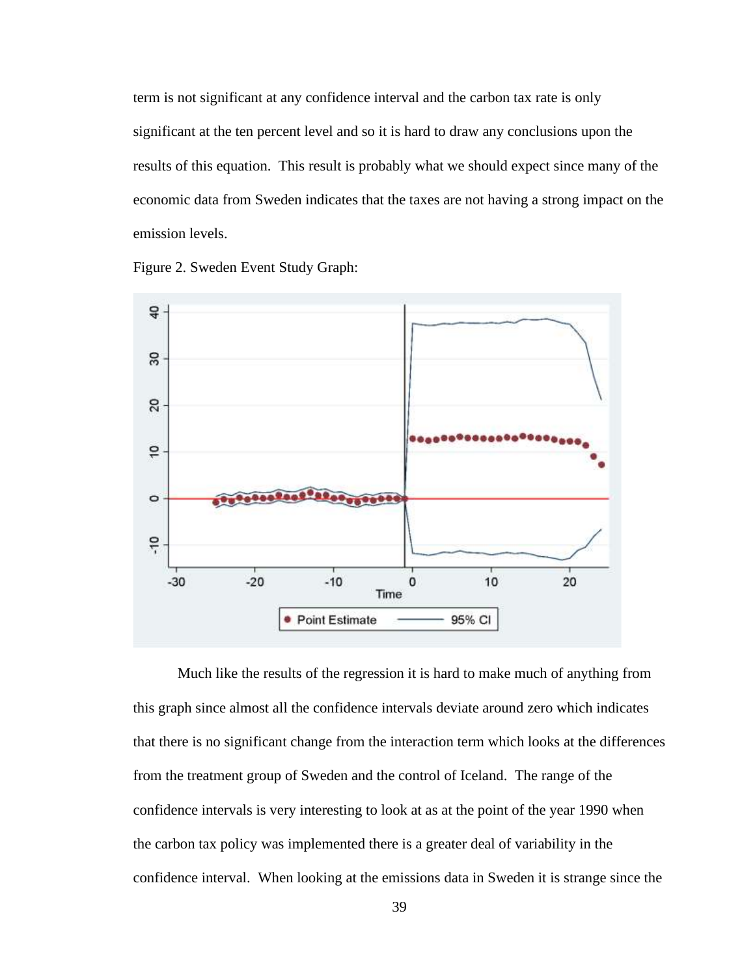term is not significant at any confidence interval and the carbon tax rate is only significant at the ten percent level and so it is hard to draw any conclusions upon the results of this equation. This result is probably what we should expect since many of the economic data from Sweden indicates that the taxes are not having a strong impact on the emission levels.





Much like the results of the regression it is hard to make much of anything from this graph since almost all the confidence intervals deviate around zero which indicates that there is no significant change from the interaction term which looks at the differences from the treatment group of Sweden and the control of Iceland. The range of the confidence intervals is very interesting to look at as at the point of the year 1990 when the carbon tax policy was implemented there is a greater deal of variability in the confidence interval. When looking at the emissions data in Sweden it is strange since the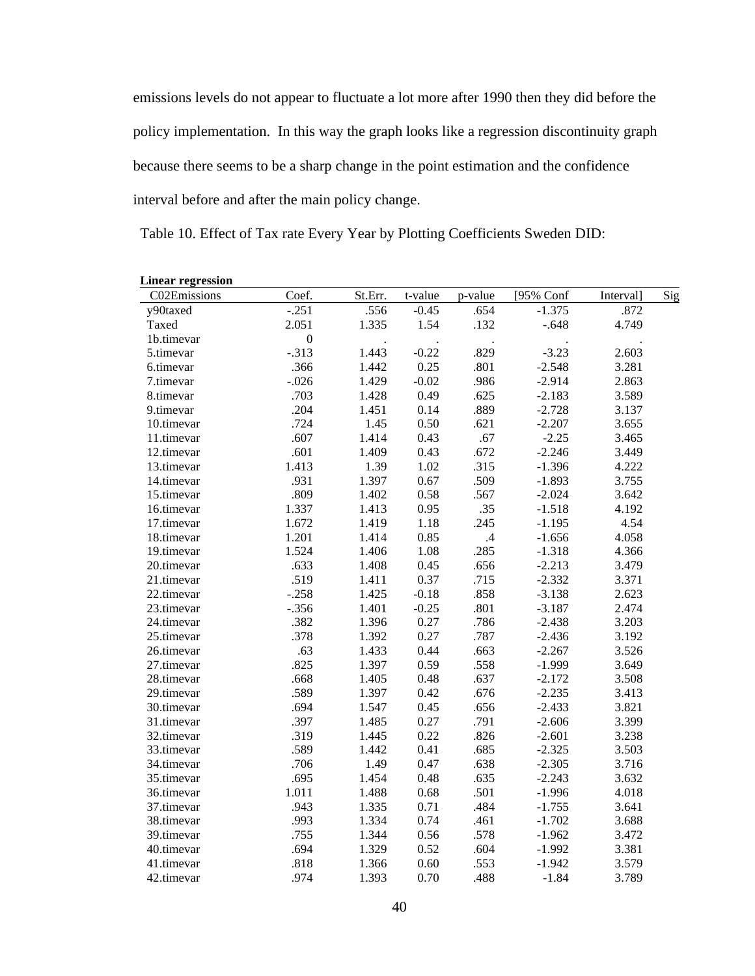emissions levels do not appear to fluctuate a lot more after 1990 then they did before the policy implementation. In this way the graph looks like a regression discontinuity graph because there seems to be a sharp change in the point estimation and the confidence interval before and after the main policy change.

Table 10. Effect of Tax rate Every Year by Plotting Coefficients Sweden DID:

| C02Emissions | Coef.            | St.Err. | t-value | p-value | [95% Conf | Interval] | Sig |
|--------------|------------------|---------|---------|---------|-----------|-----------|-----|
| y90taxed     | $-.251$          | .556    | $-0.45$ | .654    | $-1.375$  | .872      |     |
| Taxed        | 2.051            | 1.335   | 1.54    | .132    | $-.648$   | 4.749     |     |
| 1b.timevar   | $\boldsymbol{0}$ |         |         |         |           |           |     |
| 5.timevar    | $-.313$          | 1.443   | $-0.22$ | .829    | $-3.23$   | 2.603     |     |
| 6.timevar    | .366             | 1.442   | 0.25    | .801    | $-2.548$  | 3.281     |     |
| 7.timevar    | $-.026$          | 1.429   | $-0.02$ | .986    | $-2.914$  | 2.863     |     |
| 8.timevar    | .703             | 1.428   | 0.49    | .625    | $-2.183$  | 3.589     |     |
| 9.timevar    | .204             | 1.451   | 0.14    | .889    | $-2.728$  | 3.137     |     |
| 10.timevar   | .724             | 1.45    | 0.50    | .621    | $-2.207$  | 3.655     |     |
| 11.timevar   | .607             | 1.414   | 0.43    | .67     | $-2.25$   | 3.465     |     |
| 12.timevar   | .601             | 1.409   | 0.43    | .672    | $-2.246$  | 3.449     |     |
| 13.timevar   | 1.413            | 1.39    | 1.02    | .315    | $-1.396$  | 4.222     |     |
| 14.timevar   | .931             | 1.397   | 0.67    | .509    | $-1.893$  | 3.755     |     |
| 15.timevar   | .809             | 1.402   | 0.58    | .567    | $-2.024$  | 3.642     |     |
| 16.timevar   | 1.337            | 1.413   | 0.95    | .35     | $-1.518$  | 4.192     |     |
| 17.timevar   | 1.672            | 1.419   | 1.18    | .245    | $-1.195$  | 4.54      |     |
| 18.timevar   | 1.201            | 1.414   | 0.85    | .4      | $-1.656$  | 4.058     |     |
| 19.timevar   | 1.524            | 1.406   | 1.08    | .285    | $-1.318$  | 4.366     |     |
| 20.timevar   | .633             | 1.408   | 0.45    | .656    | $-2.213$  | 3.479     |     |
| 21.timevar   | .519             | 1.411   | 0.37    | .715    | $-2.332$  | 3.371     |     |
| 22.timevar   | $-.258$          | 1.425   | $-0.18$ | .858    | $-3.138$  | 2.623     |     |
| 23.timevar   | $-.356$          | 1.401   | $-0.25$ | .801    | $-3.187$  | 2.474     |     |
| 24.timevar   | .382             | 1.396   | 0.27    | .786    | $-2.438$  | 3.203     |     |
| 25.timevar   | .378             | 1.392   | 0.27    | .787    | $-2.436$  | 3.192     |     |
| 26.timevar   | .63              | 1.433   | 0.44    | .663    | $-2.267$  | 3.526     |     |
| 27.timevar   | .825             | 1.397   | 0.59    | .558    | $-1.999$  | 3.649     |     |
| 28.timevar   | .668             | 1.405   | 0.48    | .637    | $-2.172$  | 3.508     |     |
| 29.timevar   | .589             | 1.397   | 0.42    | .676    | $-2.235$  | 3.413     |     |
| 30.timevar   | .694             | 1.547   | 0.45    | .656    | $-2.433$  | 3.821     |     |
| 31.timevar   | .397             | 1.485   | 0.27    | .791    | $-2.606$  | 3.399     |     |
| 32.timevar   | .319             | 1.445   | 0.22    | .826    | $-2.601$  | 3.238     |     |
| 33.timevar   | .589             | 1.442   | 0.41    | .685    | $-2.325$  | 3.503     |     |
| 34.timevar   | .706             | 1.49    | 0.47    | .638    | $-2.305$  | 3.716     |     |
| 35.timevar   | .695             | 1.454   | 0.48    | .635    | $-2.243$  | 3.632     |     |
| 36.timevar   | 1.011            | 1.488   | 0.68    | .501    | $-1.996$  | 4.018     |     |
| 37.timevar   | .943             | 1.335   | 0.71    | .484    | $-1.755$  | 3.641     |     |
| 38.timevar   | .993             | 1.334   | 0.74    | .461    | $-1.702$  | 3.688     |     |
| 39.timevar   | .755             | 1.344   | 0.56    | .578    | $-1.962$  | 3.472     |     |
| 40.timevar   | .694             | 1.329   | 0.52    | .604    | $-1.992$  | 3.381     |     |
| 41.timevar   | .818             | 1.366   | 0.60    | .553    | $-1.942$  | 3.579     |     |
| 42.timevar   | .974             | 1.393   | 0.70    | .488    | $-1.84$   | 3.789     |     |

### **Linear regression**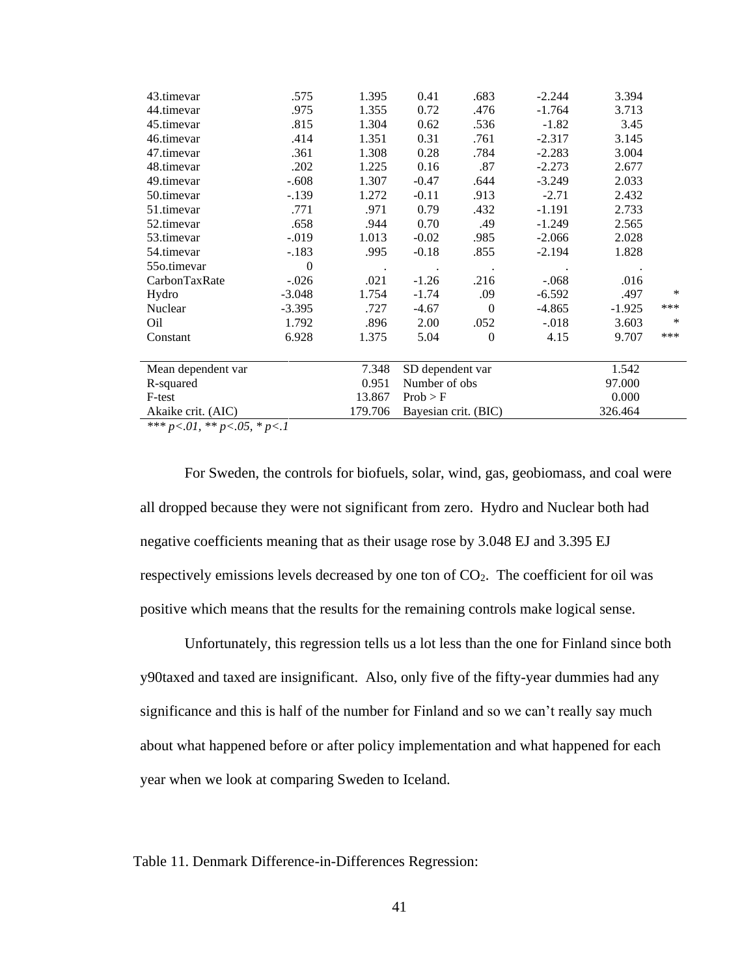| 43.timevar         | .575         | 1.395     | 0.41                 | .683      | $-2.244$ | 3.394    |     |
|--------------------|--------------|-----------|----------------------|-----------|----------|----------|-----|
| 44.timevar         | .975         | 1.355     | 0.72                 | .476      | $-1.764$ | 3.713    |     |
| 45.timevar         | .815         | 1.304     | 0.62                 | .536      | $-1.82$  | 3.45     |     |
| 46.timevar         | .414         | 1.351     | 0.31                 | .761      | $-2.317$ | 3.145    |     |
| 47.timevar         | .361         | 1.308     | 0.28                 | .784      | $-2.283$ | 3.004    |     |
| 48.timevar         | .202         | 1.225     | 0.16                 | .87       | $-2.273$ | 2.677    |     |
| 49.timevar         | $-.608$      | 1.307     | $-0.47$              | .644      | $-3.249$ | 2.033    |     |
| 50.timevar         | $-.139$      | 1.272     | $-0.11$              | .913      | $-2.71$  | 2.432    |     |
| 51.timevar         | .771         | .971      | 0.79                 | .432      | $-1.191$ | 2.733    |     |
| 52.timevar         | .658         | .944      | 0.70                 | .49       | $-1.249$ | 2.565    |     |
| 53.timevar         | $-0.019$     | 1.013     | $-0.02$              | .985      | $-2.066$ | 2.028    |     |
| 54.timevar         | $-.183$      | .995      | $-0.18$              | .855      | $-2.194$ | 1.828    |     |
| 55o.timevar        | $\mathbf{0}$ | $\bullet$ | $\bullet$            | $\bullet$ |          |          |     |
| CarbonTaxRate      | $-.026$      | .021      | $-1.26$              | .216      | $-.068$  | .016     |     |
| Hydro              | $-3.048$     | 1.754     | $-1.74$              | .09       | $-6.592$ | .497     | *   |
| Nuclear            | $-3.395$     | .727      | $-4.67$              | $\theta$  | $-4.865$ | $-1.925$ | *** |
| Oil                | 1.792        | .896      | 2.00                 | .052      | $-.018$  | 3.603    | *   |
| Constant           | 6.928        | 1.375     | 5.04                 | $\Omega$  | 4.15     | 9.707    | *** |
|                    |              |           |                      |           |          |          |     |
| Mean dependent var |              | 7.348     | SD dependent var     |           |          | 1.542    |     |
| R-squared          |              | 0.951     | Number of obs        |           |          | 97.000   |     |
| F-test             |              | 13.867    | Prob > F             |           |          | 0.000    |     |
| Akaike crit. (AIC) |              | 179.706   | Bayesian crit. (BIC) |           |          | 326.464  |     |
|                    |              |           |                      |           |          |          |     |

For Sweden, the controls for biofuels, solar, wind, gas, geobiomass, and coal were all dropped because they were not significant from zero. Hydro and Nuclear both had negative coefficients meaning that as their usage rose by 3.048 EJ and 3.395 EJ respectively emissions levels decreased by one ton of CO<sub>2</sub>. The coefficient for oil was positive which means that the results for the remaining controls make logical sense.

Unfortunately, this regression tells us a lot less than the one for Finland since both y90taxed and taxed are insignificant. Also, only five of the fifty-year dummies had any significance and this is half of the number for Finland and so we can't really say much about what happened before or after policy implementation and what happened for each year when we look at comparing Sweden to Iceland.

Table 11. Denmark Difference-in-Differences Regression: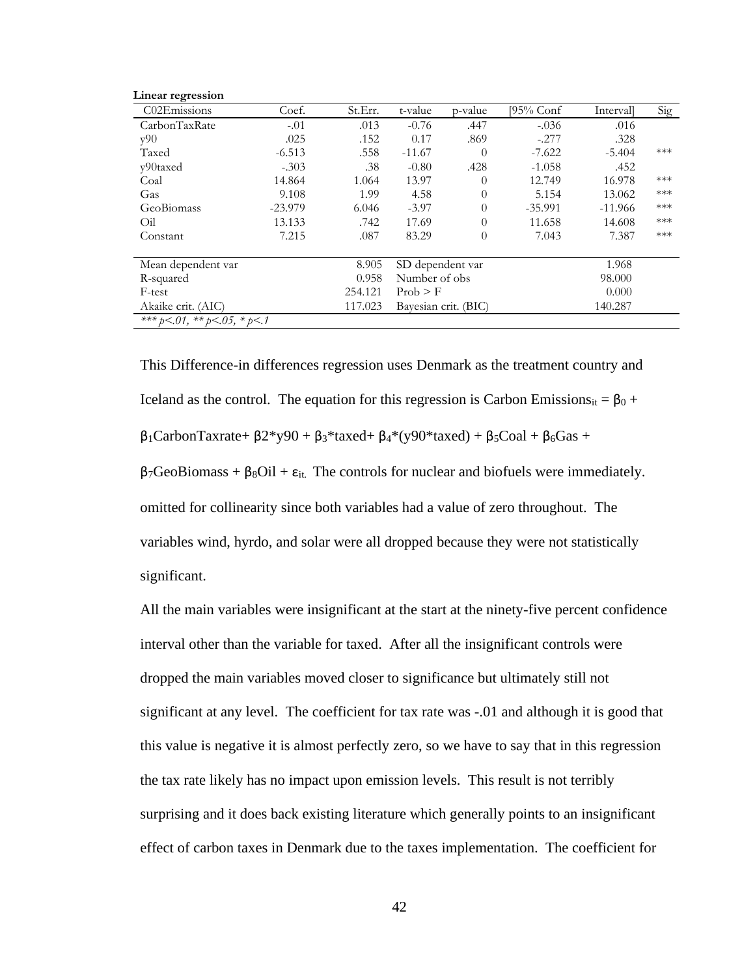| Linear regression                      |           |         |                      |          |           |           |       |
|----------------------------------------|-----------|---------|----------------------|----------|-----------|-----------|-------|
| C02Emissions                           | Coef.     | St.Err. | t-value              | p-value  | 195% Conf | Intervall | Sig   |
| CarbonTaxRate                          | $-.01$    | .013    | $-0.76$              | .447     | $-.036$   | .016      |       |
| v90                                    | .025      | .152    | 0.17                 | .869     | $-.277$   | .328      |       |
| Taxed                                  | $-6.513$  | .558    | $-11.67$             | $\theta$ | $-7.622$  | $-5.404$  | ***   |
| y90taxed                               | $-.303$   | .38     | $-0.80$              | .428     | $-1.058$  | .452      |       |
| Coal                                   | 14.864    | 1.064   | 13.97                | $\theta$ | 12.749    | 16.978    | ***   |
| Gas                                    | 9.108     | 1.99    | 4.58                 | $\theta$ | 5.154     | 13.062    | ***   |
| GeoBiomass                             | $-23.979$ | 6.046   | $-3.97$              | $\theta$ | $-35.991$ | $-11.966$ | $***$ |
| Oil                                    | 13.133    | .742    | 17.69                | $\theta$ | 11.658    | 14.608    | $***$ |
| Constant                               | 7.215     | .087    | 83.29                | 0        | 7.043     | 7.387     | ***   |
| Mean dependent var                     |           | 8.905   | SD dependent var     |          |           | 1.968     |       |
| R-squared                              |           | 0.958   | Number of obs        |          |           | 98.000    |       |
| F-test                                 |           | 254.121 | Prob > F             |          |           | 0.000     |       |
| Akaike crit. (AIC)                     |           | 117.023 | Bayesian crit. (BIC) |          | 140.287   |           |       |
| *** $b < 01$ , ** $b < 05$ , * $b < 1$ |           |         |                      |          |           |           |       |

This Difference-in differences regression uses Denmark as the treatment country and Iceland as the control. The equation for this regression is Carbon Emissions<sub>it</sub> =  $β_0 +$  $β<sub>1</sub>CarbonTaxrate+ β2*y90 + β<sub>3</sub>*taxed+ β<sub>4</sub>*(y90*taxed) + β<sub>5</sub>Coal + β<sub>6</sub>Gas +$  $β<sub>7</sub>GeoBiomass + β<sub>8</sub>Oil + ε<sub>it</sub>$ . The controls for nuclear and biofuels were immediately. omitted for collinearity since both variables had a value of zero throughout. The variables wind, hyrdo, and solar were all dropped because they were not statistically significant.

All the main variables were insignificant at the start at the ninety-five percent confidence interval other than the variable for taxed. After all the insignificant controls were dropped the main variables moved closer to significance but ultimately still not significant at any level. The coefficient for tax rate was -.01 and although it is good that this value is negative it is almost perfectly zero, so we have to say that in this regression the tax rate likely has no impact upon emission levels. This result is not terribly surprising and it does back existing literature which generally points to an insignificant effect of carbon taxes in Denmark due to the taxes implementation. The coefficient for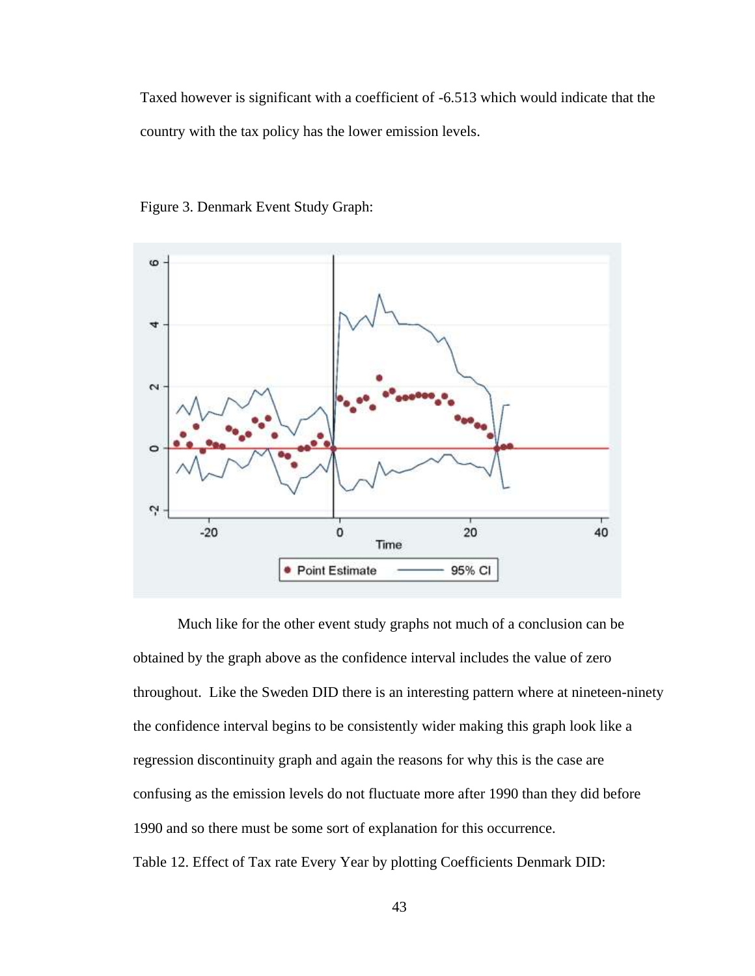Taxed however is significant with a coefficient of -6.513 which would indicate that the country with the tax policy has the lower emission levels.



Figure 3. Denmark Event Study Graph:

Much like for the other event study graphs not much of a conclusion can be obtained by the graph above as the confidence interval includes the value of zero throughout. Like the Sweden DID there is an interesting pattern where at nineteen-ninety the confidence interval begins to be consistently wider making this graph look like a regression discontinuity graph and again the reasons for why this is the case are confusing as the emission levels do not fluctuate more after 1990 than they did before 1990 and so there must be some sort of explanation for this occurrence. Table 12. Effect of Tax rate Every Year by plotting Coefficients Denmark DID: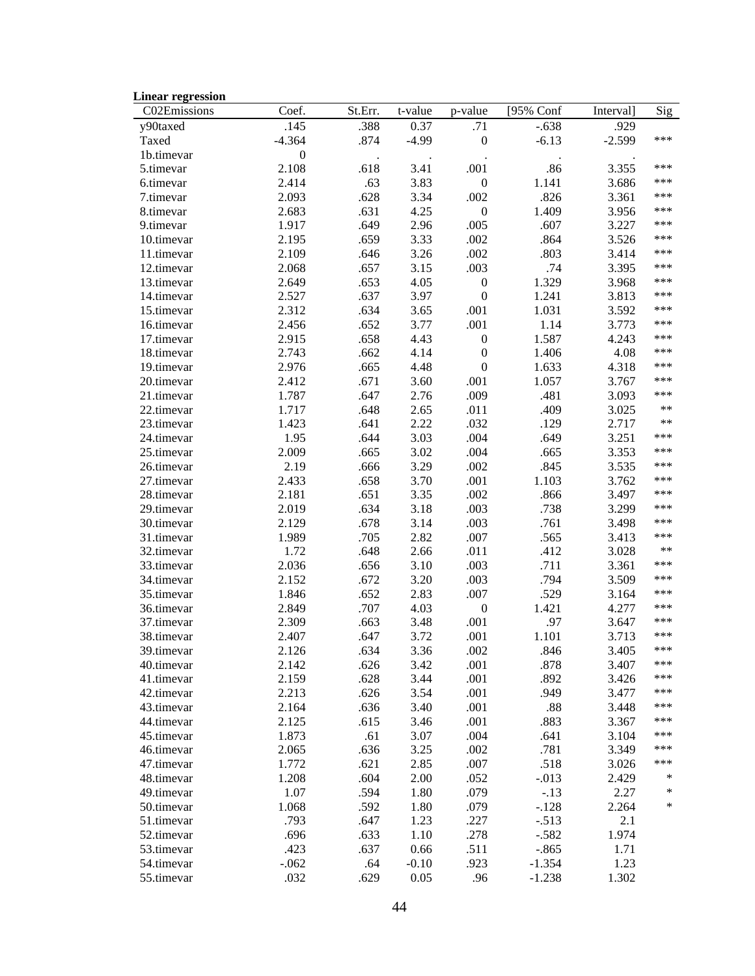| <b>Linear regression</b> |                  |         |         |                  |           |           |       |
|--------------------------|------------------|---------|---------|------------------|-----------|-----------|-------|
| C02Emissions             | Coef.            | St.Err. | t-value | p-value          | [95% Conf | Interval] | Sig   |
| y90taxed                 | .145             | .388    | 0.37    | .71              | $-.638$   | .929      |       |
| Taxed                    | $-4.364$         | .874    | $-4.99$ | $\boldsymbol{0}$ | $-6.13$   | $-2.599$  | ***   |
| 1b.timevar               | $\boldsymbol{0}$ |         |         |                  |           |           |       |
| 5.timevar                | 2.108            | .618    | 3.41    | .001             | .86       | 3.355     | ***   |
| 6.timevar                | 2.414            | .63     | 3.83    | $\boldsymbol{0}$ | 1.141     | 3.686     | ***   |
| 7.timevar                | 2.093            | .628    | 3.34    | .002             | .826      | 3.361     | ***   |
| 8.timevar                | 2.683            | .631    | 4.25    | $\boldsymbol{0}$ | 1.409     | 3.956     | ***   |
| 9.timevar                | 1.917            | .649    | 2.96    | .005             | .607      | 3.227     | ***   |
| 10.timevar               | 2.195            | .659    | 3.33    | .002             | .864      | 3.526     | ***   |
| 11.timevar               | 2.109            | .646    | 3.26    | .002             | .803      | 3.414     | ***   |
| 12.timevar               | 2.068            | .657    | 3.15    | .003             | .74       | 3.395     | ***   |
| 13.timevar               | 2.649            | .653    | 4.05    | $\boldsymbol{0}$ | 1.329     | 3.968     | ***   |
| 14.timevar               | 2.527            | .637    | 3.97    | $\boldsymbol{0}$ | 1.241     | 3.813     | ***   |
| 15.timevar               | 2.312            | .634    | 3.65    | .001             | 1.031     | 3.592     | ***   |
| 16.timevar               | 2.456            | .652    | 3.77    | .001             | 1.14      | 3.773     | ***   |
| 17.timevar               | 2.915            | .658    | 4.43    | $\boldsymbol{0}$ | 1.587     | 4.243     | ***   |
| 18.timevar               | 2.743            | .662    | 4.14    | $\boldsymbol{0}$ | 1.406     | 4.08      | ***   |
| 19.timevar               | 2.976            | .665    | 4.48    | $\boldsymbol{0}$ | 1.633     | 4.318     | ***   |
| 20.timevar               | 2.412            | .671    | 3.60    | .001             | 1.057     | 3.767     | ***   |
| 21.timevar               | 1.787            | .647    | 2.76    | .009             | .481      | 3.093     | ***   |
| 22.timevar               | 1.717            | .648    | 2.65    | .011             | .409      | 3.025     | $**$  |
| 23.timevar               | 1.423            | .641    | 2.22    | .032             | .129      | 2.717     | $***$ |
| 24.timevar               | 1.95             | .644    | 3.03    | .004             | .649      | 3.251     | ***   |
| 25.timevar               | 2.009            | .665    | 3.02    | .004             | .665      | 3.353     | ***   |
| 26.timevar               | 2.19             | .666    | 3.29    | .002             | .845      | 3.535     | ***   |
| 27.timevar               | 2.433            | .658    | 3.70    | .001             | 1.103     | 3.762     | ***   |
| 28.timevar               | 2.181            | .651    | 3.35    | .002             | .866      | 3.497     | ***   |
| 29.timevar               | 2.019            | .634    | 3.18    | .003             | .738      | 3.299     | ***   |
| 30.timevar               | 2.129            | .678    | 3.14    | .003             | .761      | 3.498     | ***   |
| 31.timevar               | 1.989            | .705    | 2.82    | .007             | .565      | 3.413     | ***   |
| 32.timevar               | 1.72             | .648    | 2.66    | .011             | .412      | 3.028     | $***$ |
| 33.timevar               | 2.036            | .656    | 3.10    | .003             | .711      | 3.361     | ***   |
| 34.timevar               | 2.152            | .672    | 3.20    | .003             | .794      | 3.509     | ***   |
| 35.timevar               | 1.846            | .652    | 2.83    | .007             | .529      | 3.164     | ***   |
| 36.timevar               | 2.849            | .707    | 4.03    | $\boldsymbol{0}$ | 1.421     | 4.277     | ***   |
| 37.timevar               | 2.309            | .663    | 3.48    | .001             | .97       | 3.647     | ***   |
| 38.timevar               | 2.407            | .647    | 3.72    | .001             | 1.101     | 3.713     | ***   |
| 39.timevar               | 2.126            | .634    | 3.36    | .002             | .846      | 3.405     | ***   |
| 40.timevar               | 2.142            | .626    | 3.42    | .001             | .878      | 3.407     | ***   |
| 41.timevar               | 2.159            | .628    | 3.44    | .001             | .892      | 3.426     | ***   |
| 42.timevar               | 2.213            | .626    | 3.54    | .001             | .949      | 3.477     | ***   |
| 43.timevar               | 2.164            | .636    | 3.40    | .001             | .88       | 3.448     | ***   |
| 44.timevar               | 2.125            | .615    | 3.46    | .001             | .883      | 3.367     | ***   |
| 45.timevar               | 1.873            | .61     | 3.07    | .004             | .641      | 3.104     | ***   |
| 46.timevar               | 2.065            | .636    | 3.25    | .002             | .781      | 3.349     | ***   |
| 47.timevar               | 1.772            | .621    | 2.85    | .007             | .518      | 3.026     | ***   |
| 48.timevar               | 1.208            | .604    | 2.00    | .052             | $-.013$   | 2.429     | ∗     |
| 49.timevar               | 1.07             | .594    | 1.80    | .079             | $-.13$    | 2.27      | ∗     |
| 50.timevar               | 1.068            | .592    | 1.80    | .079             | $-.128$   | 2.264     | *     |
| 51.timevar               | .793             | .647    | 1.23    | .227             | $-.513$   | 2.1       |       |
| 52.timevar               | .696             | .633    | 1.10    | .278             | $-.582$   | 1.974     |       |
| 53.timevar               | .423             | .637    | 0.66    | .511             | $-.865$   | 1.71      |       |
| 54.timevar               | $-.062$          | .64     | $-0.10$ | .923             | $-1.354$  | 1.23      |       |
| 55.timevar               | .032             | .629    | 0.05    | .96              | $-1.238$  | 1.302     |       |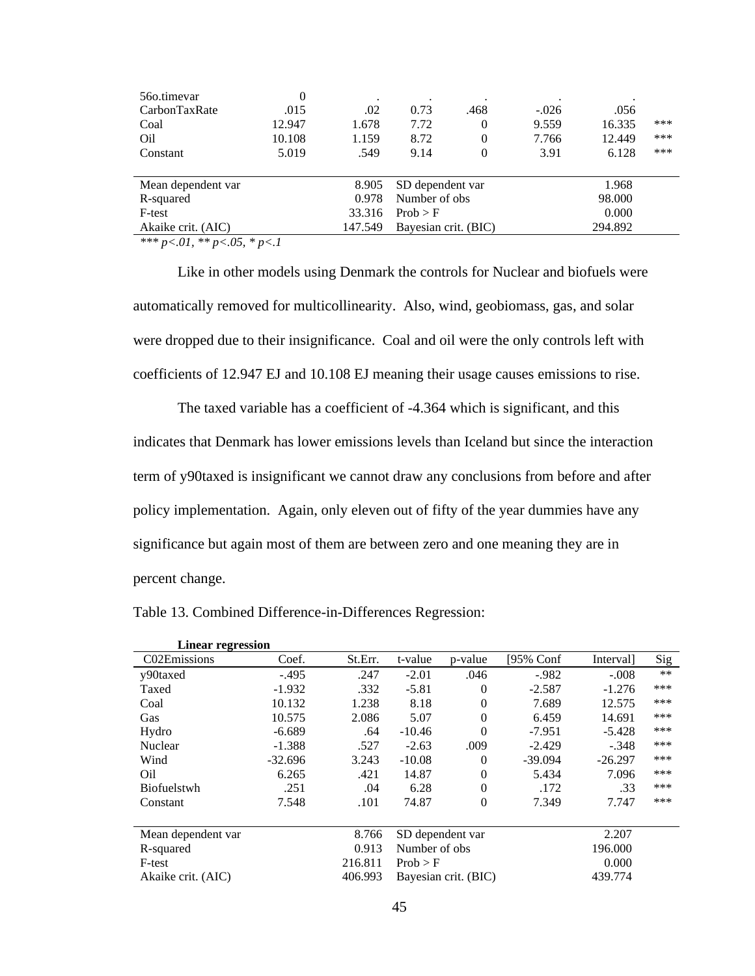| 560.timevar                | 0      |         | $\bullet$                       |          |         |        |     |
|----------------------------|--------|---------|---------------------------------|----------|---------|--------|-----|
| CarbonTaxRate              | .015   | .02     | 0.73                            | .468     | $-.026$ | .056   |     |
| Coal                       | 12.947 | 1.678   | 7.72                            | 0        | 9.559   | 16.335 | *** |
| Oil                        | 10.108 | 1.159   | 8.72                            | $\Omega$ | 7.766   | 12.449 | *** |
| Constant                   | 5.019  | .549    | 9.14                            | $\Omega$ | 3.91    | 6.128  | *** |
|                            |        |         |                                 |          |         |        |     |
| Mean dependent var         |        | 8.905   | SD dependent var                |          |         | 1.968  |     |
| R-squared                  |        | 0.978   | Number of obs                   |          | 98.000  |        |     |
| F-test                     |        | 33.316  | Prob > F                        |          |         | 0.000  |     |
| Akaike crit. (AIC)         |        | 147.549 | 294.892<br>Bayesian crit. (BIC) |          |         |        |     |
| $444$ $014$ $44$ $074$ $1$ |        |         |                                 |          |         |        |     |

Like in other models using Denmark the controls for Nuclear and biofuels were automatically removed for multicollinearity. Also, wind, geobiomass, gas, and solar were dropped due to their insignificance. Coal and oil were the only controls left with coefficients of 12.947 EJ and 10.108 EJ meaning their usage causes emissions to rise.

The taxed variable has a coefficient of -4.364 which is significant, and this indicates that Denmark has lower emissions levels than Iceland but since the interaction term of y90taxed is insignificant we cannot draw any conclusions from before and after policy implementation. Again, only eleven out of fifty of the year dummies have any significance but again most of them are between zero and one meaning they are in percent change.

| <b>Linear regression</b> |           |         |                      |          |           |           |       |
|--------------------------|-----------|---------|----------------------|----------|-----------|-----------|-------|
| C02Emissions             | Coef.     | St.Err. | t-value              | p-value  | [95% Conf | Interval] | Sig   |
| y90taxed                 | $-.495$   | .247    | $-2.01$              | .046     | $-.982$   | $-.008$   | $***$ |
| Taxed                    | $-1.932$  | .332    | $-5.81$              | $\Omega$ | $-2.587$  | $-1.276$  | ***   |
| Coal                     | 10.132    | 1.238   | 8.18                 | $\Omega$ | 7.689     | 12.575    | ***   |
| Gas                      | 10.575    | 2.086   | 5.07                 | $\theta$ | 6.459     | 14.691    | ***   |
| Hydro                    | $-6.689$  | .64     | $-10.46$             | $\Omega$ | $-7.951$  | $-5.428$  | ***   |
| Nuclear                  | $-1.388$  | .527    | $-2.63$              | .009     | $-2.429$  | $-.348$   | ***   |
| Wind                     | $-32.696$ | 3.243   | $-10.08$             | $\Omega$ | $-39.094$ | $-26.297$ | ***   |
| Oil                      | 6.265     | .421    | 14.87                | $\Omega$ | 5.434     | 7.096     | ***   |
| <b>Biofuelstwh</b>       | .251      | .04     | 6.28                 | $\Omega$ | .172      | .33       | ***   |
| Constant                 | 7.548     | .101    | 74.87                | $\theta$ | 7.349     | 7.747     | ***   |
| Mean dependent var       |           | 8.766   | SD dependent var     |          |           | 2.207     |       |
| R-squared                |           | 0.913   | Number of obs.       |          |           | 196.000   |       |
| F-test                   |           | 216.811 | Prob > F             |          | 0.000     |           |       |
| Akaike crit. (AIC)       |           | 406.993 | Bayesian crit. (BIC) |          |           | 439.774   |       |

Table 13. Combined Difference-in-Differences Regression: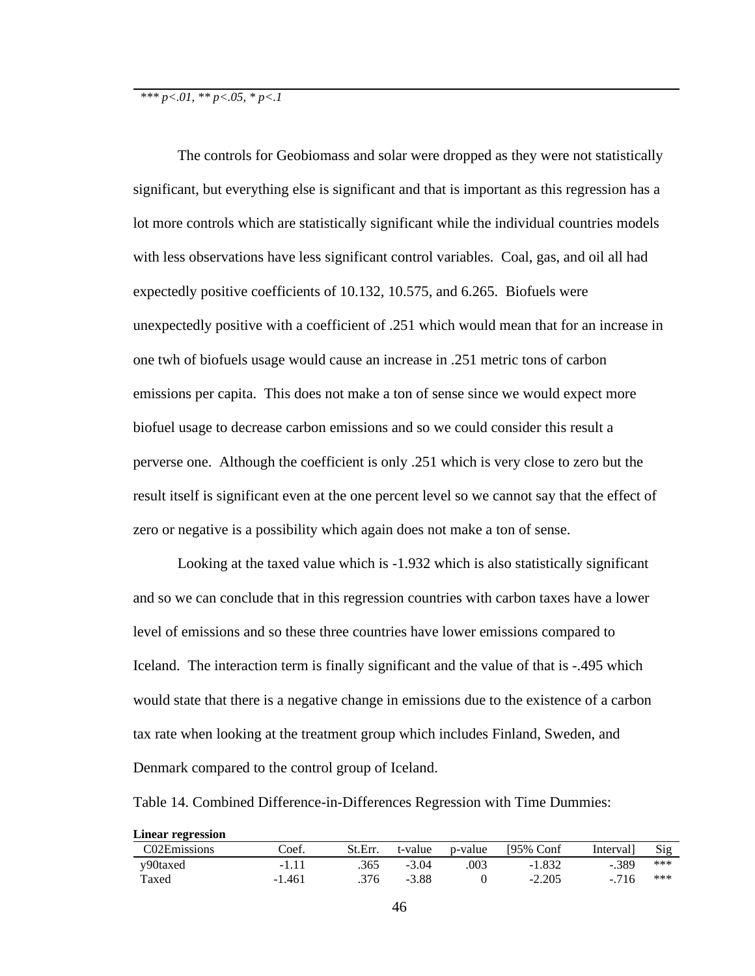The controls for Geobiomass and solar were dropped as they were not statistically significant, but everything else is significant and that is important as this regression has a lot more controls which are statistically significant while the individual countries models with less observations have less significant control variables. Coal, gas, and oil all had expectedly positive coefficients of 10.132, 10.575, and 6.265. Biofuels were unexpectedly positive with a coefficient of .251 which would mean that for an increase in one twh of biofuels usage would cause an increase in .251 metric tons of carbon emissions per capita. This does not make a ton of sense since we would expect more biofuel usage to decrease carbon emissions and so we could consider this result a perverse one. Although the coefficient is only .251 which is very close to zero but the result itself is significant even at the one percent level so we cannot say that the effect of zero or negative is a possibility which again does not make a ton of sense.

Looking at the taxed value which is -1.932 which is also statistically significant and so we can conclude that in this regression countries with carbon taxes have a lower level of emissions and so these three countries have lower emissions compared to Iceland. The interaction term is finally significant and the value of that is -.495 which would state that there is a negative change in emissions due to the existence of a carbon tax rate when looking at the treatment group which includes Finland, Sweden, and Denmark compared to the control group of Iceland.

Table 14. Combined Difference-in-Differences Regression with Time Dummies:

| <b>Linear regression</b> |        |         |         |         |           |          |     |
|--------------------------|--------|---------|---------|---------|-----------|----------|-----|
| C02Emissions             | Coef.  | St.Err. | t-value | p-value | 195% Conf | Interval | Sig |
| y90taxed                 | -1.11  | .365    | $-3.04$ | 003     | $-1.832$  | $-.389$  | *** |
| Taxed                    | -1.461 | .376    | -3.88   |         | $-2.205$  | $-716$   | *** |

46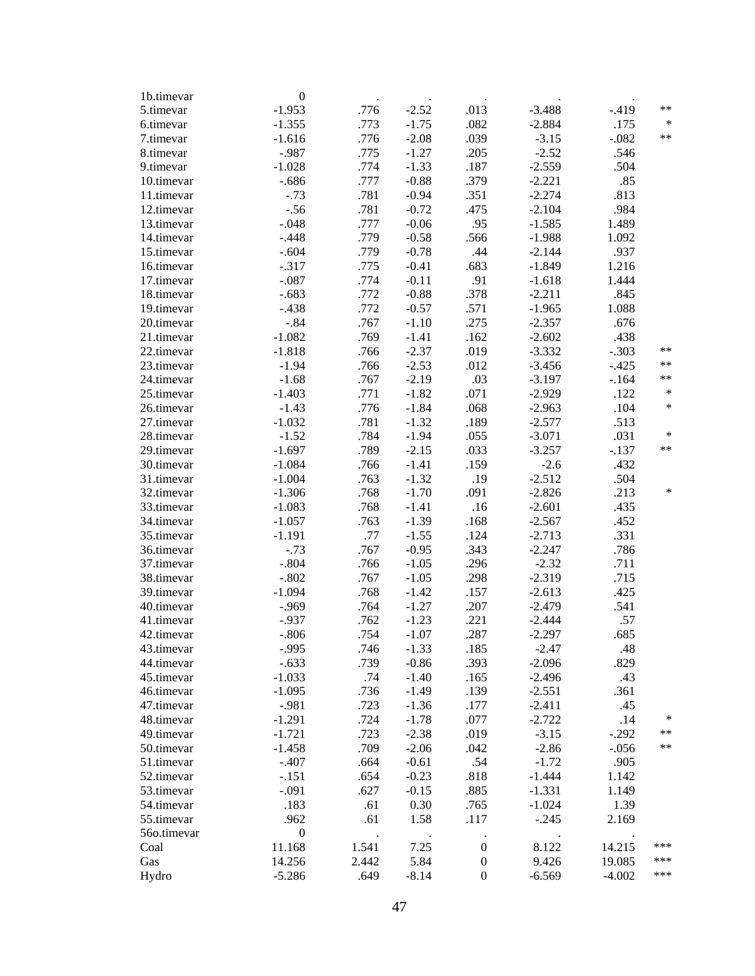| 1b.timevar               | $\boldsymbol{0}$ | $\bullet$ |         |                  |          |          |        |
|--------------------------|------------------|-----------|---------|------------------|----------|----------|--------|
| 5.timevar                | $-1.953$         | .776      | $-2.52$ | .013             | $-3.488$ | $-.419$  | $**$   |
| 6.timevar                | $-1.355$         | .773      | $-1.75$ | .082             | $-2.884$ | .175     | $\ast$ |
| 7.timevar                | $-1.616$         | .776      | $-2.08$ | .039             | $-3.15$  | $-.082$  | $**$   |
| 8.timevar                | $-.987$          | .775      | $-1.27$ | .205             | $-2.52$  | .546     |        |
| 9.timevar                | $-1.028$         | .774      | $-1.33$ | .187             | $-2.559$ | .504     |        |
| 10.timevar               | $-.686$          | .777      | $-0.88$ | .379             | $-2.221$ | .85      |        |
| 11.timevar               | $-.73$           | .781      | $-0.94$ | .351             | $-2.274$ | .813     |        |
| 12.timevar               | $-.56$           | .781      | $-0.72$ | .475             | $-2.104$ | .984     |        |
| 13.timevar               | $-.048$          | .777      | $-0.06$ | .95              | $-1.585$ | 1.489    |        |
| 14.timevar               | $-.448$          | .779      | $-0.58$ | .566             | $-1.988$ | 1.092    |        |
| 15.timevar               | $-.604$          | .779      | $-0.78$ | .44              | $-2.144$ | .937     |        |
| 16.timevar               | $-.317$          | .775      | $-0.41$ | .683             | $-1.849$ | 1.216    |        |
| 17.timevar               | $-.087$          | .774      | $-0.11$ | .91              | $-1.618$ | 1.444    |        |
| 18.timevar               | $-.683$          | .772      | $-0.88$ | .378             | $-2.211$ | .845     |        |
| 19.timevar               | $-.438$          | .772      | $-0.57$ | .571             | $-1.965$ | 1.088    |        |
| 20.timevar               | $-.84$           | .767      | $-1.10$ | .275             | $-2.357$ | .676     |        |
|                          | $-1.082$         | .769      | $-1.41$ | .162             | $-2.602$ | .438     |        |
| 21.timevar<br>22.timevar | $-1.818$         |           | $-2.37$ | .019             | $-3.332$ | $-.303$  | $***$  |
|                          |                  | .766      |         |                  |          |          | $**$   |
| 23.timevar               | $-1.94$          | .766      | $-2.53$ | .012             | $-3.456$ | $-.425$  | $***$  |
| 24.timevar               | $-1.68$          | .767      | $-2.19$ | .03              | $-3.197$ | $-164$   | $\ast$ |
| 25.timevar               | $-1.403$         | .771      | $-1.82$ | .071             | $-2.929$ | .122     |        |
| 26.timevar               | $-1.43$          | .776      | $-1.84$ | .068             | $-2.963$ | .104     | *      |
| 27.timevar               | $-1.032$         | .781      | $-1.32$ | .189             | $-2.577$ | .513     |        |
| 28.timevar               | $-1.52$          | .784      | $-1.94$ | .055             | $-3.071$ | .031     | $\ast$ |
| 29.timevar               | $-1.697$         | .789      | $-2.15$ | .033             | $-3.257$ | $-.137$  | $***$  |
| 30.timevar               | $-1.084$         | .766      | $-1.41$ | .159             | $-2.6$   | .432     |        |
| 31.timevar               | $-1.004$         | .763      | $-1.32$ | .19              | $-2.512$ | .504     |        |
| 32.timevar               | $-1.306$         | .768      | $-1.70$ | .091             | $-2.826$ | .213     | $\ast$ |
| 33.timevar               | $-1.083$         | .768      | $-1.41$ | .16              | $-2.601$ | .435     |        |
| 34.timevar               | $-1.057$         | .763      | $-1.39$ | .168             | $-2.567$ | .452     |        |
| 35.timevar               | $-1.191$         | .77       | $-1.55$ | .124             | $-2.713$ | .331     |        |
| 36.timevar               | $-.73$           | .767      | $-0.95$ | .343             | $-2.247$ | .786     |        |
| 37.timevar               | $-.804$          | .766      | $-1.05$ | .296             | $-2.32$  | .711     |        |
| 38.timevar               | $-.802$          | .767      | $-1.05$ | .298             | $-2.319$ | .715     |        |
| 39.timevar               | $-1.094$         | .768      | $-1.42$ | .157             | $-2.613$ | .425     |        |
| 40.timevar               | $-0.969$         | .764      | $-1.27$ | .207             | $-2.479$ | .541     |        |
| 41.timevar               | $-0.937$         | .762      | $-1.23$ | .221             | $-2.444$ | .57      |        |
| 42.timevar               | $-.806$          | .754      | $-1.07$ | .287             | $-2.297$ | .685     |        |
| 43.timevar               | $-.995$          | .746      | $-1.33$ | .185             | $-2.47$  | .48      |        |
| 44.timevar               | $-.633$          | .739      | $-0.86$ | .393             | $-2.096$ | .829     |        |
| 45.timevar               | $-1.033$         | .74       | $-1.40$ | .165             | $-2.496$ | .43      |        |
| 46.timevar               | $-1.095$         | .736      | $-1.49$ | .139             | $-2.551$ | .361     |        |
| 47.timevar               | $-.981$          | .723      | $-1.36$ | .177             | $-2.411$ | .45      |        |
| 48.timevar               | $-1.291$         | .724      | $-1.78$ | .077             | $-2.722$ | .14      | ∗      |
| 49.timevar               | $-1.721$         | .723      | $-2.38$ | .019             | $-3.15$  | $-.292$  | $***$  |
| 50.timevar               | $-1.458$         | .709      | $-2.06$ | .042             | $-2.86$  | $-0.056$ | $***$  |
| 51.timevar               | $-.407$          | .664      | $-0.61$ | .54              | $-1.72$  | .905     |        |
| 52.timevar               | $-.151$          | .654      | $-0.23$ | .818             | $-1.444$ | 1.142    |        |
| 53.timevar               | $-.091$          | .627      | $-0.15$ | .885             | $-1.331$ | 1.149    |        |
| 54.timevar               | .183             | .61       | 0.30    | .765             | $-1.024$ | 1.39     |        |
| 55.timevar               | .962             | .61       | 1.58    | .117             | $-.245$  | 2.169    |        |
| 56o.timevar              | $\boldsymbol{0}$ | $\cdot$   |         | $\cdot$          |          |          |        |
| Coal                     | 11.168           | 1.541     | 7.25    | $\boldsymbol{0}$ | 8.122    | 14.215   | ***    |
| Gas                      | 14.256           | 2.442     | 5.84    | $\boldsymbol{0}$ | 9.426    | 19.085   | ***    |
| Hydro                    | $-5.286$         | .649      | $-8.14$ | $\boldsymbol{0}$ | $-6.569$ | $-4.002$ | ***    |
|                          |                  |           |         |                  |          |          |        |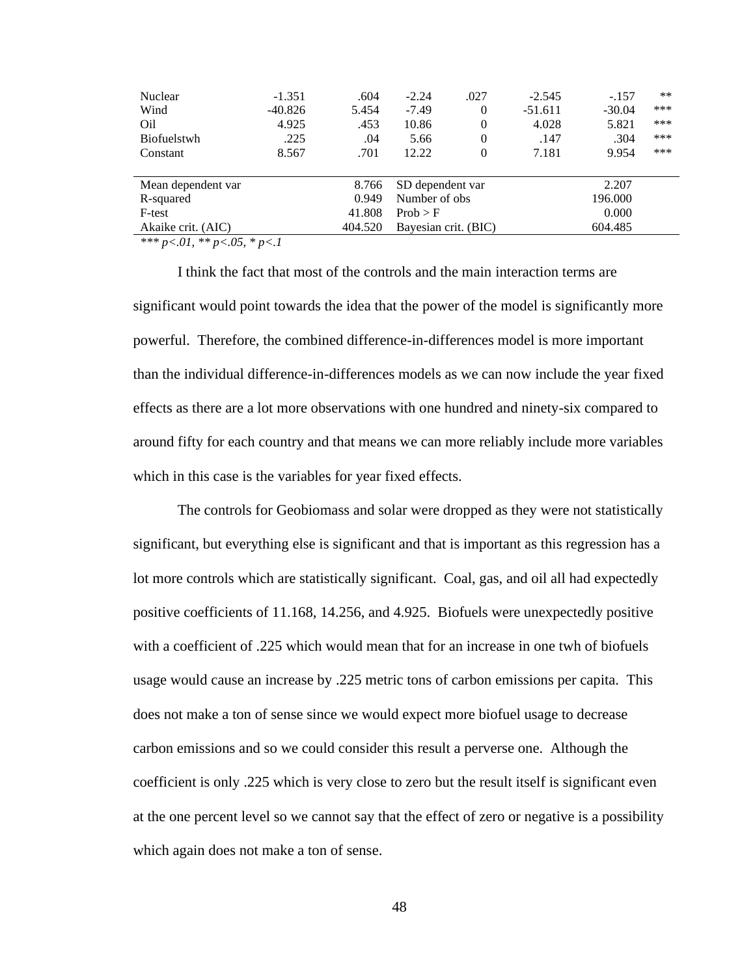| Nuclear            | $-1.351$                 | .604    | $-2.24$              | .027           | $-2.545$  | $-.157$  | $***$ |  |
|--------------------|--------------------------|---------|----------------------|----------------|-----------|----------|-------|--|
| Wind               | $-40.826$                | 5.454   | $-7.49$              | $\Omega$       | $-51.611$ | $-30.04$ | ***   |  |
| Oil                | 4.925                    | .453    | 10.86                | $\Omega$       | 4.028     | 5.821    | ***   |  |
| <b>Biofuelstwh</b> | .225                     | .04     | 5.66                 | $\overline{0}$ | .147      | .304     | ***   |  |
| Constant           | 8.567                    | .701    | 12.22                | $\Omega$       | 7.181     | 9.954    | ***   |  |
|                    |                          |         |                      |                |           |          |       |  |
| Mean dependent var | 8.766                    |         | SD dependent var     |                |           | 2.207    |       |  |
| R-squared          |                          | 0.949   | Number of obs        |                | 196.000   |          |       |  |
| F-test             |                          | 41.808  | Prob > F             |                |           | 0.000    |       |  |
| Akaike crit. (AIC) |                          | 404.520 | Bayesian crit. (BIC) |                |           | 604.485  |       |  |
| $\mathcal{N}$      | $\overline{\phantom{a}}$ |         |                      |                |           |          |       |  |

I think the fact that most of the controls and the main interaction terms are significant would point towards the idea that the power of the model is significantly more powerful. Therefore, the combined difference-in-differences model is more important than the individual difference-in-differences models as we can now include the year fixed effects as there are a lot more observations with one hundred and ninety-six compared to around fifty for each country and that means we can more reliably include more variables which in this case is the variables for year fixed effects.

The controls for Geobiomass and solar were dropped as they were not statistically significant, but everything else is significant and that is important as this regression has a lot more controls which are statistically significant. Coal, gas, and oil all had expectedly positive coefficients of 11.168, 14.256, and 4.925. Biofuels were unexpectedly positive with a coefficient of .225 which would mean that for an increase in one twh of biofuels usage would cause an increase by .225 metric tons of carbon emissions per capita. This does not make a ton of sense since we would expect more biofuel usage to decrease carbon emissions and so we could consider this result a perverse one. Although the coefficient is only .225 which is very close to zero but the result itself is significant even at the one percent level so we cannot say that the effect of zero or negative is a possibility which again does not make a ton of sense.

48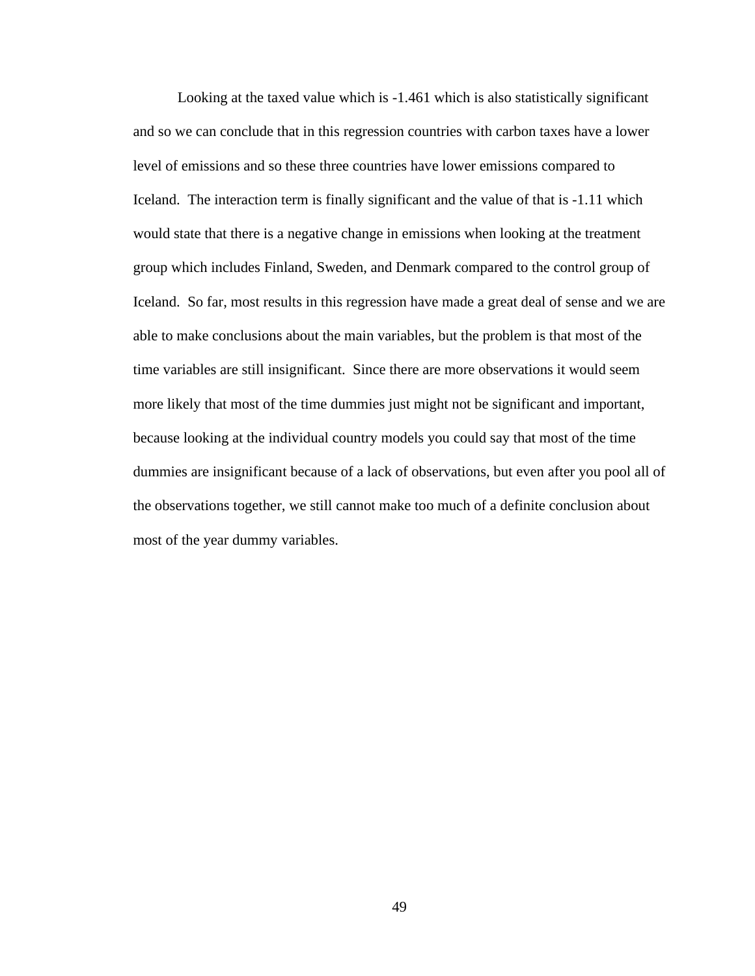Looking at the taxed value which is -1.461 which is also statistically significant and so we can conclude that in this regression countries with carbon taxes have a lower level of emissions and so these three countries have lower emissions compared to Iceland. The interaction term is finally significant and the value of that is -1.11 which would state that there is a negative change in emissions when looking at the treatment group which includes Finland, Sweden, and Denmark compared to the control group of Iceland. So far, most results in this regression have made a great deal of sense and we are able to make conclusions about the main variables, but the problem is that most of the time variables are still insignificant. Since there are more observations it would seem more likely that most of the time dummies just might not be significant and important, because looking at the individual country models you could say that most of the time dummies are insignificant because of a lack of observations, but even after you pool all of the observations together, we still cannot make too much of a definite conclusion about most of the year dummy variables.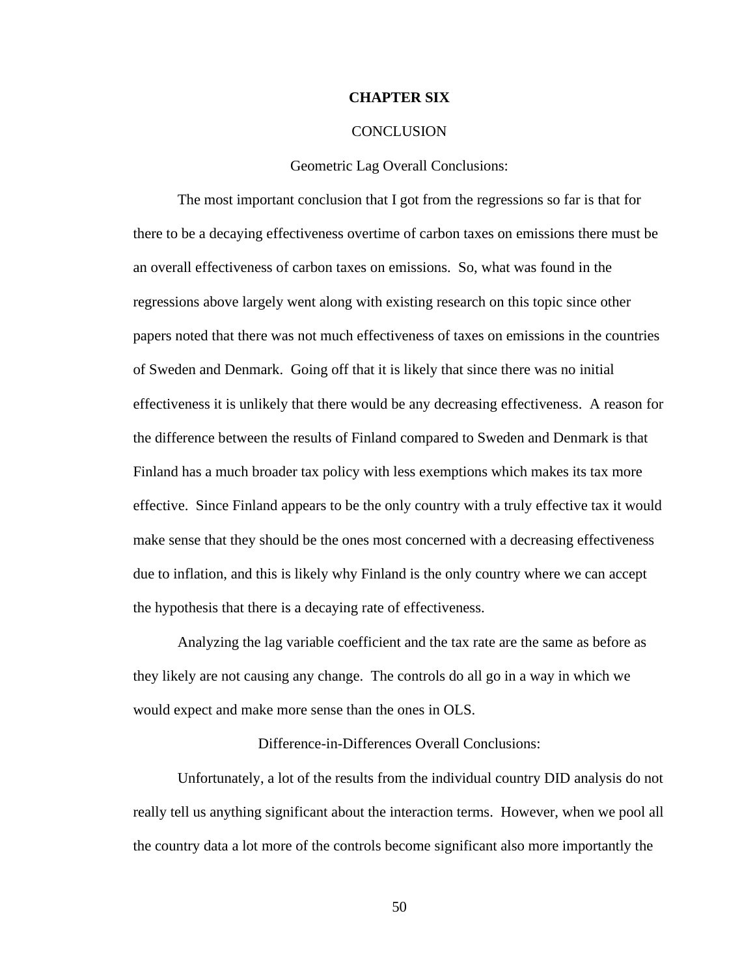### **CHAPTER SIX**

### **CONCLUSION**

#### Geometric Lag Overall Conclusions:

The most important conclusion that I got from the regressions so far is that for there to be a decaying effectiveness overtime of carbon taxes on emissions there must be an overall effectiveness of carbon taxes on emissions. So, what was found in the regressions above largely went along with existing research on this topic since other papers noted that there was not much effectiveness of taxes on emissions in the countries of Sweden and Denmark. Going off that it is likely that since there was no initial effectiveness it is unlikely that there would be any decreasing effectiveness. A reason for the difference between the results of Finland compared to Sweden and Denmark is that Finland has a much broader tax policy with less exemptions which makes its tax more effective. Since Finland appears to be the only country with a truly effective tax it would make sense that they should be the ones most concerned with a decreasing effectiveness due to inflation, and this is likely why Finland is the only country where we can accept the hypothesis that there is a decaying rate of effectiveness.

Analyzing the lag variable coefficient and the tax rate are the same as before as they likely are not causing any change. The controls do all go in a way in which we would expect and make more sense than the ones in OLS.

### Difference-in-Differences Overall Conclusions:

Unfortunately, a lot of the results from the individual country DID analysis do not really tell us anything significant about the interaction terms. However, when we pool all the country data a lot more of the controls become significant also more importantly the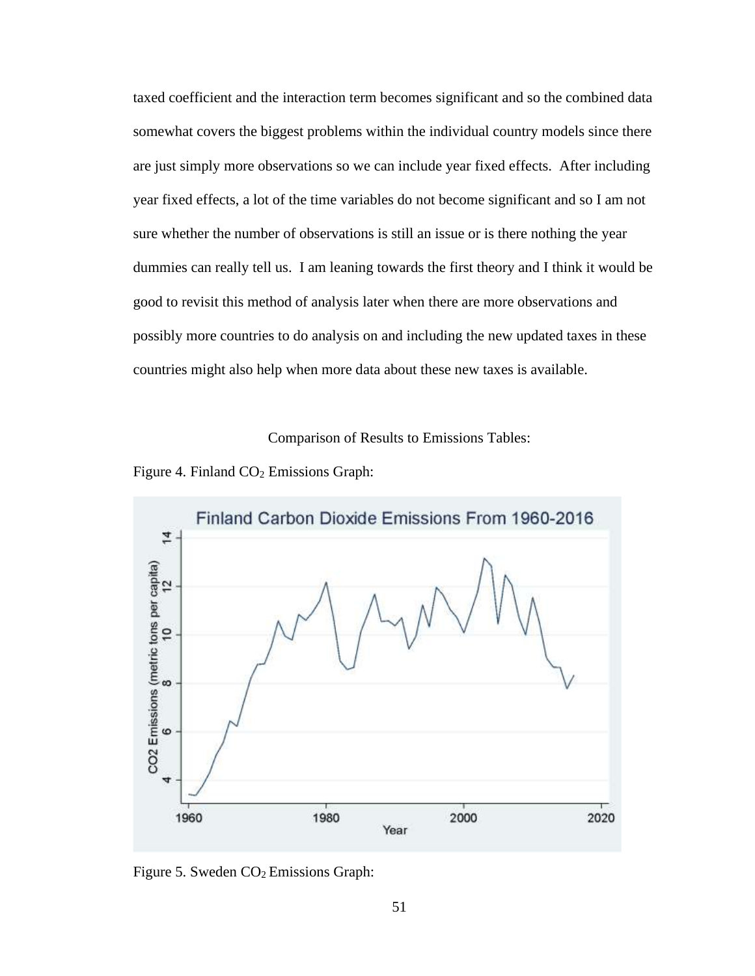taxed coefficient and the interaction term becomes significant and so the combined data somewhat covers the biggest problems within the individual country models since there are just simply more observations so we can include year fixed effects. After including year fixed effects, a lot of the time variables do not become significant and so I am not sure whether the number of observations is still an issue or is there nothing the year dummies can really tell us. I am leaning towards the first theory and I think it would be good to revisit this method of analysis later when there are more observations and possibly more countries to do analysis on and including the new updated taxes in these countries might also help when more data about these new taxes is available.

Comparison of Results to Emissions Tables:





Figure 5. Sweden CO<sub>2</sub> Emissions Graph: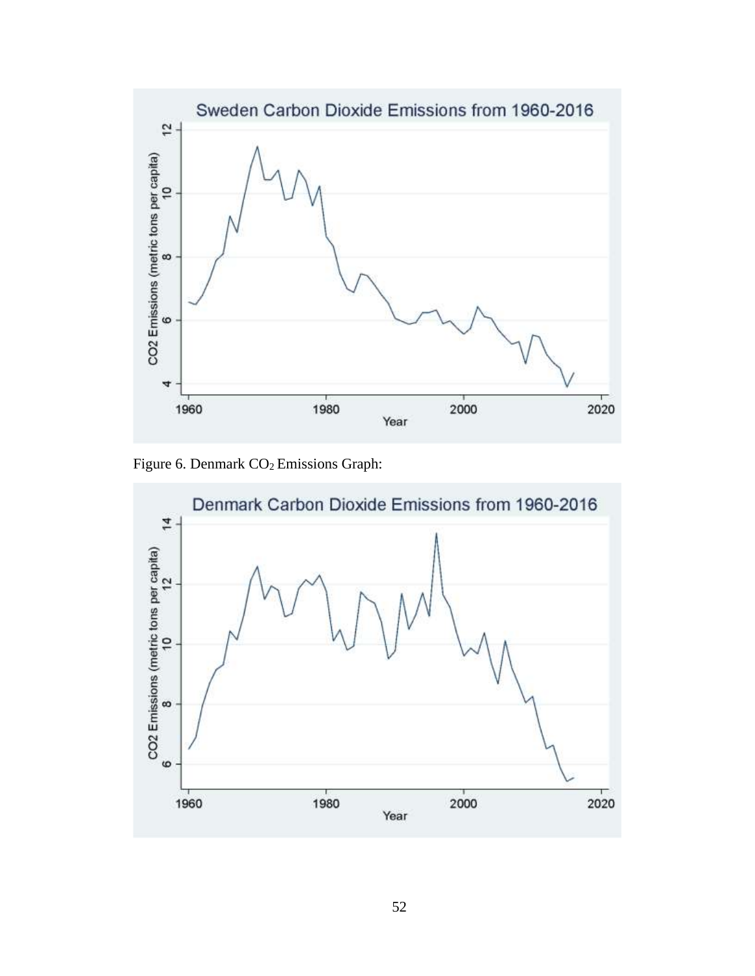

Figure 6. Denmark  $CO<sub>2</sub>$  Emissions Graph:

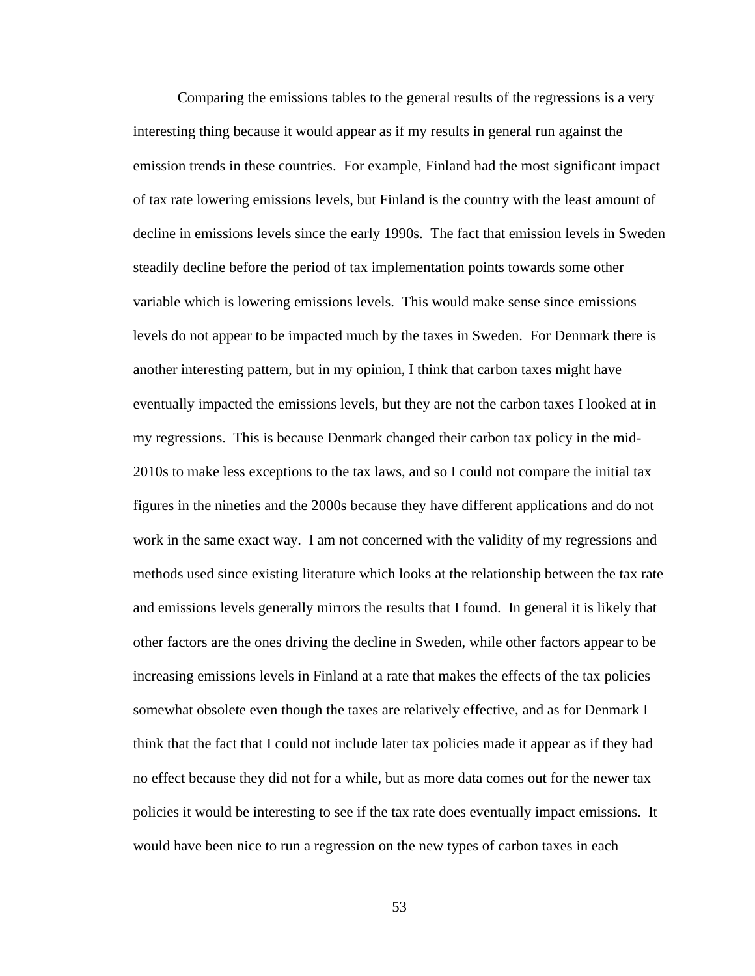Comparing the emissions tables to the general results of the regressions is a very interesting thing because it would appear as if my results in general run against the emission trends in these countries. For example, Finland had the most significant impact of tax rate lowering emissions levels, but Finland is the country with the least amount of decline in emissions levels since the early 1990s. The fact that emission levels in Sweden steadily decline before the period of tax implementation points towards some other variable which is lowering emissions levels. This would make sense since emissions levels do not appear to be impacted much by the taxes in Sweden. For Denmark there is another interesting pattern, but in my opinion, I think that carbon taxes might have eventually impacted the emissions levels, but they are not the carbon taxes I looked at in my regressions. This is because Denmark changed their carbon tax policy in the mid-2010s to make less exceptions to the tax laws, and so I could not compare the initial tax figures in the nineties and the 2000s because they have different applications and do not work in the same exact way. I am not concerned with the validity of my regressions and methods used since existing literature which looks at the relationship between the tax rate and emissions levels generally mirrors the results that I found. In general it is likely that other factors are the ones driving the decline in Sweden, while other factors appear to be increasing emissions levels in Finland at a rate that makes the effects of the tax policies somewhat obsolete even though the taxes are relatively effective, and as for Denmark I think that the fact that I could not include later tax policies made it appear as if they had no effect because they did not for a while, but as more data comes out for the newer tax policies it would be interesting to see if the tax rate does eventually impact emissions. It would have been nice to run a regression on the new types of carbon taxes in each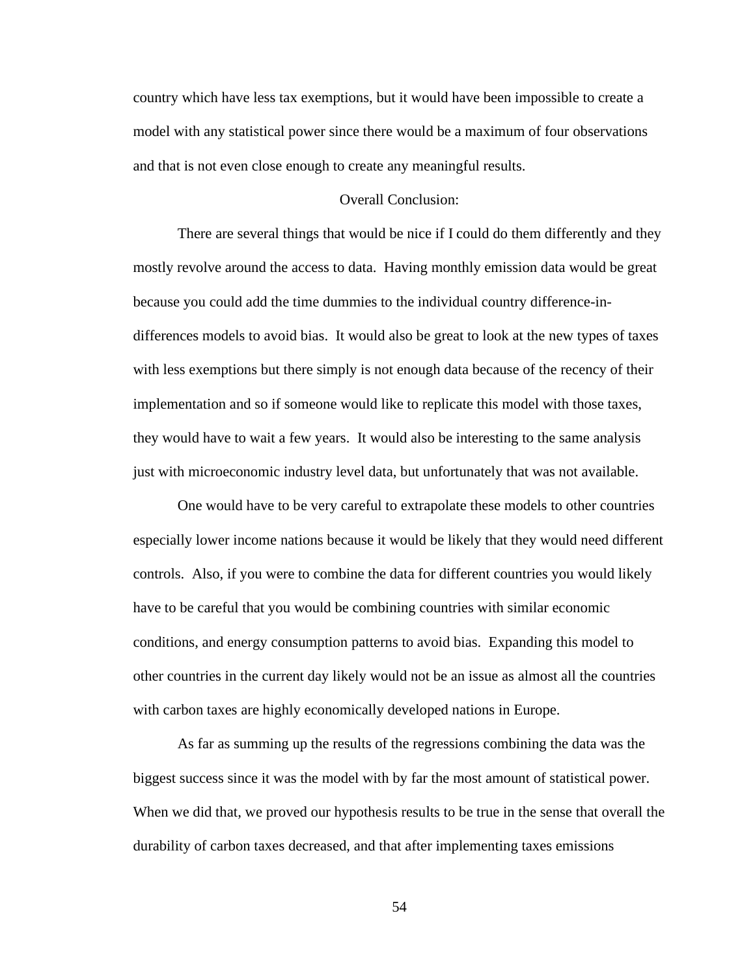country which have less tax exemptions, but it would have been impossible to create a model with any statistical power since there would be a maximum of four observations and that is not even close enough to create any meaningful results.

### Overall Conclusion:

There are several things that would be nice if I could do them differently and they mostly revolve around the access to data. Having monthly emission data would be great because you could add the time dummies to the individual country difference-indifferences models to avoid bias. It would also be great to look at the new types of taxes with less exemptions but there simply is not enough data because of the recency of their implementation and so if someone would like to replicate this model with those taxes, they would have to wait a few years. It would also be interesting to the same analysis just with microeconomic industry level data, but unfortunately that was not available.

One would have to be very careful to extrapolate these models to other countries especially lower income nations because it would be likely that they would need different controls. Also, if you were to combine the data for different countries you would likely have to be careful that you would be combining countries with similar economic conditions, and energy consumption patterns to avoid bias. Expanding this model to other countries in the current day likely would not be an issue as almost all the countries with carbon taxes are highly economically developed nations in Europe.

As far as summing up the results of the regressions combining the data was the biggest success since it was the model with by far the most amount of statistical power. When we did that, we proved our hypothesis results to be true in the sense that overall the durability of carbon taxes decreased, and that after implementing taxes emissions

54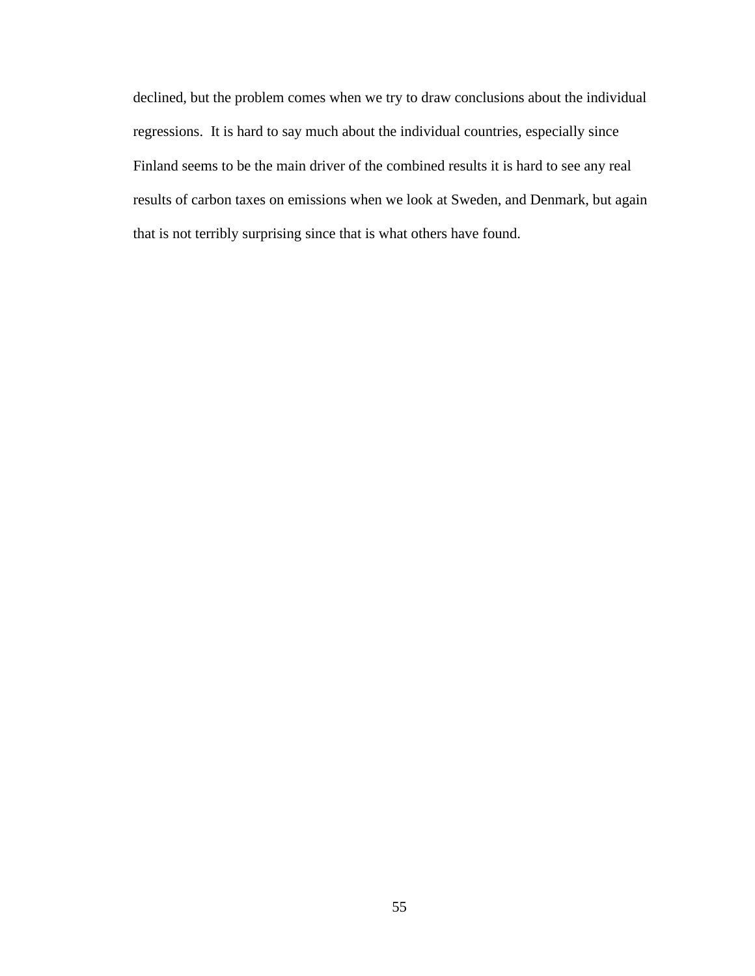declined, but the problem comes when we try to draw conclusions about the individual regressions. It is hard to say much about the individual countries, especially since Finland seems to be the main driver of the combined results it is hard to see any real results of carbon taxes on emissions when we look at Sweden, and Denmark, but again that is not terribly surprising since that is what others have found.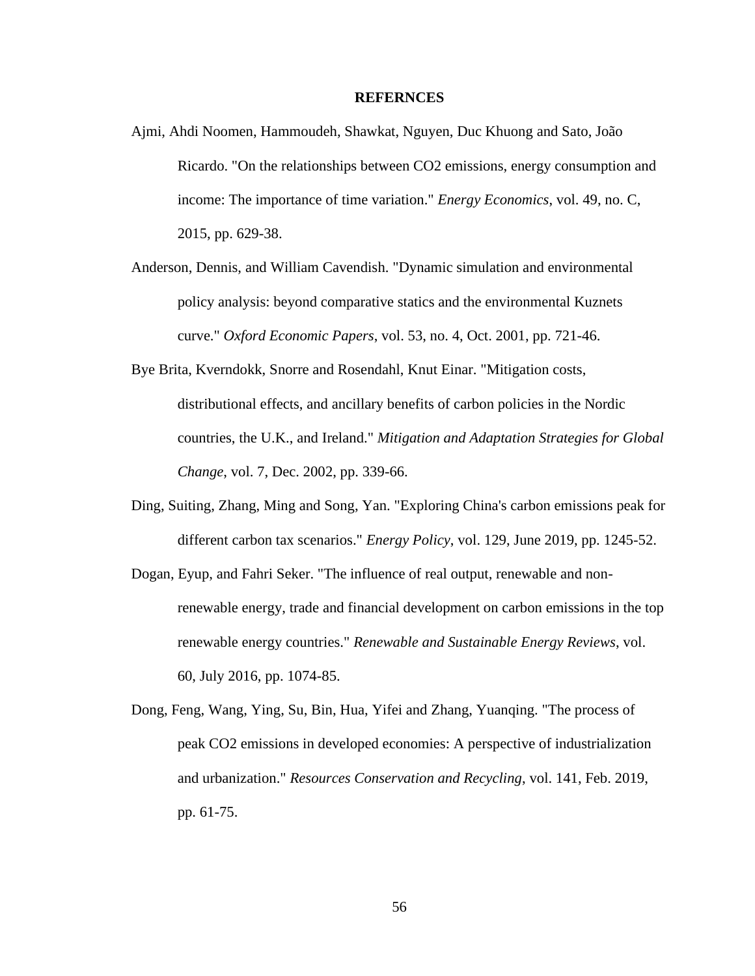### **REFERNCES**

- Ajmi, Ahdi Noomen, Hammoudeh, Shawkat, Nguyen, Duc Khuong and Sato, João Ricardo. "On the relationships between CO2 emissions, energy consumption and income: The importance of time variation." *Energy Economics*, vol. 49, no. C, 2015, pp. 629-38.
- Anderson, Dennis, and William Cavendish. "Dynamic simulation and environmental policy analysis: beyond comparative statics and the environmental Kuznets curve." *Oxford Economic Papers*, vol. 53, no. 4, Oct. 2001, pp. 721-46.
- Bye Brita, Kverndokk, Snorre and Rosendahl, Knut Einar. "Mitigation costs, distributional effects, and ancillary benefits of carbon policies in the Nordic countries, the U.K., and Ireland." *Mitigation and Adaptation Strategies for Global Change*, vol. 7, Dec. 2002, pp. 339-66.
- Ding, Suiting, Zhang, Ming and Song, Yan. "Exploring China's carbon emissions peak for different carbon tax scenarios." *Energy Policy*, vol. 129, June 2019, pp. 1245-52.
- Dogan, Eyup, and Fahri Seker. "The influence of real output, renewable and nonrenewable energy, trade and financial development on carbon emissions in the top renewable energy countries." *Renewable and Sustainable Energy Reviews*, vol. 60, July 2016, pp. 1074-85.
- Dong, Feng, Wang, Ying, Su, Bin, Hua, Yifei and Zhang, Yuanqing. "The process of peak CO2 emissions in developed economies: A perspective of industrialization and urbanization." *Resources Conservation and Recycling*, vol. 141, Feb. 2019, pp. 61-75.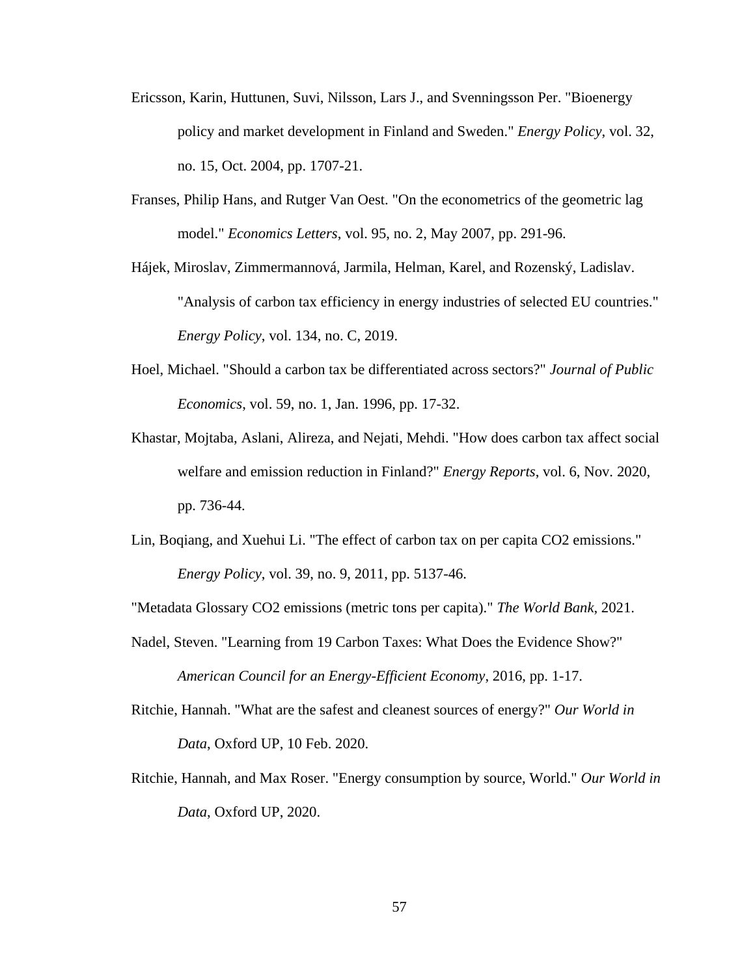- Ericsson, Karin, Huttunen, Suvi, Nilsson, Lars J., and Svenningsson Per. "Bioenergy policy and market development in Finland and Sweden." *Energy Policy*, vol. 32, no. 15, Oct. 2004, pp. 1707-21.
- Franses, Philip Hans, and Rutger Van Oest. "On the econometrics of the geometric lag model." *Economics Letters*, vol. 95, no. 2, May 2007, pp. 291-96.
- Hájek, Miroslav, Zimmermannová, Jarmila, Helman, Karel, and Rozenský, Ladislav. "Analysis of carbon tax efficiency in energy industries of selected EU countries." *Energy Policy*, vol. 134, no. C, 2019.
- Hoel, Michael. "Should a carbon tax be differentiated across sectors?" *Journal of Public Economics*, vol. 59, no. 1, Jan. 1996, pp. 17-32.
- Khastar, Mojtaba, Aslani, Alireza, and Nejati, Mehdi. "How does carbon tax affect social welfare and emission reduction in Finland?" *Energy Reports*, vol. 6, Nov. 2020, pp. 736-44.
- Lin, Boqiang, and Xuehui Li. "The effect of carbon tax on per capita CO2 emissions." *Energy Policy*, vol. 39, no. 9, 2011, pp. 5137-46.

"Metadata Glossary CO2 emissions (metric tons per capita)." *The World Bank*, 2021.

- Nadel, Steven. "Learning from 19 Carbon Taxes: What Does the Evidence Show?" *American Council for an Energy-Efficient Economy*, 2016, pp. 1-17.
- Ritchie, Hannah. "What are the safest and cleanest sources of energy?" *Our World in Data*, Oxford UP, 10 Feb. 2020.
- Ritchie, Hannah, and Max Roser. "Energy consumption by source, World." *Our World in Data*, Oxford UP, 2020.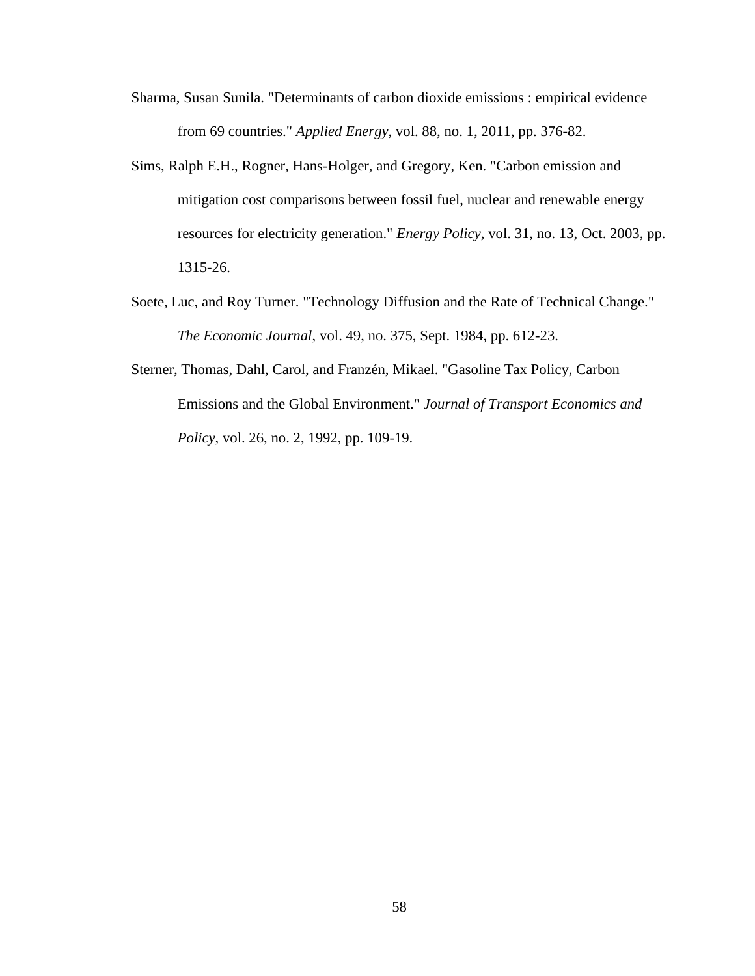- Sharma, Susan Sunila. "Determinants of carbon dioxide emissions : empirical evidence from 69 countries." *Applied Energy*, vol. 88, no. 1, 2011, pp. 376-82.
- Sims, Ralph E.H., Rogner, Hans-Holger, and Gregory, Ken. "Carbon emission and mitigation cost comparisons between fossil fuel, nuclear and renewable energy resources for electricity generation." *Energy Policy*, vol. 31, no. 13, Oct. 2003, pp. 1315-26.
- Soete, Luc, and Roy Turner. "Technology Diffusion and the Rate of Technical Change." *The Economic Journal*, vol. 49, no. 375, Sept. 1984, pp. 612-23.
- Sterner, Thomas, Dahl, Carol, and Franzén, Mikael. "Gasoline Tax Policy, Carbon Emissions and the Global Environment." *Journal of Transport Economics and Policy*, vol. 26, no. 2, 1992, pp. 109-19.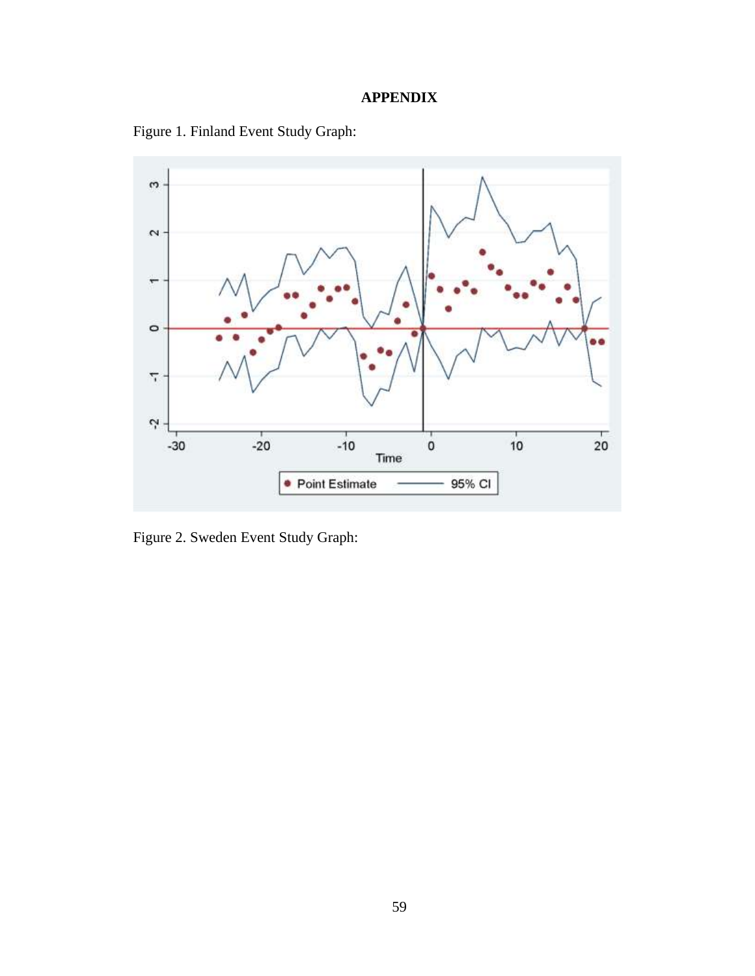# **APPENDIX**

Figure 1. Finland Event Study Graph:



Figure 2. Sweden Event Study Graph: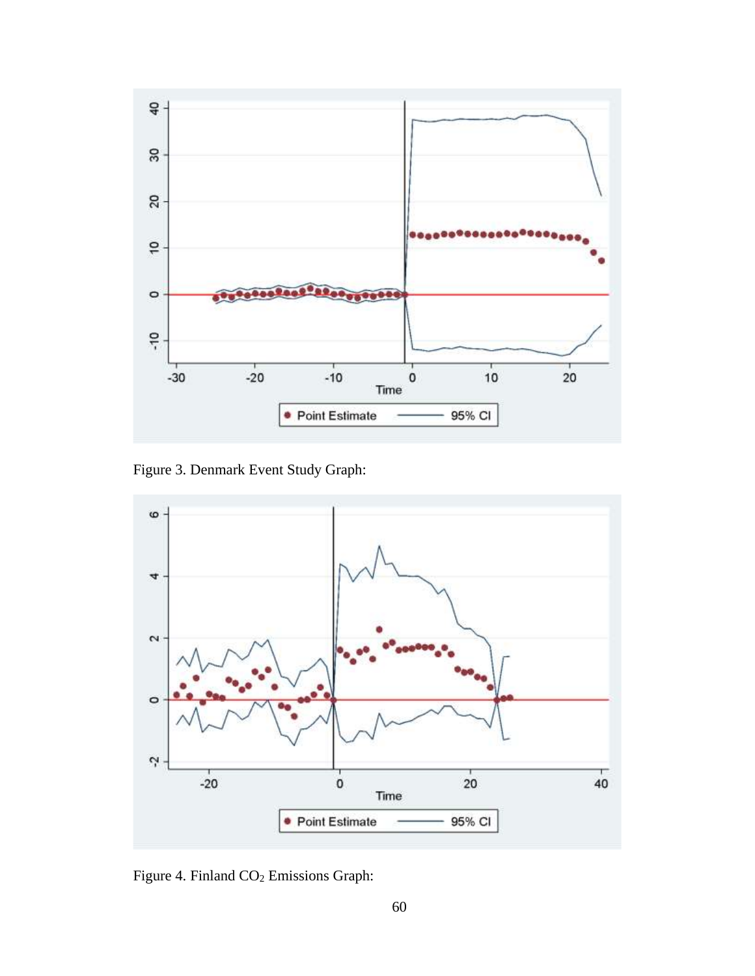

Figure 3. Denmark Event Study Graph:



Figure 4. Finland CO<sub>2</sub> Emissions Graph: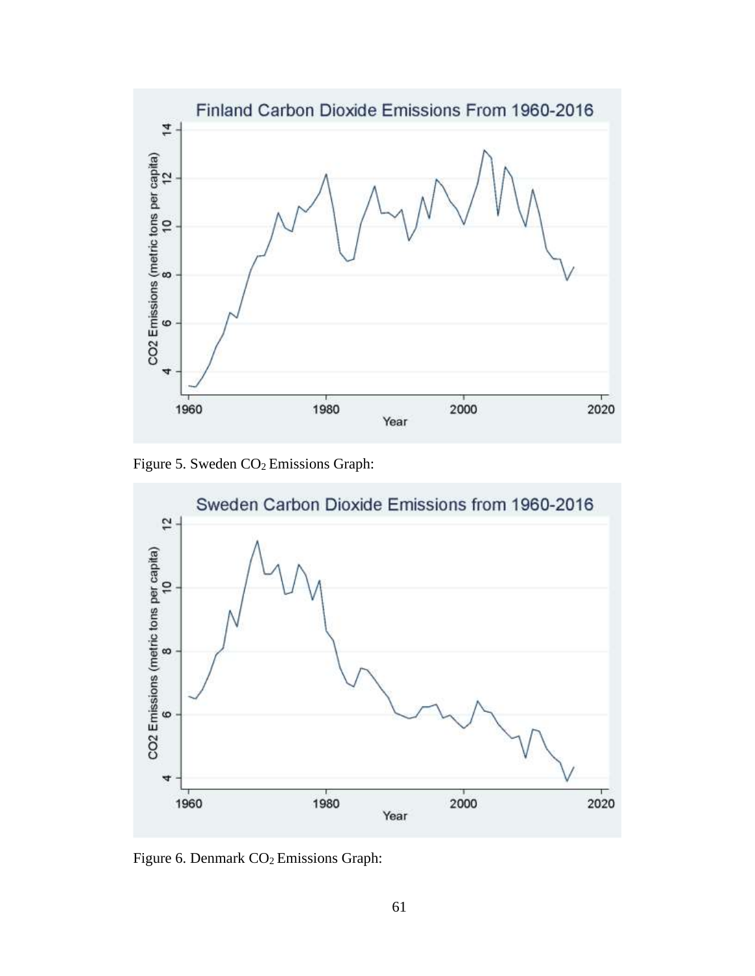

Figure 5. Sweden CO<sub>2</sub> Emissions Graph:



Figure 6. Denmark  $CO<sub>2</sub>$  Emissions Graph: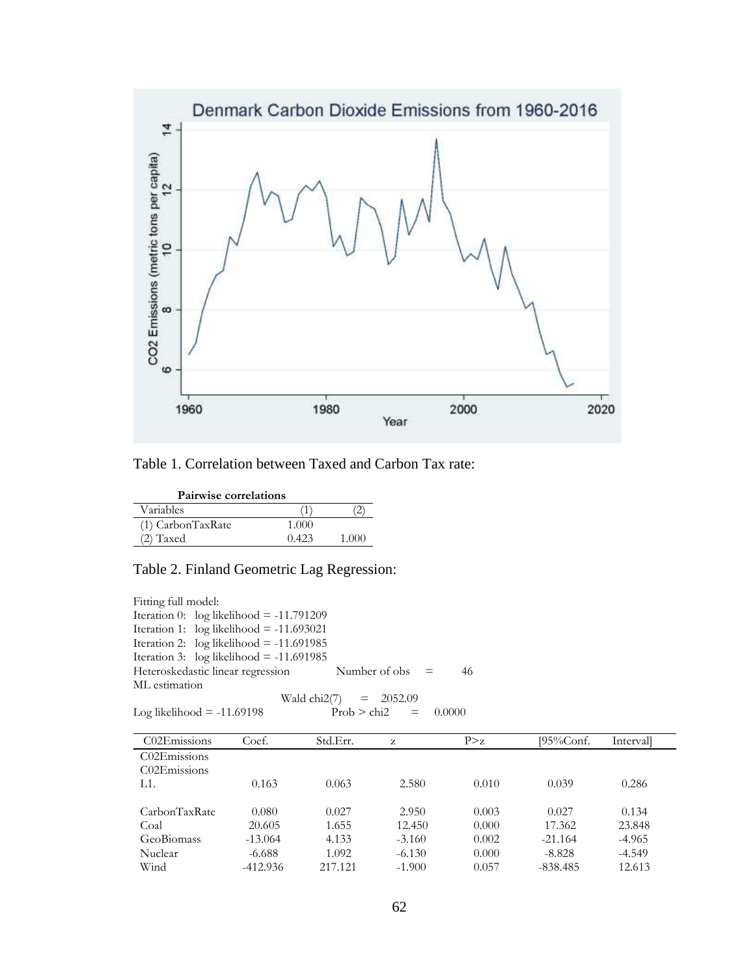

# Table 1. Correlation between Taxed and Carbon Tax rate:

| <b>Pairwise correlations</b> |       |       |
|------------------------------|-------|-------|
| Variables                    |       |       |
| (1) CarbonTaxRate            | 1.000 |       |
| $(2)$ Taxed                  | 0.423 | 1.000 |

## Table 2. Finland Geometric Lag Regression:

Fitting full model: Iteration 0: log likelihood = -11.791209 Iteration 1: log likelihood = -11.693021 Iteration 2:  $log$  likelihood = -11.691985 Iteration 3:  $log$  likelihood = -11.691985 Heteroskedastic linear regression Number of obs = 46 ML estimation Wald chi2(7) = 2052.09<br>Prob > chi2 = Log likelihood =  $-11.69198$  Prob > chi2 =  $0.0000$ 

| C02Emissions  | Coef.      | Std.Err. | Z        | P > z | $195\%$ Conf. | Intervall |
|---------------|------------|----------|----------|-------|---------------|-----------|
| C02Emissions  |            |          |          |       |               |           |
| C02Emissions  |            |          |          |       |               |           |
| $L1$ .        | 0.163      | 0.063    | 2.580    | 0.010 | 0.039         | 0.286     |
|               |            |          |          |       |               |           |
| CarbonTaxRate | 0.080      | 0.027    | 2.950    | 0.003 | 0.027         | 0.134     |
| Coal          | 20.605     | 1.655    | 12.450   | 0.000 | 17.362        | 23.848    |
| GeoBiomass    | $-13.064$  | 4.133    | $-3.160$ | 0.002 | $-21.164$     | $-4.965$  |
| Nuclear       | $-6.688$   | 1.092    | $-6.130$ | 0.000 | $-8.828$      | $-4.549$  |
| Wind          | $-412.936$ | 217.121  | $-1.900$ | 0.057 | $-838.485$    | 12.613    |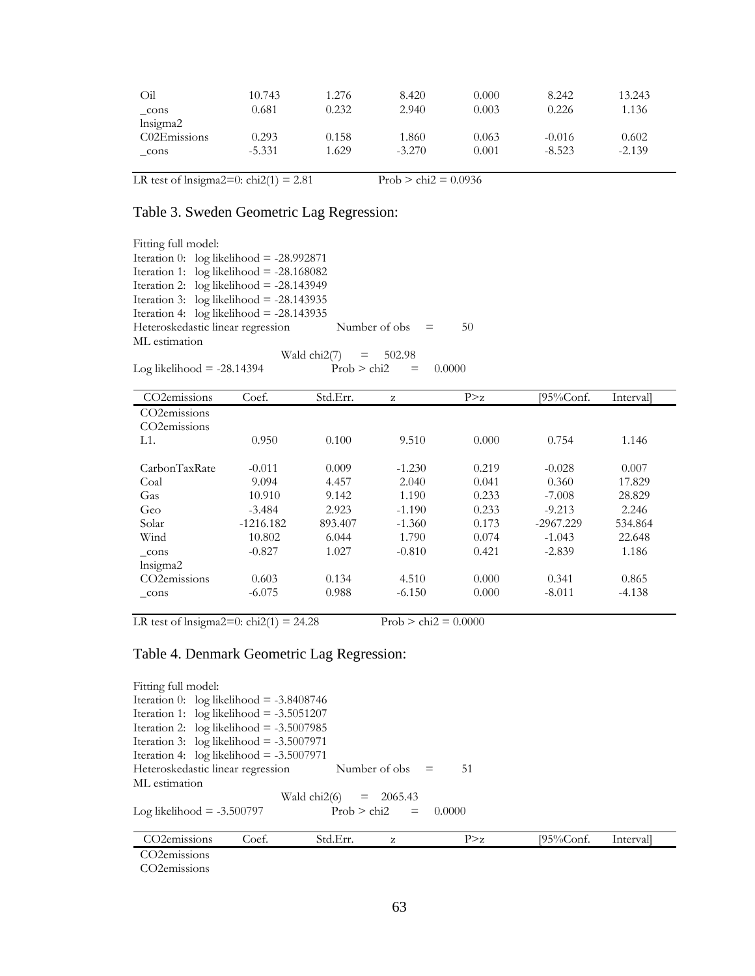| Oil                                   | 10.743   | 1.276 | 8.420    | 0.000 | 8.242    | 13.243   |
|---------------------------------------|----------|-------|----------|-------|----------|----------|
| cons                                  | 0.681    | 0.232 | 2.940    | 0.003 | 0.226    | 1.136    |
| lnsigma2                              |          |       |          |       |          |          |
| C <sub>02</sub> E <sub>missions</sub> | 0.293    | 0.158 | 1.860    | 0.063 | $-0.016$ | 0.602    |
| cons                                  | $-5.331$ | 1.629 | $-3.270$ | 0.001 | $-8.523$ | $-2.139$ |
|                                       |          |       |          |       |          |          |

LR test of lnsigma2=0:  $\text{chi2}(1) = 2.81$  Prob >  $\text{chi2} = 0.0936$ 

## Table 3. Sweden Geometric Lag Regression:

| Fitting full model: |                                            |                         |                 |                   |        |    |
|---------------------|--------------------------------------------|-------------------------|-----------------|-------------------|--------|----|
|                     | Iteration 0: $log$ likelihood = -28.992871 |                         |                 |                   |        |    |
|                     | Iteration 1: $log likelihood = -28.168082$ |                         |                 |                   |        |    |
|                     | Iteration 2: $log likelihood = -28.143949$ |                         |                 |                   |        |    |
|                     | Iteration 3: $log$ likelihood = -28.143935 |                         |                 |                   |        |    |
|                     | Iteration 4: $log likelihood = -28.143935$ |                         |                 |                   |        |    |
|                     | Heteroskedastic linear regression          |                         |                 | Number of obs $=$ |        | 50 |
| ML estimation       |                                            |                         |                 |                   |        |    |
|                     |                                            | Wald chi2(7) = $502.98$ |                 |                   |        |    |
|                     | Log likelihood $= -28.14394$               |                         | $Prob > chi2 =$ |                   | 0.0000 |    |

| CO <sub>2</sub> emissions | Coef.       | Std.Err. | z        | P > z | [95%Conf.   | Intervall |
|---------------------------|-------------|----------|----------|-------|-------------|-----------|
| CO <sub>2</sub> emissions |             |          |          |       |             |           |
| CO <sub>2</sub> emissions |             |          |          |       |             |           |
| L1.                       | 0.950       | 0.100    | 9.510    | 0.000 | 0.754       | 1.146     |
| CarbonTaxRate             | $-0.011$    | 0.009    | $-1.230$ | 0.219 | $-0.028$    | 0.007     |
| Coal                      | 9.094       | 4.457    | 2.040    | 0.041 | 0.360       | 17.829    |
| Gas                       | 10.910      | 9.142    | 1.190    | 0.233 | $-7.008$    | 28.829    |
| Geo                       | $-3.484$    | 2.923    | $-1.190$ | 0.233 | $-9.213$    | 2.246     |
| Solar                     | $-1216.182$ | 893.407  | $-1.360$ | 0.173 | $-2967.229$ | 534.864   |
| Wind                      | 10.802      | 6.044    | 1.790    | 0.074 | $-1.043$    | 22.648    |
| cons                      | $-0.827$    | 1.027    | $-0.810$ | 0.421 | $-2.839$    | 1.186     |
| lnsigma2                  |             |          |          |       |             |           |
| CO <sub>2</sub> emissions | 0.603       | 0.134    | 4.510    | 0.000 | 0.341       | 0.865     |
| cons                      | $-6.075$    | 0.988    | $-6.150$ | 0.000 | $-8.011$    | $-4.138$  |

LR test of lnsigma2=0:  $\text{chi2}(1) = 24.28$  Prob >  $\text{chi2} = 0.0000$ 

### Table 4. Denmark Geometric Lag Regression:

Fitting full model: Iteration 0:  $log$  likelihood = -3.8408746 Iteration 1:  $log$  likelihood = -3.5051207 Iteration 2:  $log$  likelihood = -3.5007985 Iteration 3: log likelihood = -3.5007971 Iteration 4:  $\log$  likelihood = -3.5007971 Heteroskedastic linear regression Number of obs = 51 ML estimation Wald chi $2(6) = 2065.43$ Log likelihood =  $-3.500797$  Prob > chi2 =  $0.0000$ 

| $\cap$<br>O2emissions       | oet. | Std.Err. | . . | - 10<br>>'<br>∠ | $195\%$ Conf. | Interval |
|-----------------------------|------|----------|-----|-----------------|---------------|----------|
| CO2emissions                |      |          |     |                 |               |          |
| $\sim$ $\sim$ $\sim$ $\sim$ |      |          |     |                 |               |          |

CO2emissions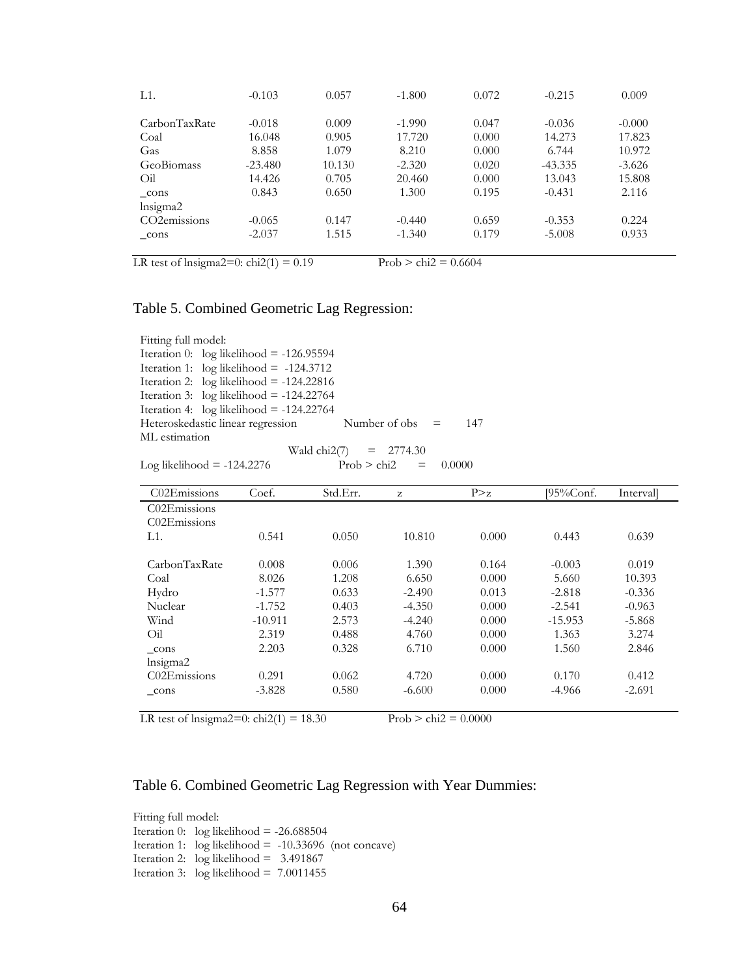| L1.                       | $-0.103$  | 0.057  | $-1.800$ | 0.072 | $-0.215$  | 0.009    |
|---------------------------|-----------|--------|----------|-------|-----------|----------|
| CarbonTaxRate             | $-0.018$  | 0.009  | $-1.990$ | 0.047 | $-0.036$  | $-0.000$ |
| Coal                      | 16.048    | 0.905  | 17.720   | 0.000 | 14.273    | 17.823   |
| Gas                       | 8.858     | 1.079  | 8.210    | 0.000 | 6.744     | 10.972   |
| <b>GeoBiomass</b>         | $-23.480$ | 10.130 | $-2.320$ | 0.020 | $-43.335$ | $-3.626$ |
| Oil                       | 14.426    | 0.705  | 20.460   | 0.000 | 13.043    | 15.808   |
| cons                      | 0.843     | 0.650  | 1.300    | 0.195 | $-0.431$  | 2.116    |
| Insigma2                  |           |        |          |       |           |          |
| CO <sub>2</sub> emissions | $-0.065$  | 0.147  | $-0.440$ | 0.659 | $-0.353$  | 0.224    |
| cons                      | $-2.037$  | 1.515  | $-1.340$ | 0.179 | $-5.008$  | 0.933    |

LR test of lnsigma2=0:  $\text{chi2}(1) = 0.19$  Prob >  $\text{chi2} = 0.6604$ 

### Table 5. Combined Geometric Lag Regression:

Fitting full model: Iteration 0:  $log$  likelihood = -126.95594 Iteration 1: log likelihood = -124.3712 Iteration 2: log likelihood = -124.22816 Iteration 3:  $log$  likelihood = -124.22764 Iteration 4: log likelihood = -124.22764 Heteroskedastic linear regression Number of obs = 147 ML estimation Wald chi $2(7) = 2774.30$ 

|                              | waid $CIIZ(7)$<br>$-2114.30$ |     |          |
|------------------------------|------------------------------|-----|----------|
| Log likelihood = $-124.2276$ | Prob > chi2                  | $=$ | - 0.0000 |

| C02Emissions  | Coef.     | Std.Err. | z        | P > z | $195\%$ Conf. | Intervall |
|---------------|-----------|----------|----------|-------|---------------|-----------|
| C02Emissions  |           |          |          |       |               |           |
| C02Emissions  |           |          |          |       |               |           |
| L1.           | 0.541     | 0.050    | 10.810   | 0.000 | 0.443         | 0.639     |
|               |           |          |          |       |               |           |
| CarbonTaxRate | 0.008     | 0.006    | 1.390    | 0.164 | $-0.003$      | 0.019     |
| Coal          | 8.026     | 1.208    | 6.650    | 0.000 | 5.660         | 10.393    |
| Hydro         | $-1.577$  | 0.633    | $-2.490$ | 0.013 | $-2.818$      | $-0.336$  |
| Nuclear       | $-1.752$  | 0.403    | $-4.350$ | 0.000 | $-2.541$      | $-0.963$  |
| Wind          | $-10.911$ | 2.573    | $-4.240$ | 0.000 | $-15.953$     | $-5.868$  |
| Oil           | 2.319     | 0.488    | 4.760    | 0.000 | 1.363         | 3.274     |
| cons          | 2.203     | 0.328    | 6.710    | 0.000 | 1.560         | 2.846     |
| lnsigma2      |           |          |          |       |               |           |
| C02Emissions  | 0.291     | 0.062    | 4.720    | 0.000 | 0.170         | 0.412     |
| cons          | $-3.828$  | 0.580    | $-6.600$ | 0.000 | $-4.966$      | $-2.691$  |
|               |           |          |          |       |               |           |

LR test of lnsigma2=0: chi2(1) = 18.30 Prob > chi2 =  $0.0000$ 

## Table 6. Combined Geometric Lag Regression with Year Dummies:

Fitting full model: Iteration 0:  $log$  likelihood = -26.688504 Iteration 1:  $log likelihood = -10.33696$  (not concave) Iteration 2: log likelihood = 3.491867 Iteration 3: log likelihood = 7.0011455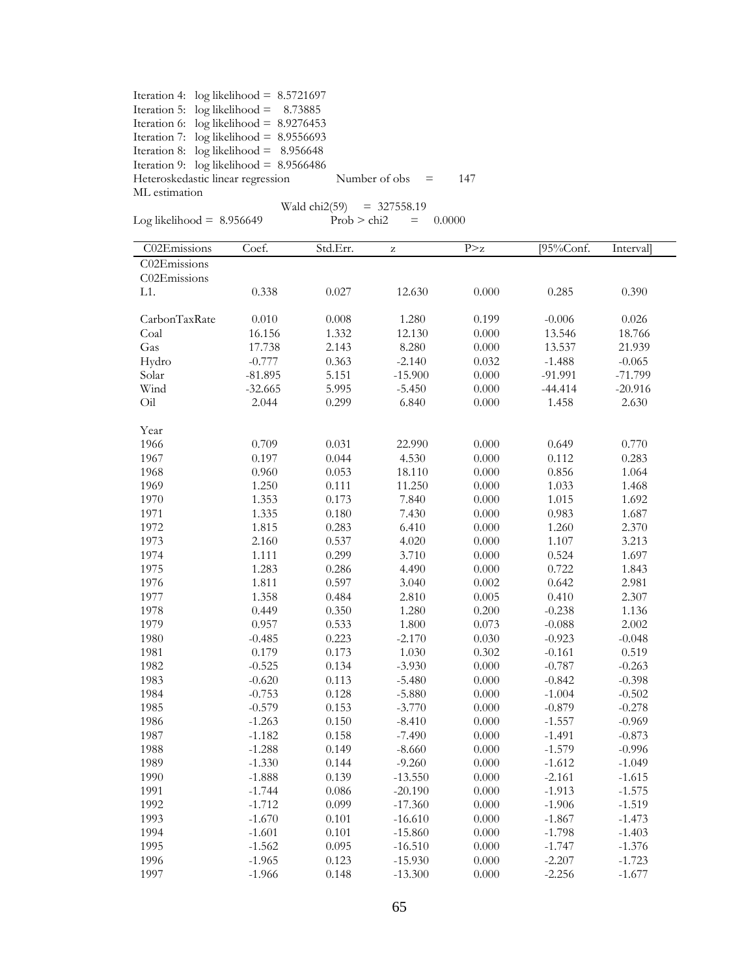|               | Iteration 4: $log likelihood = 8.5721697$ |                   |     |
|---------------|-------------------------------------------|-------------------|-----|
|               | Iteration 5: $log likelihood = 8.73885$   |                   |     |
|               | Iteration 6: $log$ likelihood = 8.9276453 |                   |     |
|               | Iteration 7: $log$ likelihood = 8.9556693 |                   |     |
|               | Iteration 8: $log$ likelihood = 8.956648  |                   |     |
|               | Iteration 9: $log likelihood = 8.9566486$ |                   |     |
|               | Heteroskedastic linear regression         | Number of obs $=$ | 147 |
| ML estimation |                                           |                   |     |
|               |                                           | $\frac{1}{2}$     |     |

|  | Log likelihood | 8.956 |  |
|--|----------------|-------|--|
|  |                |       |  |

 $Wald chi2(59) = 327558.19$ 

Log likelihood =  $8.956649$  Prob > chi2 =  $0.0000$ 

| C02Emissions  | Coef.     | Std.Err.  | $\rm{Z}$  | P > z     | [ $95\%$ Conf. | Interval  |
|---------------|-----------|-----------|-----------|-----------|----------------|-----------|
| C02Emissions  |           |           |           |           |                |           |
| C02Emissions  |           |           |           |           |                |           |
| L1.           | 0.338     | 0.027     | 12.630    | 0.000     | 0.285          | 0.390     |
|               |           |           |           |           |                |           |
| CarbonTaxRate | 0.010     | $0.008\,$ | 1.280     | 0.199     | $-0.006$       | 0.026     |
| Coal          | 16.156    | 1.332     | 12.130    | 0.000     | 13.546         | 18.766    |
| Gas           | 17.738    | 2.143     | 8.280     | 0.000     | 13.537         | 21.939    |
| Hydro         | $-0.777$  | 0.363     | $-2.140$  | 0.032     | $-1.488$       | $-0.065$  |
| Solar         | $-81.895$ | 5.151     | $-15.900$ | 0.000     | $-91.991$      | $-71.799$ |
| Wind          | $-32.665$ | 5.995     | $-5.450$  | 0.000     | $-44.414$      | $-20.916$ |
| Oil           | 2.044     | 0.299     | 6.840     | 0.000     | 1.458          | 2.630     |
|               |           |           |           |           |                |           |
| Year          |           |           |           |           |                |           |
| 1966          | 0.709     | 0.031     | 22.990    | 0.000     | 0.649          | 0.770     |
| 1967          | 0.197     | 0.044     | 4.530     | 0.000     | 0.112          | 0.283     |
| 1968          | 0.960     | 0.053     | 18.110    | 0.000     | 0.856          | 1.064     |
| 1969          | 1.250     | 0.111     | 11.250    | 0.000     | 1.033          | 1.468     |
| 1970          | 1.353     | 0.173     | 7.840     | 0.000     | 1.015          | 1.692     |
| 1971          | 1.335     | 0.180     | 7.430     | 0.000     | 0.983          | 1.687     |
| 1972          | 1.815     | 0.283     | 6.410     | 0.000     | 1.260          | 2.370     |
| 1973          | 2.160     | 0.537     | 4.020     | 0.000     | 1.107          | 3.213     |
| 1974          | 1.111     | 0.299     | 3.710     | 0.000     | 0.524          | 1.697     |
| 1975          | 1.283     | 0.286     | 4.490     | 0.000     | 0.722          | 1.843     |
| 1976          | 1.811     | 0.597     | 3.040     | 0.002     | 0.642          | 2.981     |
| 1977          | 1.358     | 0.484     | 2.810     | 0.005     | 0.410          | 2.307     |
| 1978          | 0.449     | 0.350     | 1.280     | 0.200     | $-0.238$       | 1.136     |
| 1979          | 0.957     | 0.533     | 1.800     | 0.073     | $-0.088$       | 2.002     |
| 1980          | $-0.485$  | 0.223     | $-2.170$  | 0.030     | $-0.923$       | $-0.048$  |
| 1981          | 0.179     | 0.173     | 1.030     | 0.302     | $-0.161$       | 0.519     |
| 1982          | $-0.525$  | 0.134     | $-3.930$  | 0.000     | $-0.787$       | $-0.263$  |
| 1983          | $-0.620$  | 0.113     | $-5.480$  | 0.000     | $-0.842$       | $-0.398$  |
| 1984          | $-0.753$  | 0.128     | $-5.880$  | 0.000     | $-1.004$       | $-0.502$  |
| 1985          | $-0.579$  | 0.153     | $-3.770$  | 0.000     | $-0.879$       | $-0.278$  |
| 1986          | $-1.263$  | 0.150     | $-8.410$  | $0.000\,$ | $-1.557$       | $-0.969$  |
| 1987          | $-1.182$  | 0.158     | $-7.490$  | $0.000\,$ | $-1.491$       | $-0.873$  |
| 1988          | $-1.288$  | 0.149     | $-8.660$  | 0.000     | $-1.579$       | $-0.996$  |
| 1989          | $-1.330$  | 0.144     | $-9.260$  | 0.000     | $-1.612$       | $-1.049$  |
| 1990          | $-1.888$  | 0.139     | $-13.550$ | 0.000     | $-2.161$       | $-1.615$  |
| 1991          | $-1.744$  | 0.086     | $-20.190$ | 0.000     | $-1.913$       | $-1.575$  |
| 1992          | $-1.712$  | 0.099     | $-17.360$ | 0.000     | $-1.906$       | $-1.519$  |
| 1993          | $-1.670$  | 0.101     | $-16.610$ | 0.000     | $-1.867$       | $-1.473$  |
| 1994          | $-1.601$  | 0.101     | $-15.860$ | $0.000\,$ | $-1.798$       | $-1.403$  |
| 1995          | $-1.562$  | 0.095     | $-16.510$ | 0.000     | $-1.747$       | $-1.376$  |
| 1996          | $-1.965$  | 0.123     | $-15.930$ | 0.000     | $-2.207$       | $-1.723$  |
| 1997          | $-1.966$  | 0.148     | $-13.300$ | 0.000     | $-2.256$       | $-1.677$  |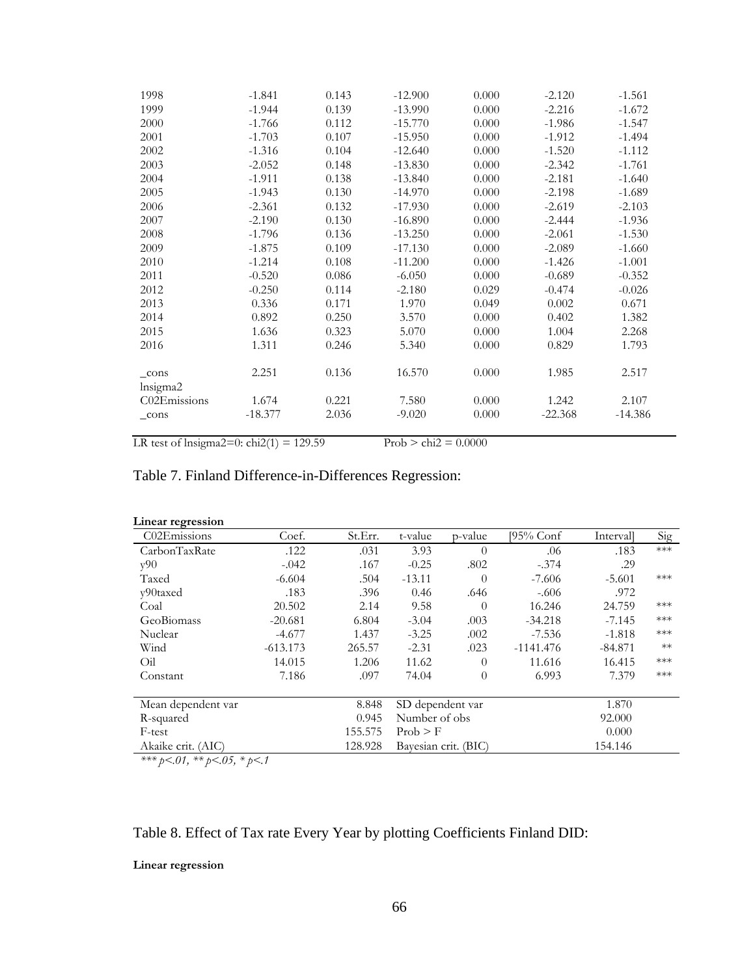| 1998                      | $-1.841$  | 0.143 | $-12.900$ | 0.000 | $-2.120$  | $-1.561$  |
|---------------------------|-----------|-------|-----------|-------|-----------|-----------|
| 1999                      | $-1.944$  | 0.139 | $-13.990$ | 0.000 | $-2.216$  | $-1.672$  |
| 2000                      | $-1.766$  | 0.112 | $-15.770$ | 0.000 | $-1.986$  | $-1.547$  |
| 2001                      | $-1.703$  | 0.107 | $-15.950$ | 0.000 | $-1.912$  | $-1.494$  |
| 2002                      | $-1.316$  | 0.104 | $-12.640$ | 0.000 | $-1.520$  | $-1.112$  |
| 2003                      | $-2.052$  | 0.148 | $-13.830$ | 0.000 | $-2.342$  | $-1.761$  |
| 2004                      | $-1.911$  | 0.138 | $-13.840$ | 0.000 | $-2.181$  | $-1.640$  |
| 2005                      | $-1.943$  | 0.130 | $-14.970$ | 0.000 | $-2.198$  | $-1.689$  |
| 2006                      | $-2.361$  | 0.132 | $-17.930$ | 0.000 | $-2.619$  | $-2.103$  |
| 2007                      | $-2.190$  | 0.130 | $-16.890$ | 0.000 | $-2.444$  | $-1.936$  |
| 2008                      | $-1.796$  | 0.136 | $-13.250$ | 0.000 | $-2.061$  | $-1.530$  |
| 2009                      | $-1.875$  | 0.109 | $-17.130$ | 0.000 | $-2.089$  | $-1.660$  |
| 2010                      | $-1.214$  | 0.108 | $-11.200$ | 0.000 | $-1.426$  | $-1.001$  |
| 2011                      | $-0.520$  | 0.086 | $-6.050$  | 0.000 | $-0.689$  | $-0.352$  |
| 2012                      | $-0.250$  | 0.114 | $-2.180$  | 0.029 | $-0.474$  | $-0.026$  |
| 2013                      | 0.336     | 0.171 | 1.970     | 0.049 | 0.002     | 0.671     |
| 2014                      | 0.892     | 0.250 | 3.570     | 0.000 | 0.402     | 1.382     |
| 2015                      | 1.636     | 0.323 | 5.070     | 0.000 | 1.004     | 2.268     |
| 2016                      | 1.311     | 0.246 | 5.340     | 0.000 | 0.829     | 1.793     |
| $_{\rm cons}$<br>lnsigma2 | 2.251     | 0.136 | 16.570    | 0.000 | 1.985     | 2.517     |
| C02Emissions              | 1.674     | 0.221 | 7.580     | 0.000 | 1.242     | 2.107     |
| $_{\rm cons}$             | $-18.377$ | 2.036 | $-9.020$  | 0.000 | $-22.368$ | $-14.386$ |

LR test of lnsigma2=0:  $\text{chi2}(1) = 129.59$  Prob >  $\text{chi2} = 0.0000$ 

## Table 7. Finland Difference-in-Differences Regression:

| Linear regression  |            |         |                  |                      |             |           |       |
|--------------------|------------|---------|------------------|----------------------|-------------|-----------|-------|
| C02Emissions       | Coef.      | St.Err. | t-value          | p-value              | [95% Conf   | Intervall | Sig   |
| CarbonTaxRate      | .122       | .031    | 3.93             | $\Omega$             | .06         | .183      | $***$ |
| v90                | $-.042$    | .167    | $-0.25$          | .802                 | $-.374$     | .29       |       |
| Taxed              | $-6.604$   | .504    | $-13.11$         | 0                    | $-7.606$    | $-5.601$  | $***$ |
| y90taxed           | .183       | .396    | 0.46             | .646                 | $-.606$     | .972      |       |
| Coal               | 20.502     | 2.14    | 9.58             | $\Omega$             | 16.246      | 24.759    | $***$ |
| GeoBiomass         | $-20.681$  | 6.804   | $-3.04$          | .003                 | $-34.218$   | $-7.145$  | $***$ |
| Nuclear            | $-4.677$   | 1.437   | $-3.25$          | .002                 | $-7.536$    | $-1.818$  | $***$ |
| Wind               | $-613.173$ | 265.57  | $-2.31$          | .023                 | $-1141.476$ | $-84.871$ | $**$  |
| Oil                | 14.015     | 1.206   | 11.62            | $\theta$             | 11.616      | 16.415    | $***$ |
| Constant           | 7.186      | .097    | 74.04            | $\theta$             | 6.993       | 7.379     | $***$ |
| Mean dependent var |            | 8.848   | SD dependent var |                      |             | 1.870     |       |
| R-squared          |            | 0.945   | Number of obs    |                      |             | 92.000    |       |
| F-test             |            | 155.575 | Prob > F         |                      |             | 0.000     |       |
| Akaike crit. (AIC) |            | 128.928 |                  | Bayesian crit. (BIC) |             | 154.146   |       |

*\*\*\* p<.01, \*\* p<.05, \* p<.1*

## Table 8. Effect of Tax rate Every Year by plotting Coefficients Finland DID:

#### **Linear regression**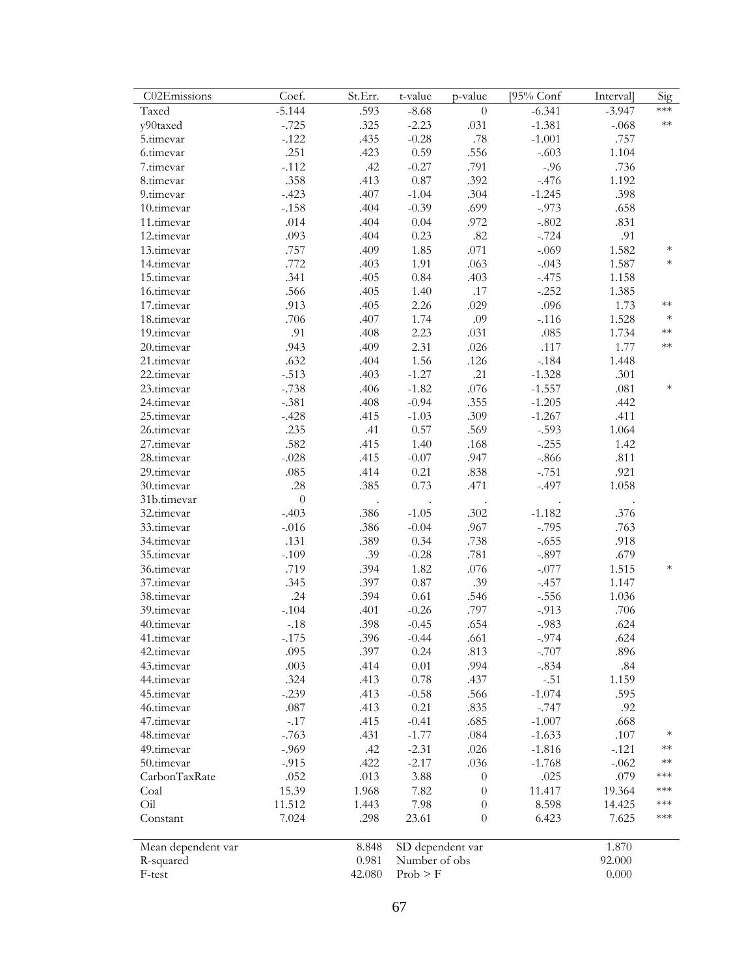| C02Emissions       | Coef.            | St.Err. | t-value          | p-value          | [95% Conf | <b>Interval</b> | Sig    |
|--------------------|------------------|---------|------------------|------------------|-----------|-----------------|--------|
| Taxed              | $-5.144$         | .593    | $-8.68$          | $\boldsymbol{0}$ | $-6.341$  | $-3.947$        | ***    |
| y90taxed           | $-.725$          | .325    | $-2.23$          | .031             | $-1.381$  | $-.068$         | $**$   |
| 5.timevar          | $-.122$          | .435    | $-0.28$          | .78              | $-1.001$  | .757            |        |
| 6.timevar          | .251             | .423    | 0.59             | .556             | $-.603$   | 1.104           |        |
| 7.timevar          | $-.112$          | .42     | $-0.27$          | .791             | $-.96$    | .736            |        |
| 8.timevar          | .358             | .413    | 0.87             | .392             | $-.476$   | 1.192           |        |
| 9.timevar          | $-.423$          | .407    | $-1.04$          | .304             | $-1.245$  | .398            |        |
| 10.timevar         | $-.158$          | .404    | $-0.39$          | .699             | $-0.973$  | .658            |        |
| 11.timevar         | .014             | .404    | $0.04\,$         | .972             | $-.802$   | .831            |        |
| 12.timevar         | .093             | .404    | 0.23             | $.82\,$          | $-.724$   | .91             |        |
| 13.timevar         | .757             | .409    | 1.85             | .071             | $-.069$   | 1.582           | $\ast$ |
| 14.timevar         | .772             | .403    | 1.91             | .063             | $-.043$   | 1.587           | $\ast$ |
| 15.timevar         | .341             | .405    | 0.84             | .403             | $-.475$   | 1.158           |        |
| 16.timevar         | .566             | .405    | 1.40             | .17              | $-.252$   | 1.385           |        |
| 17.timevar         | .913             | .405    | 2.26             | .029             | .096      | 1.73            | $**$   |
| 18.timevar         | .706             | .407    | 1.74             | .09              | $-.116$   | 1.528           | $\ast$ |
| 19.timevar         | .91              | .408    | 2.23             | .031             | .085      | 1.734           | $**$   |
| 20.timevar         | .943             | .409    | 2.31             | .026             | .117      | 1.77            | $**$   |
| 21.timevar         | .632             | .404    | 1.56             | $.126$           | $-.184$   | 1.448           |        |
| 22.timevar         | $-.513$          | .403    | $-1.27$          | .21              | $-1.328$  | .301            |        |
| 23.timevar         | $-.738$          | .406    | $-1.82$          | .076             | $-1.557$  | .081            | $\ast$ |
| 24.timevar         | $-.381$          | .408    | $-0.94$          | .355             | $-1.205$  | .442            |        |
| 25.timevar         | $-.428$          | .415    | $-1.03$          | .309             | $-1.267$  | .411            |        |
| 26.timevar         | .235             | .41     | 0.57             | .569             | $-.593$   | 1.064           |        |
| 27.timevar         | .582             | .415    | 1.40             | .168             | $-.255$   | 1.42            |        |
| 28.timevar         | $-.028$          | .415    | $-0.07$          | .947             | $-.866$   | .811            |        |
| 29.timevar         | .085             | .414    | 0.21             | .838             | $-.751$   | .921            |        |
| 30.timevar         | .28              | .385    | 0.73             | .471             | $-.497$   | 1.058           |        |
| 31b.timevar        | $\boldsymbol{0}$ |         |                  |                  |           |                 |        |
| 32.timevar         | $-.403$          | .386    | $-1.05$          | .302             | $-1.182$  | .376            |        |
| 33.timevar         | $-.016$          | .386    | $-0.04$          | .967             | $-.795$   | .763            |        |
| 34.timevar         | .131             | .389    | 0.34             | .738             | $-.655$   | .918            |        |
| 35.timevar         | $-.109$          | .39     | $-0.28$          | .781             | $-.897$   | .679            |        |
| 36.timevar         | .719             | .394    | 1.82             | .076             | $-.077$   | 1.515           | $\ast$ |
| 37.timevar         | .345             | .397    | $0.87\,$         | .39              | $-.457$   | 1.147           |        |
| 38.timevar         | .24              | .394    | $0.61\,$         | .546             | $-.556$   | 1.036           |        |
| 39.timevar         | $-.104$          | .401    | $-0.26$          | .797             | $-.913$   | .706            |        |
| 40.timevar         | $-.18$           | .398    | $-0.45$          | .654             | $-.983$   | .624            |        |
| 41.tımevar         | $-175$           | .396    | $-0.44$          | .661             | -.974     | .624            |        |
| 42.timevar         | .095             | .397    | 0.24             | .813             | $-.707$   | .896            |        |
| 43.timevar         | .003             | .414    | $0.01\,$         | .994             | $-.834$   | .84             |        |
| 44.timevar         | .324             | .413    | 0.78             | .437             | $-.51$    | 1.159           |        |
| 45.timevar         | $-.239$          | .413    | $-0.58$          | .566             | $-1.074$  | .595            |        |
| 46.timevar         | $.087\,$         | .413    | 0.21             | .835             | $-.747$   | .92             |        |
| 47.timevar         | $-.17$           | .415    | $-0.41$          | .685             | $-1.007$  | .668            |        |
| 48.timevar         | $-.763$          | .431    | $-1.77$          | .084             | $-1.633$  | $.107$          | $\ast$ |
| 49.timevar         | $-0.969$         | .42     | $-2.31$          | .026             | $-1.816$  | $-.121$         | $**$   |
| 50.timevar         | $-0.915$         | .422    | $-2.17$          | .036             | $-1.768$  | $-.062$         | $**$   |
| CarbonTaxRate      | .052             | .013    | 3.88             | $\theta$         | .025      | .079            | ***    |
| Coal               | 15.39            | 1.968   | 7.82             | $\theta$         | 11.417    | 19.364          | ***    |
| Oil                | 11.512           | 1.443   | 7.98             | $\theta$         | 8.598     | 14.425          | ***    |
| Constant           | 7.024            | .298    | 23.61            | $\overline{0}$   | 6.423     | 7.625           | ***    |
|                    |                  |         |                  |                  |           |                 |        |
| Mean dependent var |                  | 8.848   | SD dependent var |                  |           | 1.870           |        |
| R-squared          |                  | 0.981   | Number of obs    |                  |           | 92.000          |        |
| F-test             |                  | 42.080  | Prob > F         |                  |           | 0.000           |        |
|                    |                  |         |                  |                  |           |                 |        |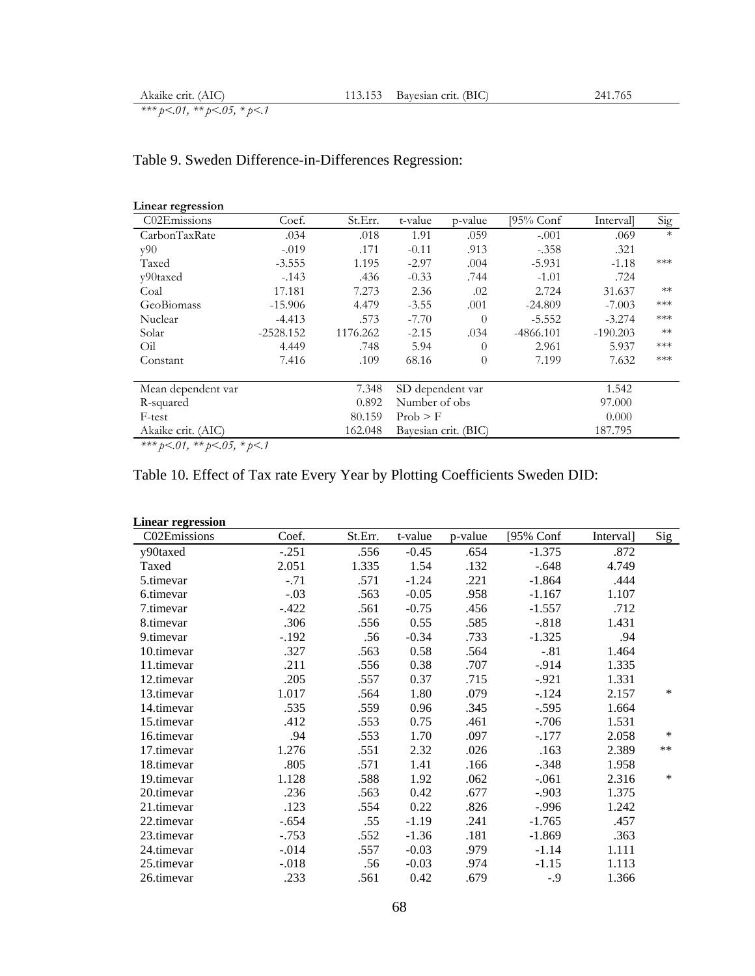## Table 9. Sweden Difference-in-Differences Regression:

| Linear regression  |             |          |                  |                      |             |            |        |
|--------------------|-------------|----------|------------------|----------------------|-------------|------------|--------|
| C02Emissions       | Coef.       | St.Err.  | t-value          | p-value              | [95% Conf   | Intervall  | Sig    |
| CarbonTaxRate      | .034        | .018     | 1.91             | .059                 | $-.001$     | .069       | $\ast$ |
| y90                | $-.019$     | .171     | $-0.11$          | .913                 | $-.358$     | .321       |        |
| Taxed              | $-3.555$    | 1.195    | $-2.97$          | .004                 | $-5.931$    | $-1.18$    | ***    |
| y90taxed           | $-143$      | .436     | $-0.33$          | .744                 | $-1.01$     | .724       |        |
| Coal               | 17.181      | 7.273    | 2.36             | .02                  | 2.724       | 31.637     | $**$   |
| GeoBiomass         | $-15.906$   | 4.479    | $-3.55$          | .001                 | $-24.809$   | $-7.003$   | ***    |
| Nuclear            | $-4.413$    | .573     | $-7.70$          | $\Omega$             | $-5.552$    | $-3.274$   | ***    |
| Solar              | $-2528.152$ | 1176.262 | $-2.15$          | .034                 | $-4866.101$ | $-190.203$ | $**$   |
| Oil                | 4.449       | .748     | 5.94             | $\theta$             | 2.961       | 5.937      | ***    |
| Constant           | 7.416       | .109     | 68.16            | $\Omega$             | 7.199       | 7.632      | ***    |
| Mean dependent var |             | 7.348    | SD dependent var |                      |             | 1.542      |        |
| R-squared          |             | 0.892    | Number of obs    |                      |             | 97.000     |        |
| F-test             |             | 80.159   | Prob > F         |                      |             | 0.000      |        |
| Akaike crit. (AIC) |             | 162.048  |                  | Bayesian crit. (BIC) |             | 187.795    |        |

*\*\*\* p<.01, \*\* p<.05, \* p<.1*

#### Table 10. Effect of Tax rate Every Year by Plotting Coefficients Sweden DID:

| <b>Linear regression</b> |          |         |         |         |           |           |       |
|--------------------------|----------|---------|---------|---------|-----------|-----------|-------|
| C02Emissions             | Coef.    | St.Err. | t-value | p-value | [95% Conf | Interval] | Sig   |
| y90taxed                 | $-.251$  | .556    | $-0.45$ | .654    | $-1.375$  | .872      |       |
| Taxed                    | 2.051    | 1.335   | 1.54    | .132    | $-.648$   | 4.749     |       |
| 5.timevar                | $-.71$   | .571    | $-1.24$ | .221    | $-1.864$  | .444      |       |
| 6.timevar                | $-.03$   | .563    | $-0.05$ | .958    | $-1.167$  | 1.107     |       |
| 7.timevar                | $-.422$  | .561    | $-0.75$ | .456    | $-1.557$  | .712      |       |
| 8.timevar                | .306     | .556    | 0.55    | .585    | $-.818$   | 1.431     |       |
| 9.timevar                | $-.192$  | .56     | $-0.34$ | .733    | $-1.325$  | .94       |       |
| 10.timevar               | .327     | .563    | 0.58    | .564    | $-.81$    | 1.464     |       |
| 11.timevar               | .211     | .556    | 0.38    | .707    | $-.914$   | 1.335     |       |
| 12.timevar               | .205     | .557    | 0.37    | .715    | $-0.921$  | 1.331     |       |
| 13.timevar               | 1.017    | .564    | 1.80    | .079    | $-.124$   | 2.157     | *     |
| 14.timevar               | .535     | .559    | 0.96    | .345    | $-.595$   | 1.664     |       |
| 15.timevar               | .412     | .553    | 0.75    | .461    | $-.706$   | 1.531     |       |
| 16.timevar               | .94      | .553    | 1.70    | .097    | $-.177$   | 2.058     | *     |
| 17.timevar               | 1.276    | .551    | 2.32    | .026    | .163      | 2.389     | $***$ |
| 18.timevar               | .805     | .571    | 1.41    | .166    | $-.348$   | 1.958     |       |
| 19.timevar               | 1.128    | .588    | 1.92    | .062    | $-.061$   | 2.316     | *     |
| 20.timevar               | .236     | .563    | 0.42    | .677    | $-.903$   | 1.375     |       |
| 21.timevar               | .123     | .554    | 0.22    | .826    | $-.996$   | 1.242     |       |
| 22.timevar               | $-.654$  | .55     | $-1.19$ | .241    | $-1.765$  | .457      |       |
| 23.timevar               | $-.753$  | .552    | $-1.36$ | .181    | $-1.869$  | .363      |       |
| 24.timevar               | $-0.014$ | .557    | $-0.03$ | .979    | $-1.14$   | 1.111     |       |
| 25.timevar               | $-0.018$ | .56     | $-0.03$ | .974    | $-1.15$   | 1.113     |       |
| 26.timevar               | .233     | .561    | 0.42    | .679    | $-.9$     | 1.366     |       |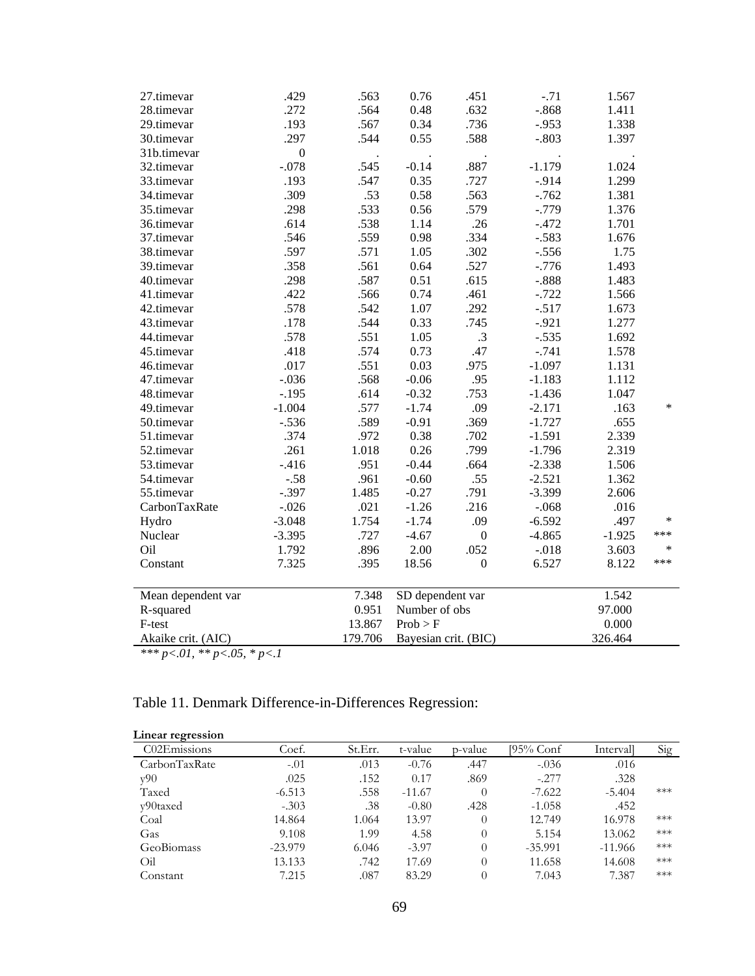| .272<br>$-.868$<br>28.timevar<br>.564<br>0.48<br>.632<br>1.411<br>.567<br>0.34<br>.736<br>$-.953$<br>.193<br>1.338<br>29.timevar<br>.588<br>.297<br>.544<br>0.55<br>$-.803$<br>1.397<br>30.timevar<br>$\boldsymbol{0}$<br>31b.timevar<br>$-.078$<br>.545<br>$-0.14$<br>.887<br>$-1.179$<br>32.timevar<br>1.024<br>.193<br>.547<br>0.35<br>.727<br>$-.914$<br>1.299<br>33.timevar<br>.309<br>.53<br>0.58<br>.563<br>$-.762$<br>1.381<br>34.timevar<br>.579<br>.298<br>.533<br>0.56<br>$-.779$<br>35.timevar<br>1.376<br>.614<br>.538<br>1.14<br>.26<br>$-.472$<br>36.timevar<br>1.701<br>.559<br>0.98<br>.546<br>.334<br>$-.583$<br>37.timevar<br>1.676<br>.597<br>.571<br>1.05<br>.302<br>1.75<br>38.timevar<br>$-.556$<br>.358<br>0.64<br>.527<br>$-.776$<br>39.timevar<br>.561<br>1.493<br>.298<br>.587<br>0.51<br>.615<br>$-.888$<br>1.483<br>40.timevar<br>.422<br>.566<br>0.74<br>.461<br>$-.722$<br>1.566<br>41.timevar<br>.578<br>.542<br>1.07<br>$-.517$<br>42.timevar<br>.292<br>1.673<br>.178<br>.544<br>0.33<br>.745<br>$-.921$<br>43.timevar<br>1.277<br>.578<br>.551<br>1.05<br>.3<br>$-.535$<br>1.692<br>44.timevar<br>0.73<br>.47<br>45.timevar<br>.418<br>.574<br>$-.741$<br>1.578<br>.975<br>46.timevar<br>.017<br>.551<br>0.03<br>$-1.097$<br>1.131<br>$-.036$<br>.568<br>$-0.06$<br>.95<br>47.timevar<br>$-1.183$<br>1.112<br>$-.195$<br>.614<br>$-0.32$<br>.753<br>$-1.436$<br>1.047<br>48.timevar<br>$\ast$<br>$-1.004$<br>.577<br>$-1.74$<br>.09<br>$-2.171$<br>49.timevar<br>.163<br>$-.536$<br>.589<br>$-0.91$<br>.369<br>$-1.727$<br>.655<br>50.timevar<br>.374<br>.972<br>0.38<br>.702<br>$-1.591$<br>2.339<br>51.timevar<br>.799<br>.261<br>1.018<br>0.26<br>$-1.796$<br>2.319<br>52.timevar<br>$-0.44$<br>.664<br>53.timevar<br>$-416$<br>.951<br>$-2.338$<br>1.506<br>.961<br>$-0.60$<br>.55<br>$-2.521$<br>1.362<br>54.timevar<br>$-.58$<br>$-.397$<br>1.485<br>$-0.27$<br>.791<br>$-3.399$<br>55.timevar<br>2.606<br>$-.026$<br>.021<br>$-1.26$<br>.216<br>CarbonTaxRate<br>$-.068$<br>.016<br>$\ast$<br>$-3.048$<br>1.754<br>$-1.74$<br>.09<br>$-6.592$<br>.497<br>Hydro<br>***<br>Nuclear<br>.727<br>$-4.67$<br>$-4.865$<br>$-3.395$<br>$\boldsymbol{0}$<br>$-1.925$<br>Oil<br>.896<br>2.00<br>.052<br>$\ast$<br>1.792<br>$-.018$<br>3.603<br>***<br>7.325<br>Constant<br>.395<br>18.56<br>$\boldsymbol{0}$<br>6.527<br>8.122<br>1.542<br>7.348<br>SD dependent var<br>Mean dependent var<br>0.951<br>Number of obs<br>97.000<br>R-squared<br>F-test<br>13.867<br>Prob > F<br>0.000<br>Bayesian crit. (BIC)<br>Akaike crit. (AIC)<br>179.706<br>326.464 | 27.timevar                          | .429 | .563 | 0.76 | .451 | $-.71$ | 1.567 |  |
|------------------------------------------------------------------------------------------------------------------------------------------------------------------------------------------------------------------------------------------------------------------------------------------------------------------------------------------------------------------------------------------------------------------------------------------------------------------------------------------------------------------------------------------------------------------------------------------------------------------------------------------------------------------------------------------------------------------------------------------------------------------------------------------------------------------------------------------------------------------------------------------------------------------------------------------------------------------------------------------------------------------------------------------------------------------------------------------------------------------------------------------------------------------------------------------------------------------------------------------------------------------------------------------------------------------------------------------------------------------------------------------------------------------------------------------------------------------------------------------------------------------------------------------------------------------------------------------------------------------------------------------------------------------------------------------------------------------------------------------------------------------------------------------------------------------------------------------------------------------------------------------------------------------------------------------------------------------------------------------------------------------------------------------------------------------------------------------------------------------------------------------------------------------------------------------------------------------------------------------------------------------------------------------------------------------------------------------------------------------------------------------------------------------------------------------------------------------------------------------------------------------------------------------------------------------------------------------|-------------------------------------|------|------|------|------|--------|-------|--|
|                                                                                                                                                                                                                                                                                                                                                                                                                                                                                                                                                                                                                                                                                                                                                                                                                                                                                                                                                                                                                                                                                                                                                                                                                                                                                                                                                                                                                                                                                                                                                                                                                                                                                                                                                                                                                                                                                                                                                                                                                                                                                                                                                                                                                                                                                                                                                                                                                                                                                                                                                                                          |                                     |      |      |      |      |        |       |  |
|                                                                                                                                                                                                                                                                                                                                                                                                                                                                                                                                                                                                                                                                                                                                                                                                                                                                                                                                                                                                                                                                                                                                                                                                                                                                                                                                                                                                                                                                                                                                                                                                                                                                                                                                                                                                                                                                                                                                                                                                                                                                                                                                                                                                                                                                                                                                                                                                                                                                                                                                                                                          |                                     |      |      |      |      |        |       |  |
|                                                                                                                                                                                                                                                                                                                                                                                                                                                                                                                                                                                                                                                                                                                                                                                                                                                                                                                                                                                                                                                                                                                                                                                                                                                                                                                                                                                                                                                                                                                                                                                                                                                                                                                                                                                                                                                                                                                                                                                                                                                                                                                                                                                                                                                                                                                                                                                                                                                                                                                                                                                          |                                     |      |      |      |      |        |       |  |
|                                                                                                                                                                                                                                                                                                                                                                                                                                                                                                                                                                                                                                                                                                                                                                                                                                                                                                                                                                                                                                                                                                                                                                                                                                                                                                                                                                                                                                                                                                                                                                                                                                                                                                                                                                                                                                                                                                                                                                                                                                                                                                                                                                                                                                                                                                                                                                                                                                                                                                                                                                                          |                                     |      |      |      |      |        |       |  |
|                                                                                                                                                                                                                                                                                                                                                                                                                                                                                                                                                                                                                                                                                                                                                                                                                                                                                                                                                                                                                                                                                                                                                                                                                                                                                                                                                                                                                                                                                                                                                                                                                                                                                                                                                                                                                                                                                                                                                                                                                                                                                                                                                                                                                                                                                                                                                                                                                                                                                                                                                                                          |                                     |      |      |      |      |        |       |  |
|                                                                                                                                                                                                                                                                                                                                                                                                                                                                                                                                                                                                                                                                                                                                                                                                                                                                                                                                                                                                                                                                                                                                                                                                                                                                                                                                                                                                                                                                                                                                                                                                                                                                                                                                                                                                                                                                                                                                                                                                                                                                                                                                                                                                                                                                                                                                                                                                                                                                                                                                                                                          |                                     |      |      |      |      |        |       |  |
|                                                                                                                                                                                                                                                                                                                                                                                                                                                                                                                                                                                                                                                                                                                                                                                                                                                                                                                                                                                                                                                                                                                                                                                                                                                                                                                                                                                                                                                                                                                                                                                                                                                                                                                                                                                                                                                                                                                                                                                                                                                                                                                                                                                                                                                                                                                                                                                                                                                                                                                                                                                          |                                     |      |      |      |      |        |       |  |
|                                                                                                                                                                                                                                                                                                                                                                                                                                                                                                                                                                                                                                                                                                                                                                                                                                                                                                                                                                                                                                                                                                                                                                                                                                                                                                                                                                                                                                                                                                                                                                                                                                                                                                                                                                                                                                                                                                                                                                                                                                                                                                                                                                                                                                                                                                                                                                                                                                                                                                                                                                                          |                                     |      |      |      |      |        |       |  |
|                                                                                                                                                                                                                                                                                                                                                                                                                                                                                                                                                                                                                                                                                                                                                                                                                                                                                                                                                                                                                                                                                                                                                                                                                                                                                                                                                                                                                                                                                                                                                                                                                                                                                                                                                                                                                                                                                                                                                                                                                                                                                                                                                                                                                                                                                                                                                                                                                                                                                                                                                                                          |                                     |      |      |      |      |        |       |  |
|                                                                                                                                                                                                                                                                                                                                                                                                                                                                                                                                                                                                                                                                                                                                                                                                                                                                                                                                                                                                                                                                                                                                                                                                                                                                                                                                                                                                                                                                                                                                                                                                                                                                                                                                                                                                                                                                                                                                                                                                                                                                                                                                                                                                                                                                                                                                                                                                                                                                                                                                                                                          |                                     |      |      |      |      |        |       |  |
|                                                                                                                                                                                                                                                                                                                                                                                                                                                                                                                                                                                                                                                                                                                                                                                                                                                                                                                                                                                                                                                                                                                                                                                                                                                                                                                                                                                                                                                                                                                                                                                                                                                                                                                                                                                                                                                                                                                                                                                                                                                                                                                                                                                                                                                                                                                                                                                                                                                                                                                                                                                          |                                     |      |      |      |      |        |       |  |
|                                                                                                                                                                                                                                                                                                                                                                                                                                                                                                                                                                                                                                                                                                                                                                                                                                                                                                                                                                                                                                                                                                                                                                                                                                                                                                                                                                                                                                                                                                                                                                                                                                                                                                                                                                                                                                                                                                                                                                                                                                                                                                                                                                                                                                                                                                                                                                                                                                                                                                                                                                                          |                                     |      |      |      |      |        |       |  |
|                                                                                                                                                                                                                                                                                                                                                                                                                                                                                                                                                                                                                                                                                                                                                                                                                                                                                                                                                                                                                                                                                                                                                                                                                                                                                                                                                                                                                                                                                                                                                                                                                                                                                                                                                                                                                                                                                                                                                                                                                                                                                                                                                                                                                                                                                                                                                                                                                                                                                                                                                                                          |                                     |      |      |      |      |        |       |  |
|                                                                                                                                                                                                                                                                                                                                                                                                                                                                                                                                                                                                                                                                                                                                                                                                                                                                                                                                                                                                                                                                                                                                                                                                                                                                                                                                                                                                                                                                                                                                                                                                                                                                                                                                                                                                                                                                                                                                                                                                                                                                                                                                                                                                                                                                                                                                                                                                                                                                                                                                                                                          |                                     |      |      |      |      |        |       |  |
|                                                                                                                                                                                                                                                                                                                                                                                                                                                                                                                                                                                                                                                                                                                                                                                                                                                                                                                                                                                                                                                                                                                                                                                                                                                                                                                                                                                                                                                                                                                                                                                                                                                                                                                                                                                                                                                                                                                                                                                                                                                                                                                                                                                                                                                                                                                                                                                                                                                                                                                                                                                          |                                     |      |      |      |      |        |       |  |
|                                                                                                                                                                                                                                                                                                                                                                                                                                                                                                                                                                                                                                                                                                                                                                                                                                                                                                                                                                                                                                                                                                                                                                                                                                                                                                                                                                                                                                                                                                                                                                                                                                                                                                                                                                                                                                                                                                                                                                                                                                                                                                                                                                                                                                                                                                                                                                                                                                                                                                                                                                                          |                                     |      |      |      |      |        |       |  |
|                                                                                                                                                                                                                                                                                                                                                                                                                                                                                                                                                                                                                                                                                                                                                                                                                                                                                                                                                                                                                                                                                                                                                                                                                                                                                                                                                                                                                                                                                                                                                                                                                                                                                                                                                                                                                                                                                                                                                                                                                                                                                                                                                                                                                                                                                                                                                                                                                                                                                                                                                                                          |                                     |      |      |      |      |        |       |  |
|                                                                                                                                                                                                                                                                                                                                                                                                                                                                                                                                                                                                                                                                                                                                                                                                                                                                                                                                                                                                                                                                                                                                                                                                                                                                                                                                                                                                                                                                                                                                                                                                                                                                                                                                                                                                                                                                                                                                                                                                                                                                                                                                                                                                                                                                                                                                                                                                                                                                                                                                                                                          |                                     |      |      |      |      |        |       |  |
|                                                                                                                                                                                                                                                                                                                                                                                                                                                                                                                                                                                                                                                                                                                                                                                                                                                                                                                                                                                                                                                                                                                                                                                                                                                                                                                                                                                                                                                                                                                                                                                                                                                                                                                                                                                                                                                                                                                                                                                                                                                                                                                                                                                                                                                                                                                                                                                                                                                                                                                                                                                          |                                     |      |      |      |      |        |       |  |
|                                                                                                                                                                                                                                                                                                                                                                                                                                                                                                                                                                                                                                                                                                                                                                                                                                                                                                                                                                                                                                                                                                                                                                                                                                                                                                                                                                                                                                                                                                                                                                                                                                                                                                                                                                                                                                                                                                                                                                                                                                                                                                                                                                                                                                                                                                                                                                                                                                                                                                                                                                                          |                                     |      |      |      |      |        |       |  |
|                                                                                                                                                                                                                                                                                                                                                                                                                                                                                                                                                                                                                                                                                                                                                                                                                                                                                                                                                                                                                                                                                                                                                                                                                                                                                                                                                                                                                                                                                                                                                                                                                                                                                                                                                                                                                                                                                                                                                                                                                                                                                                                                                                                                                                                                                                                                                                                                                                                                                                                                                                                          |                                     |      |      |      |      |        |       |  |
|                                                                                                                                                                                                                                                                                                                                                                                                                                                                                                                                                                                                                                                                                                                                                                                                                                                                                                                                                                                                                                                                                                                                                                                                                                                                                                                                                                                                                                                                                                                                                                                                                                                                                                                                                                                                                                                                                                                                                                                                                                                                                                                                                                                                                                                                                                                                                                                                                                                                                                                                                                                          |                                     |      |      |      |      |        |       |  |
|                                                                                                                                                                                                                                                                                                                                                                                                                                                                                                                                                                                                                                                                                                                                                                                                                                                                                                                                                                                                                                                                                                                                                                                                                                                                                                                                                                                                                                                                                                                                                                                                                                                                                                                                                                                                                                                                                                                                                                                                                                                                                                                                                                                                                                                                                                                                                                                                                                                                                                                                                                                          |                                     |      |      |      |      |        |       |  |
|                                                                                                                                                                                                                                                                                                                                                                                                                                                                                                                                                                                                                                                                                                                                                                                                                                                                                                                                                                                                                                                                                                                                                                                                                                                                                                                                                                                                                                                                                                                                                                                                                                                                                                                                                                                                                                                                                                                                                                                                                                                                                                                                                                                                                                                                                                                                                                                                                                                                                                                                                                                          |                                     |      |      |      |      |        |       |  |
|                                                                                                                                                                                                                                                                                                                                                                                                                                                                                                                                                                                                                                                                                                                                                                                                                                                                                                                                                                                                                                                                                                                                                                                                                                                                                                                                                                                                                                                                                                                                                                                                                                                                                                                                                                                                                                                                                                                                                                                                                                                                                                                                                                                                                                                                                                                                                                                                                                                                                                                                                                                          |                                     |      |      |      |      |        |       |  |
|                                                                                                                                                                                                                                                                                                                                                                                                                                                                                                                                                                                                                                                                                                                                                                                                                                                                                                                                                                                                                                                                                                                                                                                                                                                                                                                                                                                                                                                                                                                                                                                                                                                                                                                                                                                                                                                                                                                                                                                                                                                                                                                                                                                                                                                                                                                                                                                                                                                                                                                                                                                          |                                     |      |      |      |      |        |       |  |
|                                                                                                                                                                                                                                                                                                                                                                                                                                                                                                                                                                                                                                                                                                                                                                                                                                                                                                                                                                                                                                                                                                                                                                                                                                                                                                                                                                                                                                                                                                                                                                                                                                                                                                                                                                                                                                                                                                                                                                                                                                                                                                                                                                                                                                                                                                                                                                                                                                                                                                                                                                                          |                                     |      |      |      |      |        |       |  |
|                                                                                                                                                                                                                                                                                                                                                                                                                                                                                                                                                                                                                                                                                                                                                                                                                                                                                                                                                                                                                                                                                                                                                                                                                                                                                                                                                                                                                                                                                                                                                                                                                                                                                                                                                                                                                                                                                                                                                                                                                                                                                                                                                                                                                                                                                                                                                                                                                                                                                                                                                                                          |                                     |      |      |      |      |        |       |  |
|                                                                                                                                                                                                                                                                                                                                                                                                                                                                                                                                                                                                                                                                                                                                                                                                                                                                                                                                                                                                                                                                                                                                                                                                                                                                                                                                                                                                                                                                                                                                                                                                                                                                                                                                                                                                                                                                                                                                                                                                                                                                                                                                                                                                                                                                                                                                                                                                                                                                                                                                                                                          |                                     |      |      |      |      |        |       |  |
|                                                                                                                                                                                                                                                                                                                                                                                                                                                                                                                                                                                                                                                                                                                                                                                                                                                                                                                                                                                                                                                                                                                                                                                                                                                                                                                                                                                                                                                                                                                                                                                                                                                                                                                                                                                                                                                                                                                                                                                                                                                                                                                                                                                                                                                                                                                                                                                                                                                                                                                                                                                          |                                     |      |      |      |      |        |       |  |
|                                                                                                                                                                                                                                                                                                                                                                                                                                                                                                                                                                                                                                                                                                                                                                                                                                                                                                                                                                                                                                                                                                                                                                                                                                                                                                                                                                                                                                                                                                                                                                                                                                                                                                                                                                                                                                                                                                                                                                                                                                                                                                                                                                                                                                                                                                                                                                                                                                                                                                                                                                                          |                                     |      |      |      |      |        |       |  |
|                                                                                                                                                                                                                                                                                                                                                                                                                                                                                                                                                                                                                                                                                                                                                                                                                                                                                                                                                                                                                                                                                                                                                                                                                                                                                                                                                                                                                                                                                                                                                                                                                                                                                                                                                                                                                                                                                                                                                                                                                                                                                                                                                                                                                                                                                                                                                                                                                                                                                                                                                                                          |                                     |      |      |      |      |        |       |  |
|                                                                                                                                                                                                                                                                                                                                                                                                                                                                                                                                                                                                                                                                                                                                                                                                                                                                                                                                                                                                                                                                                                                                                                                                                                                                                                                                                                                                                                                                                                                                                                                                                                                                                                                                                                                                                                                                                                                                                                                                                                                                                                                                                                                                                                                                                                                                                                                                                                                                                                                                                                                          |                                     |      |      |      |      |        |       |  |
|                                                                                                                                                                                                                                                                                                                                                                                                                                                                                                                                                                                                                                                                                                                                                                                                                                                                                                                                                                                                                                                                                                                                                                                                                                                                                                                                                                                                                                                                                                                                                                                                                                                                                                                                                                                                                                                                                                                                                                                                                                                                                                                                                                                                                                                                                                                                                                                                                                                                                                                                                                                          |                                     |      |      |      |      |        |       |  |
|                                                                                                                                                                                                                                                                                                                                                                                                                                                                                                                                                                                                                                                                                                                                                                                                                                                                                                                                                                                                                                                                                                                                                                                                                                                                                                                                                                                                                                                                                                                                                                                                                                                                                                                                                                                                                                                                                                                                                                                                                                                                                                                                                                                                                                                                                                                                                                                                                                                                                                                                                                                          |                                     |      |      |      |      |        |       |  |
|                                                                                                                                                                                                                                                                                                                                                                                                                                                                                                                                                                                                                                                                                                                                                                                                                                                                                                                                                                                                                                                                                                                                                                                                                                                                                                                                                                                                                                                                                                                                                                                                                                                                                                                                                                                                                                                                                                                                                                                                                                                                                                                                                                                                                                                                                                                                                                                                                                                                                                                                                                                          |                                     |      |      |      |      |        |       |  |
|                                                                                                                                                                                                                                                                                                                                                                                                                                                                                                                                                                                                                                                                                                                                                                                                                                                                                                                                                                                                                                                                                                                                                                                                                                                                                                                                                                                                                                                                                                                                                                                                                                                                                                                                                                                                                                                                                                                                                                                                                                                                                                                                                                                                                                                                                                                                                                                                                                                                                                                                                                                          |                                     |      |      |      |      |        |       |  |
|                                                                                                                                                                                                                                                                                                                                                                                                                                                                                                                                                                                                                                                                                                                                                                                                                                                                                                                                                                                                                                                                                                                                                                                                                                                                                                                                                                                                                                                                                                                                                                                                                                                                                                                                                                                                                                                                                                                                                                                                                                                                                                                                                                                                                                                                                                                                                                                                                                                                                                                                                                                          | *** $p<.01$ , ** $p<.05$ , * $p<.1$ |      |      |      |      |        |       |  |

# Table 11. Denmark Difference-in-Differences Regression:

| Linear regression |           |         |          |          |           |           |       |
|-------------------|-----------|---------|----------|----------|-----------|-----------|-------|
| C02Emissions      | Coef.     | St.Err. | t-value  | p-value  | 195% Conf | Intervall | Sig   |
| CarbonTaxRate     | $-.01$    | .013    | $-0.76$  | .447     | $-.036$   | .016      |       |
| v90               | .025      | .152    | 0.17     | .869     | $-.277$   | .328      |       |
| Taxed             | $-6.513$  | .558    | $-11.67$ | $\Omega$ | $-7.622$  | $-5.404$  | $***$ |
| v90taxed          | $-.303$   | .38     | $-0.80$  | .428     | $-1.058$  | .452      |       |
| Coal              | 14.864    | 1.064   | 13.97    | $\theta$ | 12.749    | 16.978    | ***   |
| Gas               | 9.108     | 1.99    | 4.58     | $\theta$ | 5.154     | 13.062    | ***   |
| GeoBiomass        | $-23.979$ | 6.046   | $-3.97$  | $\theta$ | $-35.991$ | $-11.966$ | ***   |
| Oil               | 13.133    | .742    | 17.69    | $\theta$ | 11.658    | 14.608    | ***   |
| Constant          | 7.215     | .087    | 83.29    | $\Omega$ | 7.043     | 7.387     | ***   |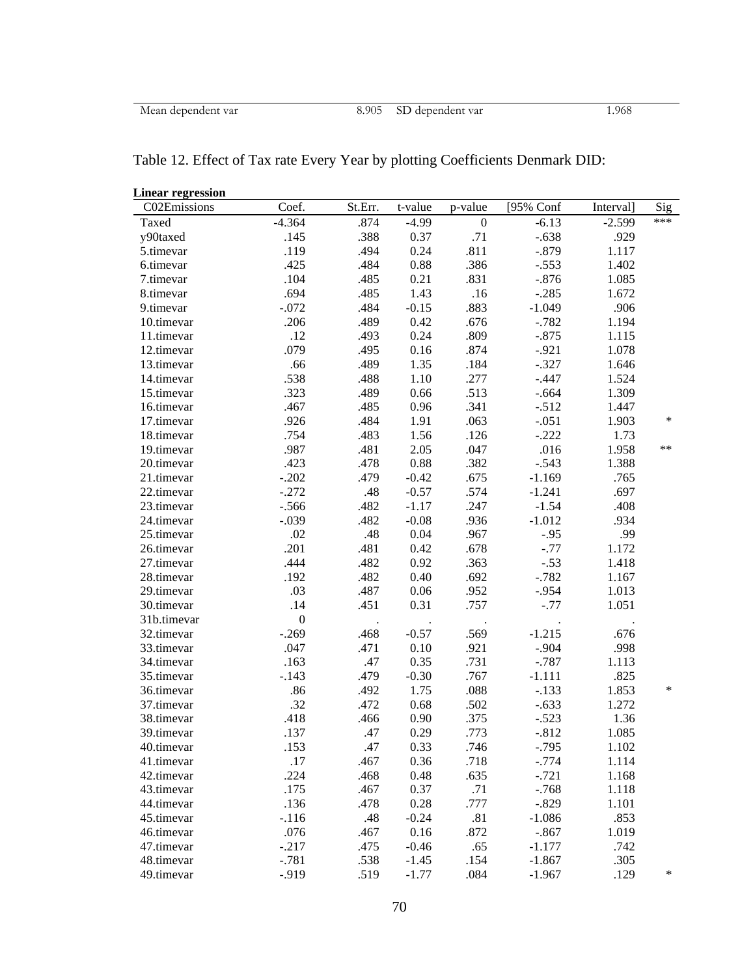|  |  |  | Table 12. Effect of Tax rate Every Year by plotting Coefficients Denmark DID: |
|--|--|--|-------------------------------------------------------------------------------|
|  |  |  |                                                                               |

| <b>Linear regression</b> |                  |         |         |                  |           |           |       |
|--------------------------|------------------|---------|---------|------------------|-----------|-----------|-------|
| C02Emissions             | Coef.            | St.Err. | t-value | p-value          | [95% Conf | Interval] | Sig   |
| Taxed                    | $-4.364$         | .874    | $-4.99$ | $\boldsymbol{0}$ | $-6.13$   | $-2.599$  | ***   |
| y90taxed                 | .145             | .388    | 0.37    | .71              | $-.638$   | .929      |       |
| 5.timevar                | .119             | .494    | 0.24    | .811             | $-.879$   | 1.117     |       |
| 6.timevar                | .425             | .484    | 0.88    | .386             | $-.553$   | 1.402     |       |
| 7.timevar                | .104             | .485    | 0.21    | .831             | $-.876$   | 1.085     |       |
| 8.timevar                | .694             | .485    | 1.43    | .16              | $-.285$   | 1.672     |       |
| 9.timevar                | $-.072$          | .484    | $-0.15$ | .883             | $-1.049$  | .906      |       |
| 10.timevar               | .206             | .489    | 0.42    | .676             | $-.782$   | 1.194     |       |
| 11.timevar               | .12              | .493    | 0.24    | .809             | $-.875$   | 1.115     |       |
| 12.timevar               | .079             | .495    | 0.16    | .874             | $-.921$   | 1.078     |       |
| 13.timevar               | .66              | .489    | 1.35    | .184             | $-.327$   | 1.646     |       |
| 14.timevar               | .538             | .488    | 1.10    | .277             | $-.447$   | 1.524     |       |
| 15.timevar               | .323             | .489    | 0.66    | .513             | $-.664$   | 1.309     |       |
| 16.timevar               | .467             | .485    | 0.96    | .341             | $-.512$   | 1.447     |       |
| 17.timevar               | .926             | .484    | 1.91    | .063             | $-.051$   | 1.903     | *     |
| 18.timevar               | .754             | .483    | 1.56    | .126             | $-.222$   | 1.73      |       |
| 19.timevar               | .987             | .481    | 2.05    | .047             | .016      | 1.958     | $***$ |
| 20.timevar               | .423             | .478    | 0.88    | .382             | $-.543$   | 1.388     |       |
| 21.timevar               | $-.202$          | .479    | $-0.42$ | .675             | $-1.169$  | .765      |       |
| 22.timevar               | $-.272$          | .48     | $-0.57$ | .574             | $-1.241$  | .697      |       |
| 23.timevar               | $-.566$          | .482    | $-1.17$ | .247             | $-1.54$   | .408      |       |
| 24.timevar               | $-.039$          | .482    | $-0.08$ | .936             | $-1.012$  | .934      |       |
| 25.timevar               | .02              | .48     | 0.04    | .967             | $-.95$    | .99       |       |
| 26.timevar               | .201             | .481    | 0.42    | .678             | $-.77$    | 1.172     |       |
| 27.timevar               | .444             | .482    | 0.92    | .363             | $-.53$    | 1.418     |       |
| 28.timevar               | .192             | .482    | 0.40    | .692             | $-.782$   | 1.167     |       |
| 29.timevar               | .03              | .487    | 0.06    | .952             | $-.954$   | 1.013     |       |
| 30.timevar               | .14              | .451    | 0.31    | .757             | $-.77$    | 1.051     |       |
| 31b.timevar              | $\boldsymbol{0}$ |         |         |                  |           |           |       |
| 32.timevar               | $-.269$          | .468    | $-0.57$ | .569             | $-1.215$  | .676      |       |
| 33.timevar               | .047             | .471    | 0.10    | .921             | $-.904$   | .998      |       |
| 34.timevar               | .163             | .47     | 0.35    | .731             | $-.787$   | 1.113     |       |
| 35.timevar               | $-.143$          | .479    | $-0.30$ | .767             | $-1.111$  | .825      |       |
| 36.timevar               | .86              | .492    | 1.75    | .088             | $-.133$   | 1.853     | *     |
| 37.timevar               | .32              | .472    | 0.68    | .502             | $-.633$   | 1.272     |       |
| 38.timevar               | .418             | .466    | 0.90    | .375             | $-.523$   | 1.36      |       |
| 39.timevar               | .137             | .47     | 0.29    | .773             | $-.812$   | 1.085     |       |
| 40.timevar               | .153             | .47     | 0.33    | .746             | $-.795$   | 1.102     |       |
| 41.timevar               | .17              | .467    | 0.36    | .718             | $-.774$   | 1.114     |       |
| 42.timevar               | .224             | .468    | 0.48    | .635             | $-.721$   | 1.168     |       |
| 43.timevar               | .175             | .467    | 0.37    | .71              | $-.768$   | 1.118     |       |
| 44.timevar               | .136             | .478    | 0.28    | .777             | $-.829$   | 1.101     |       |
| 45.timevar               | $-.116$          | .48     | $-0.24$ | .81              | $-1.086$  | .853      |       |
| 46.timevar               | .076             | .467    | 0.16    | .872             | $-.867$   | 1.019     |       |
| 47.timevar               | $-.217$          | .475    | $-0.46$ | .65              | $-1.177$  | .742      |       |
| 48.timevar               | $-.781$          | .538    | $-1.45$ | .154             | $-1.867$  | .305      |       |
| 49.timevar               | $-.919$          | .519    | $-1.77$ | .084             | $-1.967$  | .129      | ∗     |